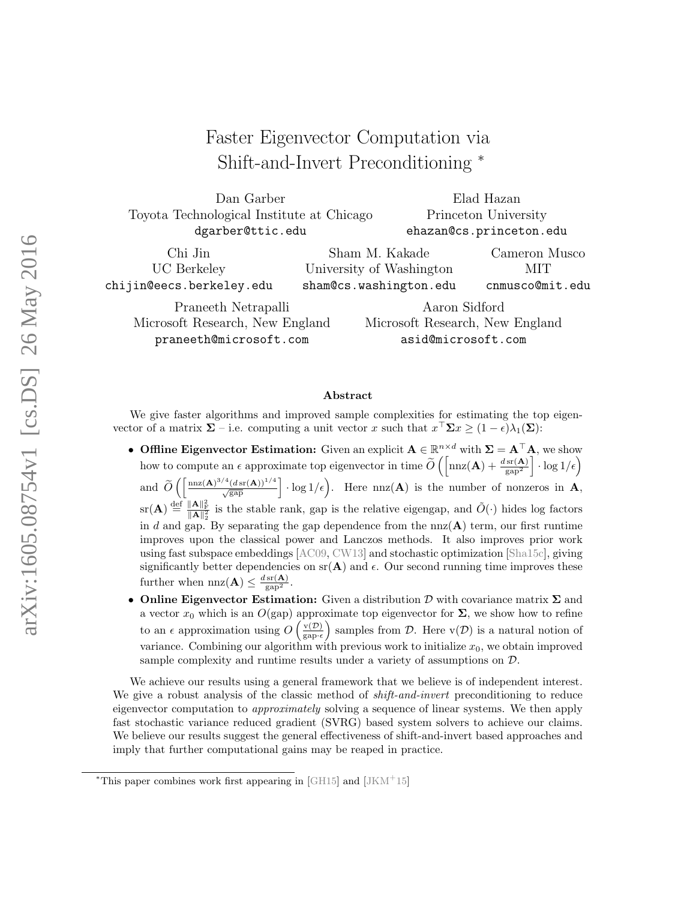# Faster Eigenvector Computation via Shift-and-Invert Preconditioning <sup>∗</sup>

| Dan Garber                                |                          |                                 | Elad Hazan              |  |
|-------------------------------------------|--------------------------|---------------------------------|-------------------------|--|
| Toyota Technological Institute at Chicago |                          | Princeton University            |                         |  |
| dgarber@ttic.edu                          |                          |                                 | ehazan@cs.princeton.edu |  |
| Chi Jin                                   | Sham M. Kakade           |                                 | Cameron Musco           |  |
| UC Berkeley                               | University of Washington |                                 | MІТ                     |  |
| chijin@eecs.berkeley.edu                  | sham@cs.washington.edu   |                                 | cnmusco@mit.edu         |  |
| Praneeth Netrapalli                       |                          | Aaron Sidford                   |                         |  |
| Microsoft Research, New England           |                          | Microsoft Research, New England |                         |  |

praneeth@microsoft.com

Microsoft Research, New England asid@microsoft.com

#### Abstract

We give faster algorithms and improved sample complexities for estimating the top eigenvector of a matrix  $\Sigma$  – i.e. computing a unit vector x such that  $x^{\top} \Sigma x \geq (1 - \epsilon) \lambda_1(\Sigma)$ :

- Offline Eigenvector Estimation: Given an explicit  $A \in \mathbb{R}^{n \times d}$  with  $\Sigma = A^{\top}A$ , we show how to compute an  $\epsilon$  approximate top eigenvector in time  $\widetilde{O}\left(\left[\mathrm{nnz}(\mathbf{A}) + \frac{d \,\mathrm{sr}(\mathbf{A})}{\mathrm{gap}^2}\right] \cdot \log 1/\epsilon\right)$ and  $\widetilde{O}\left(\left[\frac{\max(A)^{3/4}(d\operatorname{sr}(A))^{1/4}}{\sqrt{\operatorname{gap}}}\right] \cdot \log 1/\epsilon\right)$ . Here  $\max(A)$  is the number of nonzeros in A,  $\text{sr}(\mathbf{A}) \stackrel{\text{def}}{=} \frac{\|\mathbf{A}\|_{\text{F}}^2}{\|\mathbf{A}\|_{2}^2}$  is the stable rank, gap is the relative eigengap, and  $\tilde{O}(\cdot)$  hides log factors in d and gap. By separating the gap dependence from the  $nnz(A)$  term, our first runtime improves upon the classical power and Lanczos methods. It also improves prior work using fast subspace embeddings [\[AC09,](#page-36-0) [CW13\]](#page-36-1) and stochastic optimization [\[Sha15c\]](#page-37-0), giving significantly better dependencies on  $\text{sr}(\mathbf{A})$  and  $\epsilon$ . Our second running time improves these further when  $nnz(\mathbf{A}) \leq \frac{d \operatorname{sr}(\mathbf{A})}{\operatorname{gap}^2}$ .
- **Online Eigenvector Estimation:** Given a distribution  $\mathcal{D}$  with covariance matrix  $\Sigma$  and a vector  $x_0$  which is an  $O(\text{gap})$  approximate top eigenvector for  $\Sigma$ , we show how to refine to an  $\epsilon$  approximation using  $O\left(\frac{v(D)}{g_D\right)$  $\frac{v(\mathcal{D})}{\text{gap-}\epsilon}$  samples from  $\mathcal{D}$ . Here  $v(\mathcal{D})$  is a natural notion of variance. Combining our algorithm with previous work to initialize  $x_0$ , we obtain improved sample complexity and runtime results under a variety of assumptions on D.

We achieve our results using a general framework that we believe is of independent interest. We give a robust analysis of the classic method of *shift-and-invert* preconditioning to reduce eigenvector computation to approximately solving a sequence of linear systems. We then apply fast stochastic variance reduced gradient (SVRG) based system solvers to achieve our claims. We believe our results suggest the general effectiveness of shift-and-invert based approaches and imply that further computational gains may be reaped in practice.

<sup>\*</sup>This paper combines work first appearing in [\[GH15\]](#page-36-2) and  $[JKM^+15]$  $[JKM^+15]$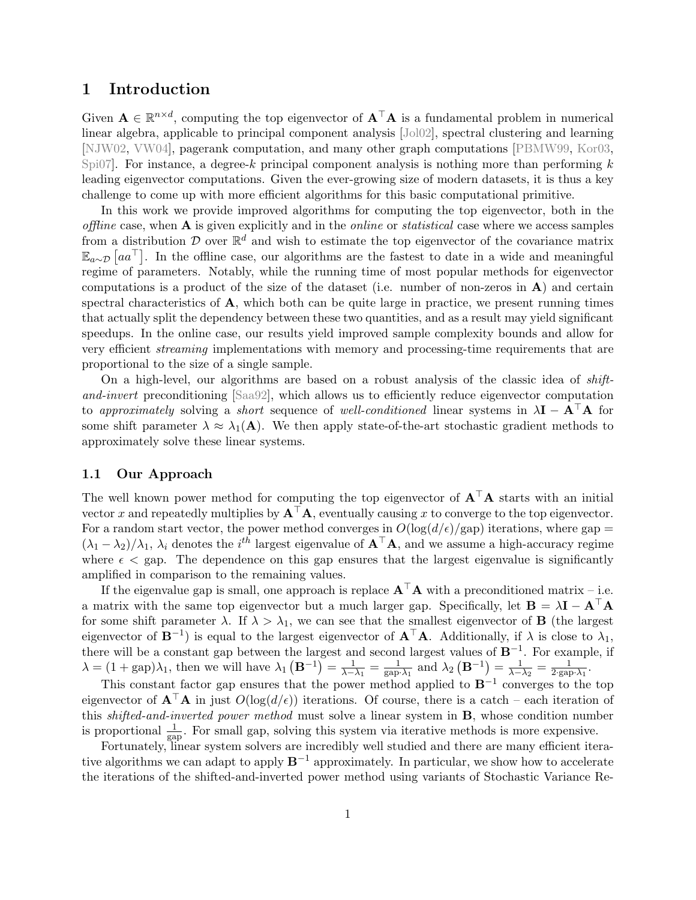# 1 Introduction

Given  $\mathbf{A} \in \mathbb{R}^{n \times d}$ , computing the top eigenvector of  $\mathbf{A}^{\top} \mathbf{A}$  is a fundamental problem in numerical linear algebra, applicable to principal component analysis [\[Jol02\]](#page-36-4), spectral clustering and learning [\[NJW02,](#page-37-1) [VW04\]](#page-38-0), pagerank computation, and many other graph computations [\[PBMW99,](#page-37-2) [Kor03,](#page-37-3) [Spi07\]](#page-37-4). For instance, a degree-k principal component analysis is nothing more than performing  $k$ leading eigenvector computations. Given the ever-growing size of modern datasets, it is thus a key challenge to come up with more efficient algorithms for this basic computational primitive.

In this work we provide improved algorithms for computing the top eigenvector, both in the *offline* case, when  $\bf{A}$  is given explicitly and in the *online* or *statistical* case where we access samples from a distribution  $\mathcal D$  over  $\mathbb R^d$  and wish to estimate the top eigenvector of the covariance matrix  $\mathbb{E}_{a\sim\mathcal{D}}\left[a a^{\top}\right]$ . In the offline case, our algorithms are the fastest to date in a wide and meaningful regime of parameters. Notably, while the running time of most popular methods for eigenvector computations is a product of the size of the dataset (i.e. number of non-zeros in  $\bf{A}$ ) and certain spectral characteristics of  $\bf{A}$ , which both can be quite large in practice, we present running times that actually split the dependency between these two quantities, and as a result may yield significant speedups. In the online case, our results yield improved sample complexity bounds and allow for very efficient streaming implementations with memory and processing-time requirements that are proportional to the size of a single sample.

On a high-level, our algorithms are based on a robust analysis of the classic idea of shiftand-invert preconditioning [\[Saa92\]](#page-37-5), which allows us to efficiently reduce eigenvector computation to approximately solving a short sequence of well-conditioned linear systems in  $\lambda I - A^{\top}A$  for some shift parameter  $\lambda \approx \lambda_1(\mathbf{A})$ . We then apply state-of-the-art stochastic gradient methods to approximately solve these linear systems.

### 1.1 Our Approach

The well known power method for computing the top eigenvector of  $A^{\top}A$  starts with an initial vector x and repeatedly multiplies by  $A^{\top}A$ , eventually causing x to converge to the top eigenvector. For a random start vector, the power method converges in  $O(\log(d/\epsilon)/\text{gap})$  iterations, where gap =  $(\lambda_1 - \lambda_2)/\lambda_1$ ,  $\lambda_i$  denotes the *i*<sup>th</sup> largest eigenvalue of  $A^{\top}A$ , and we assume a high-accuracy regime where  $\epsilon$   $\epsilon$  gap. The dependence on this gap ensures that the largest eigenvalue is significantly amplified in comparison to the remaining values.

If the eigenvalue gap is small, one approach is replace  $A^{\top}A$  with a preconditioned matrix – i.e. a matrix with the same top eigenvector but a much larger gap. Specifically, let  $\mathbf{B} = \lambda \mathbf{I} - \mathbf{A}^{\top} \mathbf{A}$ for some shift parameter  $\lambda$ . If  $\lambda > \lambda_1$ , we can see that the smallest eigenvector of **B** (the largest eigenvector of  $B^{-1}$ ) is equal to the largest eigenvector of  $A^{\top}A$ . Additionally, if  $\lambda$  is close to  $\lambda_1$ , there will be a constant gap between the largest and second largest values of  $B^{-1}$ . For example, if  $\lambda = (1 + \text{gap})\lambda_1$ , then we will have  $\lambda_1(\mathbf{B}^{-1}) = \frac{1}{\lambda - \lambda_1} = \frac{1}{\text{gap}\cdot\lambda_1}$  and  $\lambda_2(\mathbf{B}^{-1}) = \frac{1}{\lambda - \lambda_2} = \frac{1}{2 \cdot \text{gap}\cdot\lambda_1}$ .

This constant factor gap ensures that the power method applied to  $\mathbf{B}^{-1}$  converges to the top eigenvector of  $\mathbf{A}^{\top}\mathbf{A}$  in just  $O(\log(d/\epsilon))$  iterations. Of course, there is a catch – each iteration of this shifted-and-inverted power method must solve a linear system in B, whose condition number is proportional  $\frac{1}{\text{gap}}$ . For small gap, solving this system via iterative methods is more expensive.

Fortunately, linear system solvers are incredibly well studied and there are many efficient iterative algorithms we can adapt to apply  $B^{-1}$  approximately. In particular, we show how to accelerate the iterations of the shifted-and-inverted power method using variants of Stochastic Variance Re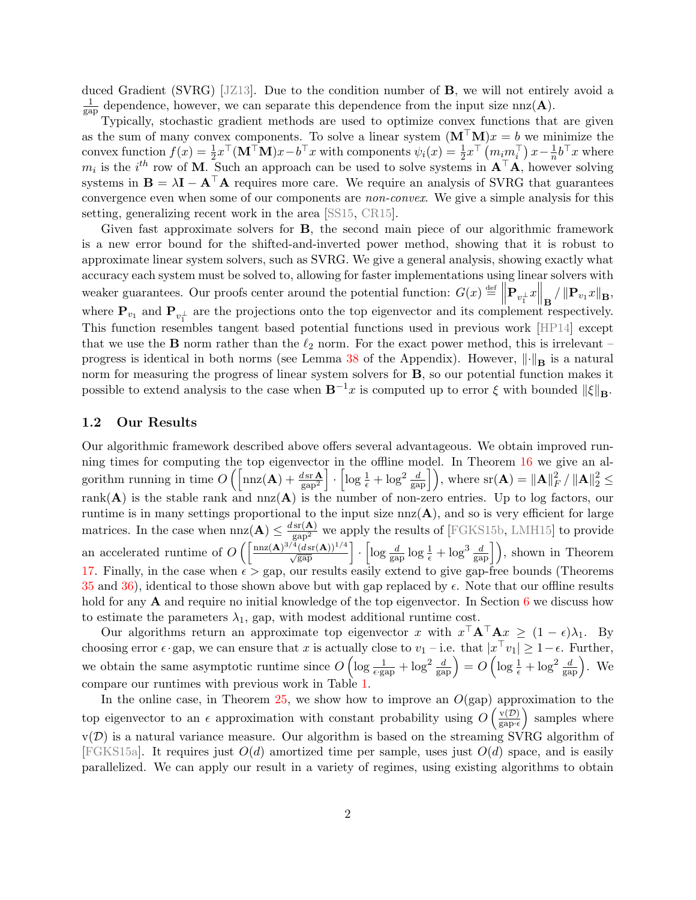duced Gradient (SVRG) [\[JZ13\]](#page-37-6). Due to the condition number of B, we will not entirely avoid a 1  $\frac{1}{\text{gap}}$  dependence, however, we can separate this dependence from the input size nnz(A).

Typically, stochastic gradient methods are used to optimize convex functions that are given as the sum of many convex components. To solve a linear system  $(M^{\top}M)x = b$  we minimize the convex function  $f(x) = \frac{1}{2}x^{\top}(\mathbf{M}^{\top}\mathbf{M})x - b^{\top}x$  with components  $\psi_i(x) = \frac{1}{2}x^{\top} (m_i m_i^{\top}) x - \frac{1}{n}$  $\frac{1}{n}b^{\top}x$  where  $m_i$  is the i<sup>th</sup> row of M. Such an approach can be used to solve systems in  $A^{\top}A$ , however solving systems in  $\mathbf{B} = \lambda \mathbf{I} - \mathbf{A}^\top \mathbf{A}$  requires more care. We require an analysis of SVRG that guarantees convergence even when some of our components are non-convex. We give a simple analysis for this setting, generalizing recent work in the area [\[SS15,](#page-37-7) [CR15\]](#page-36-5).

Given fast approximate solvers for B, the second main piece of our algorithmic framework is a new error bound for the shifted-and-inverted power method, showing that it is robust to approximate linear system solvers, such as SVRG. We give a general analysis, showing exactly what accuracy each system must be solved to, allowing for faster implementations using linear solvers with weaker guarantees. Our proofs center around the potential function:  $G(x) \triangleq \left\|\mathbf{P}_{v_1^{\perp}}x\right\|_{\mathbf{B}} / \left\|\mathbf{P}_{v_1}x\right\|_{\mathbf{B}}$ where  $\mathbf{P}_{v_1}$  and  $\mathbf{P}_{v_1^{\perp}}$  are the projections onto the top eigenvector and its complement respectively. This function resembles tangent based potential functions used in previous work [\[HP14\]](#page-36-6) except that we use the **B** norm rather than the  $\ell_2$  norm. For the exact power method, this is irrelevant – progress is identical in both norms (see Lemma [38](#page-39-0) of the Appendix). However,  $\|\cdot\|_{\mathbf{B}}$  is a natural norm for measuring the progress of linear system solvers for B, so our potential function makes it possible to extend analysis to the case when  $B^{-1}x$  is computed up to error  $\xi$  with bounded  $\|\xi\|_{\mathbf{B}}$ .

#### 1.2 Our Results

Our algorithmic framework described above offers several advantageous. We obtain improved running times for computing the top eigenvector in the offline model. In Theorem [16](#page-23-0) we give an algorithm running in time  $O\left(\left\lceil \text{nnz}(\mathbf{A}) + \frac{d \text{sr} \mathbf{A}}{\text{gap}^2} \right\rceil \cdot \left\lceil \log \frac{1}{\epsilon} + \log^2 \frac{d}{\text{gap}} \right\rceil \right)$ , where  $\text{sr}(\mathbf{A}) = ||\mathbf{A}||^2_F$  $_{F}^{2}/\left\Vert \mathbf{A}\right\Vert _{2}^{2}\leq$ rank( $\bf{A}$ ) is the stable rank and nnz $(\bf{A})$  is the number of non-zero entries. Up to log factors, our runtime is in many settings proportional to the input size  $nnz(A)$ , and so is very efficient for large matrices. In the case when  $nnz(A) \leq \frac{dsr(A)}{gap^2}$  we apply the results of [\[FGKS15b,](#page-36-7) [LMH15\]](#page-37-8) to provide an accelerated runtime of  $O\left(\left[\frac{\text{nnz}(A)^{3/4}(d\text{sr}(A))^{1/4}}{\sqrt{\text{gap}}}\right] \cdot \left[\log \frac{d}{\text{gap}}\log \frac{1}{\epsilon} + \log^3 \frac{d}{\text{gap}}\right]\right)$ , shown in Theorem [17.](#page-23-1) Finally, in the case when  $\epsilon >$  gap, our results easily extend to give gap-free bounds (Theorems [35](#page-35-0) and [36\)](#page-35-1), identical to those shown above but with gap replaced by  $\epsilon$ . Note that our offline results hold for any  $\bf{A}$  and require no initial knowledge of the top eigenvector. In Section [6](#page-28-0) we discuss how to estimate the parameters  $\lambda_1$ , gap, with modest additional runtime cost.

Our algorithms return an approximate top eigenvector x with  $x^{\top} \mathbf{A}^{\top} \mathbf{A} x \geq (1 - \epsilon) \lambda_1$ . By choosing error  $\epsilon$  gap, we can ensure that x is actually close to  $v_1$  – i.e. that  $|x^{\top}v_1| \geq 1 - \epsilon$ . Further, we obtain the same asymptotic runtime since  $O\left(\log \frac{1}{\epsilon \text{ gap}} + \log^2 \frac{d}{\text{gap}}\right) = O\left(\log \frac{1}{\epsilon} + \log^2 \frac{d}{\text{gap}}\right)$ . We compare our runtimes with previous work in Table [1.](#page-4-0)

In the online case, in Theorem  $25$ , we show how to improve an  $O(gap)$  approximation to the top eigenvector to an  $\epsilon$  approximation with constant probability using  $O\left(\frac{v(D)}{g_{\text{max}}} \right)$  $\frac{v(D)}{gap \cdot \epsilon}$  samples where  $v(\mathcal{D})$  is a natural variance measure. Our algorithm is based on the streaming SVRG algorithm of [\[FGKS15a\]](#page-36-8). It requires just  $O(d)$  amortized time per sample, uses just  $O(d)$  space, and is easily parallelized. We can apply our result in a variety of regimes, using existing algorithms to obtain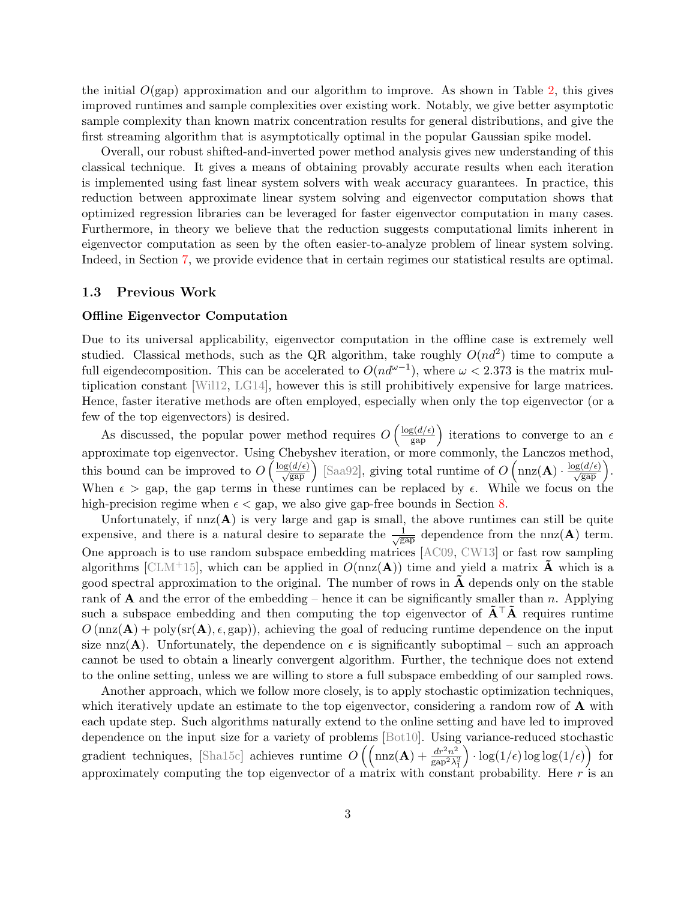the initial  $O(gap)$  approximation and our algorithm to improve. As shown in Table [2,](#page-5-0) this gives improved runtimes and sample complexities over existing work. Notably, we give better asymptotic sample complexity than known matrix concentration results for general distributions, and give the first streaming algorithm that is asymptotically optimal in the popular Gaussian spike model.

Overall, our robust shifted-and-inverted power method analysis gives new understanding of this classical technique. It gives a means of obtaining provably accurate results when each iteration is implemented using fast linear system solvers with weak accuracy guarantees. In practice, this reduction between approximate linear system solving and eigenvector computation shows that optimized regression libraries can be leveraged for faster eigenvector computation in many cases. Furthermore, in theory we believe that the reduction suggests computational limits inherent in eigenvector computation as seen by the often easier-to-analyze problem of linear system solving. Indeed, in Section [7,](#page-32-0) we provide evidence that in certain regimes our statistical results are optimal.

#### 1.3 Previous Work

#### <span id="page-3-0"></span>Offline Eigenvector Computation

Due to its universal applicability, eigenvector computation in the offline case is extremely well studied. Classical methods, such as the QR algorithm, take roughly  $O(nd^2)$  time to compute a full eigendecomposition. This can be accelerated to  $O(nd^{\omega-1})$ , where  $\omega < 2.373$  is the matrix multiplication constant [\[Wil12,](#page-38-1) [LG14\]](#page-37-9), however this is still prohibitively expensive for large matrices. Hence, faster iterative methods are often employed, especially when only the top eigenvector (or a few of the top eigenvectors) is desired.

As discussed, the popular power method requires  $O\left(\frac{\log(d/\epsilon)}{\text{gap}}\right)$  iterations to converge to an  $\epsilon$ approximate top eigenvector. Using Chebyshev iteration, or more commonly, the Lanczos method, this bound can be improved to  $O\left(\frac{\log(d/\epsilon)}{\sqrt{\text{gap}}}\right)$  [\[Saa92\]](#page-37-5), giving total runtime of  $O\left(\max(\mathbf{A}) \cdot \frac{\log(d/\epsilon)}{\sqrt{\text{gap}}}\right)$ . When  $\epsilon >$  gap, the gap terms in these runtimes can be replaced by  $\epsilon$ . While we focus on the high-precision regime when  $\epsilon <$  gap, we also give gap-free bounds in Section [8.](#page-33-0)

Unfortunately, if  $nnz(A)$  is very large and gap is small, the above runtimes can still be quite expensive, and there is a natural desire to separate the  $\frac{1}{\sqrt{x}}$  $\frac{1}{\text{gap}}$  dependence from the nnz(A) term. One approach is to use random subspace embedding matrices [\[AC09,](#page-36-0) [CW13\]](#page-36-1) or fast row sampling algorithms [\[CLM](#page-36-9)+15], which can be applied in  $O(nnz(A))$  time and yield a matrix A which is a good spectral approximation to the original. The number of rows in  $\bf{A}$  depends only on the stable rank of **A** and the error of the embedding – hence it can be significantly smaller than n. Applying such a subspace embedding and then computing the top eigenvector of  $\mathbf{\tilde{A}}^{\top} \mathbf{\tilde{A}}$  requires runtime  $O(\text{nnz}(\mathbf{A}) + \text{poly}(\text{sr}(\mathbf{A}), \epsilon, \text{gap}))$ , achieving the goal of reducing runtime dependence on the input size nnz(A). Unfortunately, the dependence on  $\epsilon$  is significantly suboptimal – such an approach cannot be used to obtain a linearly convergent algorithm. Further, the technique does not extend to the online setting, unless we are willing to store a full subspace embedding of our sampled rows.

Another approach, which we follow more closely, is to apply stochastic optimization techniques, which iteratively update an estimate to the top eigenvector, considering a random row of **A** with each update step. Such algorithms naturally extend to the online setting and have led to improved dependence on the input size for a variety of problems [\[Bot10\]](#page-36-10). Using variance-reduced stochastic gradient techniques, [\[Sha15c\]](#page-37-0) achieves runtime  $O\left(\left(\max(A) + \frac{dr^2n^2}{\epsilon n^2}\right)\right)$  $\sqrt{\text{gap}^2\lambda_1^2}$  $\log(1/\epsilon) \log \log(1/\epsilon)$  for approximately computing the top eigenvector of a matrix with constant probability. Here  $r$  is an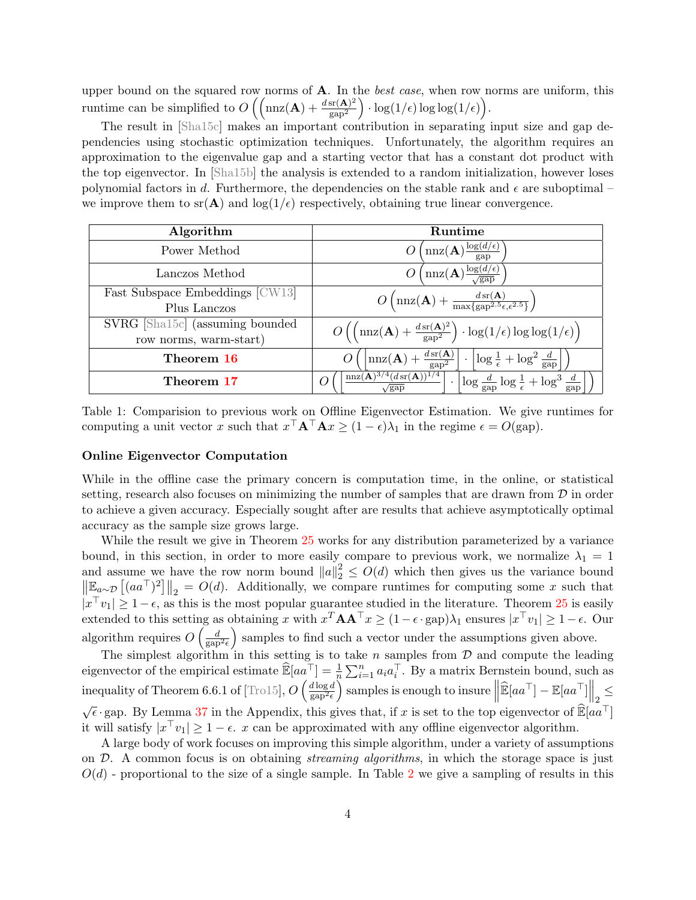upper bound on the squared row norms of  $A$ . In the *best case*, when row norms are uniform, this runtime can be simplified to  $O\left(\left(\max(A) + \frac{d \text{sn}(A)^2}{\text{sn}^2}\right)\right)$  $\frac{\mathrm{sr}(\mathbf{A})^2}{\mathrm{gap}^2} \Big) \cdot \log(1/\epsilon) \log\log(1/\epsilon) \Big).$ 

The result in [\[Sha15c\]](#page-37-0) makes an important contribution in separating input size and gap dependencies using stochastic optimization techniques. Unfortunately, the algorithm requires an approximation to the eigenvalue gap and a starting vector that has a constant dot product with the top eigenvector. In [\[Sha15b\]](#page-37-10) the analysis is extended to a random initialization, however loses polynomial factors in d. Furthermore, the dependencies on the stable rank and  $\epsilon$  are suboptimal – we improve them to  $\text{sr}(\mathbf{A})$  and  $\log(1/\epsilon)$  respectively, obtaining true linear convergence.

<span id="page-4-0"></span>

| Algorithm                       | <b>Runtime</b>                                                                                                                                                                                                                               |
|---------------------------------|----------------------------------------------------------------------------------------------------------------------------------------------------------------------------------------------------------------------------------------------|
| Power Method                    | $\left(\mathrm{nnz}(\mathbf{A})\frac{\log(d/\epsilon)}{\mathrm{gap}}\right)$                                                                                                                                                                 |
| Lanczos Method                  | $\left(\max(\mathbf{A})\frac{\log(d/\epsilon)}{\sqrt{\text{gap}}}\right)$                                                                                                                                                                    |
| Fast Subspace Embeddings [CW13] | $O\left(\max(\mathbf{A}) + \frac{d s \cdot (\mathbf{A})}{\max\{gap^{2.5}\epsilon,\epsilon^{2.5}\}}\right)$                                                                                                                                   |
| Plus Lanczos                    |                                                                                                                                                                                                                                              |
| SVRG [Sha15c] (assuming bounded | $O\left(\left(\mathrm{nnz}(\mathbf{A})+\frac{d\,\mathrm{sr}(\mathbf{A})^2}{\mathrm{gap}^2}\right)\cdot\log(1/\epsilon)\log\log(1/\epsilon)\right)$                                                                                           |
| row norms, warm-start)          |                                                                                                                                                                                                                                              |
| Theorem 16                      | $\left \max(\mathbf{A}) + \frac{d s r(\mathbf{A})}{g a p^2}\right $<br>$\cdot \left  \log \frac{1}{\epsilon} + \log^2 \frac{d}{\mathrm{gap}} \right $                                                                                        |
| Theorem 17                      | $\left\lceil \frac{\text{nnz}(\mathbf{A})^{3/4}(\text{d}\,\text{sr}(\mathbf{A}))^{1/4}}{\sqrt{\text{gap}}} \right\rceil \cdot \left\lceil \log \frac{d}{\text{gap}} \log \frac{1}{\epsilon} + \log^3 \frac{d}{\text{gap}} \right\rceil$<br>O |

Table 1: Comparision to previous work on Offline Eigenvector Estimation. We give runtimes for computing a unit vector x such that  $x^{\top} \mathbf{A}^{\top} \mathbf{A} x \ge (1 - \epsilon)\lambda_1$  in the regime  $\epsilon = O(\text{gap})$ .

### Online Eigenvector Computation

While in the offline case the primary concern is computation time, in the online, or statistical setting, research also focuses on minimizing the number of samples that are drawn from  $\mathcal D$  in order to achieve a given accuracy. Especially sought after are results that achieve asymptotically optimal accuracy as the sample size grows large.

While the result we give in Theorem [25](#page-28-1) works for any distribution parameterized by a variance bound, in this section, in order to more easily compare to previous work, we normalize  $\lambda_1 = 1$ and assume we have the row norm bound  $||a||_2^2 \leq O(d)$  which then gives us the variance bound  $\left\|\mathbb{E}_{a\sim\mathcal{D}}\left[(aa^{\top})^2\right]\right\|_2 = O(d)$ . Additionally, we compare runtimes for computing some x such that  $|x^{\top}v_1| \geq 1-\epsilon$ , as this is the most popular guarantee studied in the literature. Theorem [25](#page-28-1) is easily extended to this setting as obtaining x with  $x^T A A^T x \ge (1 - \epsilon \cdot \text{gap})\lambda_1$  ensures  $|x^T v_1| \ge 1 - \epsilon$ . Our algorithm requires  $O\left(\frac{d}{\text{gap}^2\epsilon}\right)$  samples to find such a vector under the assumptions given above.

The simplest algorithm in this setting is to take n samples from  $D$  and compute the leading eigenvector of the empirical estimate  $\widehat{\mathbb{E}}[aa^{\top}] = \frac{1}{n} \sum_{i=1}^{n} a_i a_i^{\top}$ . By a matrix Bernstein bound, such as inequality of Theorem 6.6.1 of  $\left[\text{Tr}\frac{15}{9}\right], O\left(\frac{d\log d}{\sin^2\epsilon}\right)$  $\frac{d \log d}{\log^{2} \epsilon}$  samples is enough to insure  $\left\| \widehat{\mathbb{E}}[aa^{\top}] - \mathbb{E}[aa^{\top}] \right\|_2 \leq$ √  $\sqrt{\epsilon}$  gap. By Lemma [37](#page-38-3) in the Appendix, this gives that, if x is set to the top eigenvector of  $\mathbb{E}[aa^{\top}]$ it will satisfy  $|x^{\top}v_1| \geq 1 - \epsilon$ . x can be approximated with any offline eigenvector algorithm.

A large body of work focuses on improving this simple algorithm, under a variety of assumptions on  $\mathcal{D}$ . A common focus is on obtaining *streaming algorithms*, in which the storage space is just  $O(d)$  - proportional to the size of a single sample. In Table [2](#page-5-0) we give a sampling of results in this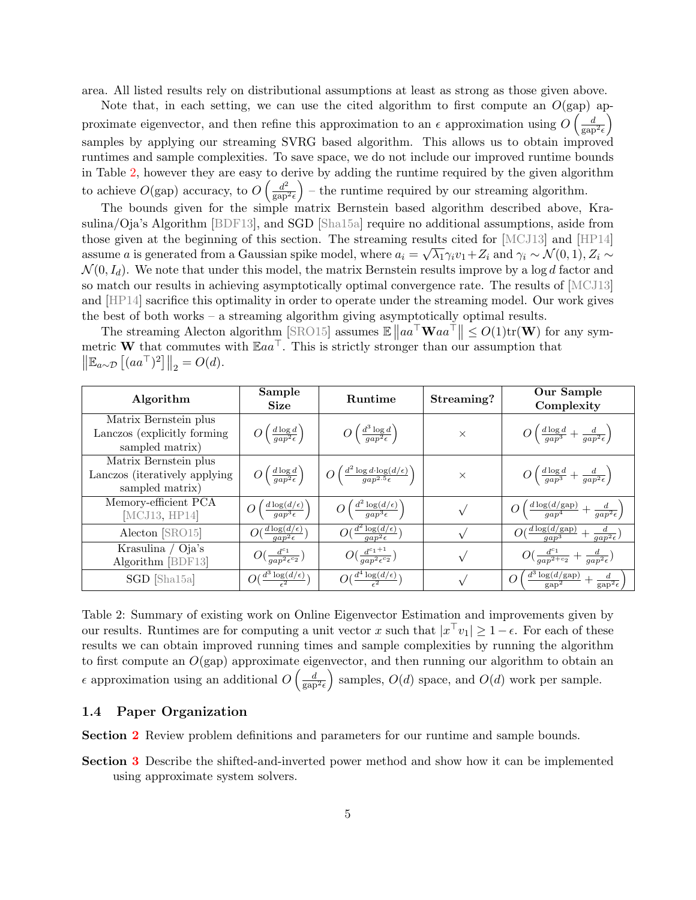area. All listed results rely on distributional assumptions at least as strong as those given above.

Note that, in each setting, we can use the cited algorithm to first compute an  $O(gap)$  approximate eigenvector, and then refine this approximation to an  $\epsilon$  approximation using  $O\left(\frac{d}{\text{gap}^2\epsilon}\right)$ samples by applying our streaming SVRG based algorithm. This allows us to obtain improved runtimes and sample complexities. To save space, we do not include our improved runtime bounds in Table [2,](#page-5-0) however they are easy to derive by adding the runtime required by the given algorithm to achieve  $O(\text{gap})$  accuracy, to  $O\left(\frac{d^2}{\text{gap}}\right)$  $\left(\frac{d^2}{\text{gap}^2 \epsilon}\right)$  – the runtime required by our streaming algorithm.

The bounds given for the simple matrix Bernstein based algorithm described above, Krasulina/Oja's Algorithm [\[BDF13\]](#page-36-11), and SGD [\[Sha15a\]](#page-37-11) require no additional assumptions, aside from those given at the beginning of this section. The streaming results cited for [\[MCJ13\]](#page-37-12) and [\[HP14\]](#page-36-6) assume a is generated from a Gaussian spike model, where  $a_i = \sqrt{\lambda_1} \gamma_i v_1 + Z_i$  and  $\gamma_i \sim \mathcal{N}(0, 1), Z_i \sim$  $\mathcal{N}(0, I_d)$ . We note that under this model, the matrix Bernstein results improve by a log d factor and so match our results in achieving asymptotically optimal convergence rate. The results of [\[MCJ13\]](#page-37-12) and [\[HP14\]](#page-36-6) sacrifice this optimality in order to operate under the streaming model. Our work gives the best of both works – a streaming algorithm giving asymptotically optimal results.

The streaming Alecton algorithm [\[SRO15\]](#page-37-13) assumes  $\mathbb{E} \|aa^{\top} \mathbf{W}aa^{\top} \| \leq O(1) \text{tr}(\mathbf{W})$  for any symmetric **W** that commutes with  $Eaa^T$ . This is strictly stronger than our assumption that  $\left\| \mathbb{E}_{a \sim \mathcal{D}} \left[ (aa^\top)^2 \right] \right\|_2 = O(d).$ 

| Algorithm                                                                  | Sample<br><b>Size</b>                                                        | Runtime                                                                                       | Streaming? | Our Sample<br>Complexity                                                                        |
|----------------------------------------------------------------------------|------------------------------------------------------------------------------|-----------------------------------------------------------------------------------------------|------------|-------------------------------------------------------------------------------------------------|
| Matrix Bernstein plus<br>Lanczos (explicitly forming)<br>sampled matrix)   | $O\left(\frac{d \log d}{gap^2\epsilon}\right)$                               | $O\left(\frac{d^3\log d}{gap^2\epsilon}\right)$                                               | $\times$   | $O\left(\frac{d \log d}{qap^3} + \frac{d}{qap^2\epsilon}\right)$                                |
| Matrix Bernstein plus<br>Lanczos (iteratively applying)<br>sampled matrix) | $O\left(\frac{d\log d}{gap^2\epsilon}\right)$                                | $\left  O\left(\frac{d^2 \log d \cdot \log(d/\epsilon)}{a a n^{2.5} \epsilon}\right) \right $ | $\times$   | $O\left(\frac{d\log d}{gap^3}+\frac{d}{gap^2\epsilon}\right)$                                   |
| Memory-efficient PCA<br>MCJ13, HP14                                        | $\left(\frac{d \log(d/\epsilon)}{a a n^3 \epsilon}\right)$<br>$\overline{O}$ | $O\left(\frac{d^2\log(d/\epsilon)}{gap^3\epsilon}\right)$                                     |            | $O\left(\frac{d\log(d/\text{gap})}{a a y^4} + \frac{d}{q a p^2 \epsilon}\right)$                |
| Alecton [SRO15]                                                            | $O(\frac{d \log(d/\epsilon)}{a a p^2 \epsilon})$                             | $O(\frac{d^2 \log(d/\epsilon)}{gap^2 \epsilon})$                                              |            | $O(\frac{d \log(d/\text{gap})}{q a p^3} + \frac{d}{q a p^2 \epsilon})$                          |
| Krasulina / Oja's<br>Algorithm [BDF13]                                     | $O(\frac{d^{c_1}}{qap^2\epsilon^{c_2}})$                                     | $O(\frac{d^{c_1+1}}{an^{2}\epsilon^{c_2}})$                                                   |            | $O(\frac{d^{c_1}}{qap^{2+c_2}}+\frac{d}{qap^2\epsilon})$                                        |
| SGD [Sha15a]                                                               | $O(\frac{d^3 \log(d/\epsilon)}{2})$                                          | $O(\frac{d^4 \log(d/\epsilon)}{2})$                                                           |            | $\frac{d^3\log(d/\text{gap})}{\text{gap}^2} + \frac{d}{\text{gap}^2\epsilon}$<br>$\overline{O}$ |

<span id="page-5-0"></span>Table 2: Summary of existing work on Online Eigenvector Estimation and improvements given by our results. Runtimes are for computing a unit vector x such that  $|x^{\top}v_1| \geq 1 - \epsilon$ . For each of these results we can obtain improved running times and sample complexities by running the algorithm to first compute an  $O(\text{gap})$  approximate eigenvector, and then running our algorithm to obtain an  $\epsilon$  approximation using an additional  $O\left(\frac{d}{\text{gap}^2\epsilon}\right)$  samples,  $O(d)$  space, and  $O(d)$  work per sample.

### 1.4 Paper Organization

Section [2](#page-6-0) Review problem definitions and parameters for our runtime and sample bounds.

Section [3](#page-7-0) Describe the shifted-and-inverted power method and show how it can be implemented using approximate system solvers.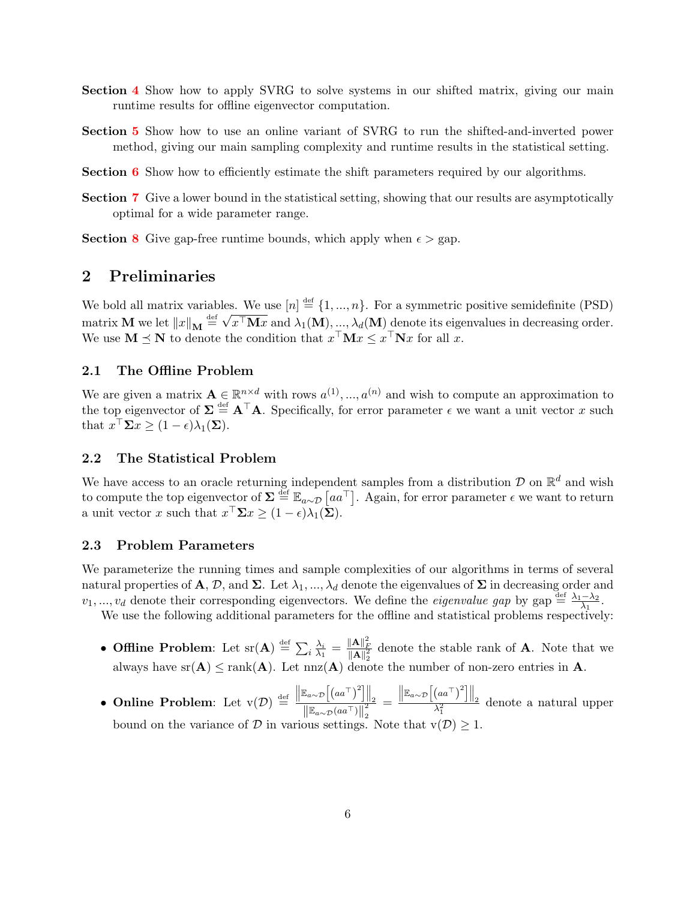- Section [4](#page-15-0) Show how to apply SVRG to solve systems in our shifted matrix, giving our main runtime results for offline eigenvector computation.
- Section [5](#page-24-0) Show how to use an online variant of SVRG to run the shifted-and-inverted power method, giving our main sampling complexity and runtime results in the statistical setting.

Section [6](#page-28-0) Show how to efficiently estimate the shift parameters required by our algorithms.

Section [7](#page-32-0) Give a lower bound in the statistical setting, showing that our results are asymptotically optimal for a wide parameter range.

**Section [8](#page-33-0)** Give gap-free runtime bounds, which apply when  $\epsilon >$  gap.

# <span id="page-6-0"></span>2 Preliminaries

We bold all matrix variables. We use  $[n] \stackrel{\text{def}}{=} \{1, ..., n\}$ . For a symmetric positive semidefinite (PSD) we bold all matrix variables<br>matrix **M** we let  $||x||_{\mathbf{M}} \stackrel{\text{def}}{=} \sqrt{}$  $x^{\top} \mathbf{M} x$  and  $\lambda_1(\mathbf{M}), ..., \lambda_d(\mathbf{M})$  denote its eigenvalues in decreasing order. We use  $\mathbf{M} \preceq \mathbf{N}$  to denote the condition that  $x^{\top} \mathbf{M} x \leq x^{\top} \mathbf{N} x$  for all x.

### 2.1 The Offline Problem

We are given a matrix  $\mathbf{A} \in \mathbb{R}^{n \times d}$  with rows  $a^{(1)},...,a^{(n)}$  and wish to compute an approximation to the top eigenvector of  $\Sigma \stackrel{\text{def}}{=} A^{\top}A$ . Specifically, for error parameter  $\epsilon$  we want a unit vector x such that  $x^{\top} \Sigma x \geq (1 - \epsilon) \lambda_1(\Sigma)$ .

### 2.2 The Statistical Problem

We have access to an oracle returning independent samples from a distribution  $\mathcal D$  on  $\mathbb R^d$  and wish to compute the top eigenvector of  $\Sigma \stackrel{\text{def}}{=} \mathbb{E}_{a \sim \mathcal{D}} [aa^\top]$ . Again, for error parameter  $\epsilon$  we want to return a unit vector x such that  $x^{\top} \Sigma x \geq (1 - \epsilon) \lambda_1(\Sigma)$ .

### 2.3 Problem Parameters

We parameterize the running times and sample complexities of our algorithms in terms of several natural properties of A, D, and  $\Sigma$ . Let  $\lambda_1, ..., \lambda_d$  denote the eigenvalues of  $\Sigma$  in decreasing order and  $v_1, ..., v_d$  denote their corresponding eigenvectors. We define the *eigenvalue gap* by gap  $\stackrel{\text{def}}{=} \frac{\lambda_1 - \lambda_2}{\lambda_1}$  $\frac{-\lambda_2}{\lambda_1}$ .

We use the following additional parameters for the offline and statistical problems respectively:

- Offline Problem: Let  $\mathrm{sr}(\mathbf{A}) \stackrel{\text{def}}{=} \sum_i \frac{\lambda_i}{\lambda_1}$  $\frac{\lambda_i}{\lambda_1} = \frac{\|\mathbf{A}\|_F^2}{\|\mathbf{A}\|_2^2}$  denote the stable rank of **A**. Note that we always have  $sr(A) \leq rank(A)$ . Let  $nnz(A)$  denote the number of non-zero entries in A.
- Online Problem: Let  $\mathbf{v}(\mathcal{D}) \stackrel{\text{def}}{=} \frac{\left\|\mathbb{E}_{a\sim\mathcal{D}}\left[\left(a a^{\top}\right)^{2}\right]\right\|_{2}}{\left\|\mathbb{E}_{a\sim\mathcal{D}}\left(a a^{\top}\right)\right\|_{2}^{2}}$ 2 =  $\frac{\left\|\mathbb{E}_{a\sim\mathcal{D}}\left[\left(a a^\top\right)^2\right]\right\|_2}{\lambda_1^2}$  denote a natural upper bound on the variance of D in various settings. Note that  $v(D) \geq 1$ .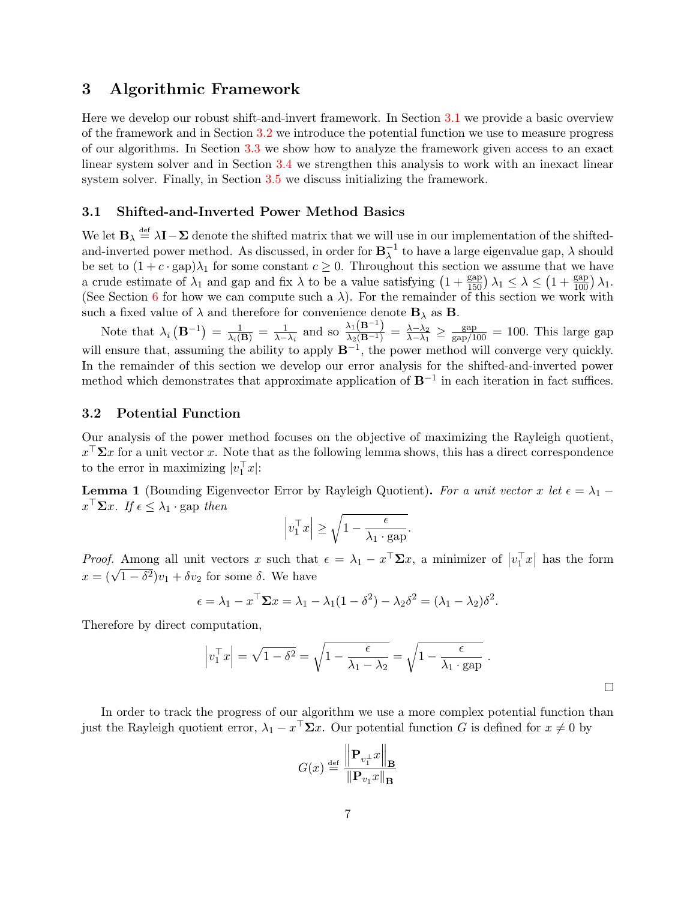# <span id="page-7-0"></span>3 Algorithmic Framework

Here we develop our robust shift-and-invert framework. In Section [3.1](#page-7-1) we provide a basic overview of the framework and in Section [3.2](#page-7-2) we introduce the potential function we use to measure progress of our algorithms. In Section [3.3](#page-8-0) we show how to analyze the framework given access to an exact linear system solver and in Section [3.4](#page-9-0) we strengthen this analysis to work with an inexact linear system solver. Finally, in Section [3.5](#page-13-0) we discuss initializing the framework.

### <span id="page-7-1"></span>3.1 Shifted-and-Inverted Power Method Basics

We let  $\mathbf{B}_{\lambda} \stackrel{\text{def}}{=} \lambda \mathbf{I} - \Sigma$  denote the shifted matrix that we will use in our implementation of the shiftedand-inverted power method. As discussed, in order for  $\mathbf{B}_{\lambda}^{-1}$  $_{\lambda}^{-1}$  to have a large eigenvalue gap,  $\lambda$  should be set to  $(1 + c \cdot \text{gap})\lambda_1$  for some constant  $c \geq 0$ . Throughout this section we assume that we have a crude estimate of  $\lambda_1$  and gap and fix  $\lambda$  to be a value satisfying  $\left(1+\frac{\text{gap}}{150}\right)\lambda_1 \leq \lambda \leq \left(1+\frac{\text{gap}}{100}\right)\lambda_1$ . (See Section [6](#page-28-0) for how we can compute such a  $\lambda$ ). For the remainder of this section we work with such a fixed value of  $\lambda$  and therefore for convenience denote  $\mathbf{B}_{\lambda}$  as **B**.

Note that  $\lambda_i\left(\mathbf{B}^{-1}\right) = \frac{1}{\lambda_i(\mathbf{B})} = \frac{1}{\lambda - \lambda_i}$  and so  $\frac{\lambda_1(\mathbf{B}^{-1})}{\lambda_2(\mathbf{B}^{-1})} = \frac{\lambda - \lambda_2}{\lambda - \lambda_1}$  $\frac{\lambda-\lambda_2}{\lambda-\lambda_1} \geq \frac{\text{gap}}{\text{gap}/100} = 100$ . This large gap will ensure that, assuming the ability to apply  $B^{-1}$ , the power method will converge very quickly. In the remainder of this section we develop our error analysis for the shifted-and-inverted power method which demonstrates that approximate application of  $B^{-1}$  in each iteration in fact suffices.

### <span id="page-7-2"></span>3.2 Potential Function

Our analysis of the power method focuses on the objective of maximizing the Rayleigh quotient,  $x^{\top} \Sigma x$  for a unit vector x. Note that as the following lemma shows, this has a direct correspondence to the error in maximizing  $|v_1^\top x|$ :

<span id="page-7-3"></span>**Lemma 1** (Bounding Eigenvector Error by Rayleigh Quotient). For a unit vector x let  $\epsilon = \lambda_1$  –  $x^{\top} \Sigma x$ . If  $\epsilon \leq \lambda_1 \cdot \text{gap}$  then

$$
\left| v_1^\top x \right| \ge \sqrt{1 - \frac{\epsilon}{\lambda_1 \cdot \text{gap}}}.
$$

*Proof.* Among all unit vectors x such that  $\epsilon = \lambda_1 - x^{\top} \Sigma x$ , a minimizer of  $|v_1^{\top} x|$  has the form  $x = (\sqrt{1-\delta^2})v_1 + \delta v_2$  for some  $\delta$ . We have

$$
\epsilon = \lambda_1 - x^\top \Sigma x = \lambda_1 - \lambda_1 (1 - \delta^2) - \lambda_2 \delta^2 = (\lambda_1 - \lambda_2) \delta^2.
$$

Therefore by direct computation,

$$
\left| v_1^\top x \right| = \sqrt{1 - \delta^2} = \sqrt{1 - \frac{\epsilon}{\lambda_1 - \lambda_2}} = \sqrt{1 - \frac{\epsilon}{\lambda_1 \cdot \text{gap}}}.
$$

 $\Box$ 

In order to track the progress of our algorithm we use a more complex potential function than just the Rayleigh quotient error,  $\lambda_1 - x^{\top} \Sigma x$ . Our potential function G is defined for  $x \neq 0$  by

$$
G(x) \stackrel{\text{def}}{=} \frac{\left\| \mathbf{P}_{v_1^{\perp}} x \right\|_{\mathbf{B}}}{\left\| \mathbf{P}_{v_1} x \right\|_{\mathbf{B}}}
$$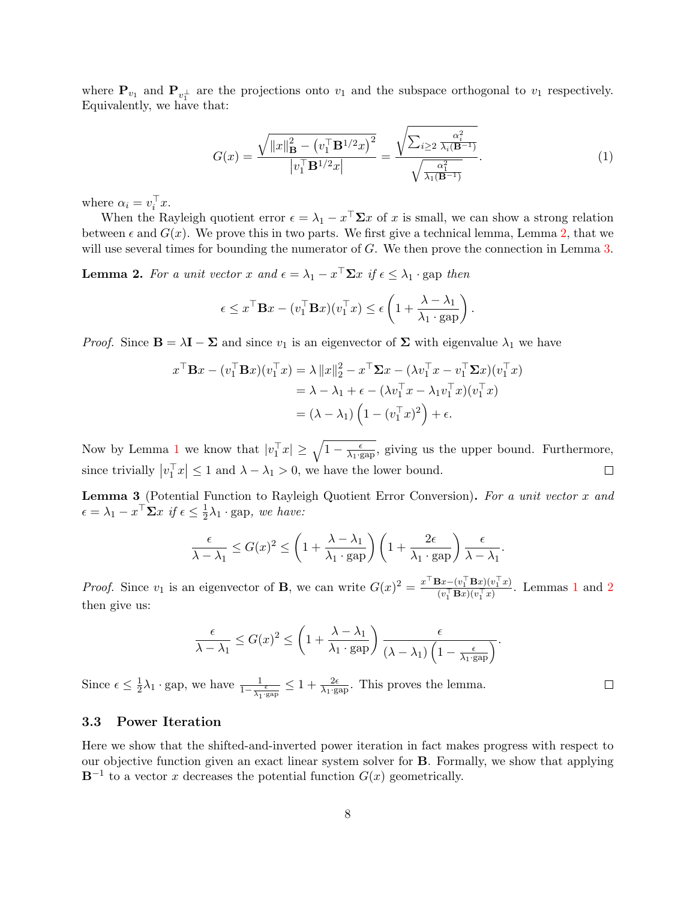where  $P_{v_1}$  and  $P_{v_1^{\perp}}$  are the projections onto  $v_1$  and the subspace orthogonal to  $v_1$  respectively. Equivalently, we have that:

<span id="page-8-3"></span>
$$
G(x) = \frac{\sqrt{\|x\|_{\mathbf{B}}^2 - (v_1^{\top} \mathbf{B}^{1/2} x)^2}}{|v_1^{\top} \mathbf{B}^{1/2} x|} = \frac{\sqrt{\sum_{i \ge 2} \frac{\alpha_i^2}{\lambda_i(\mathbf{B}^{-1})}}}{\sqrt{\frac{\alpha_1^2}{\lambda_1(\mathbf{B}^{-1})}}}.
$$
(1)

where  $\alpha_i = v_i^{\top} x$ .

When the Rayleigh quotient error  $\epsilon = \lambda_1 - x^{\top} \Sigma x$  of x is small, we can show a strong relation between  $\epsilon$  and  $G(x)$ . We prove this in two parts. We first give a technical lemma, Lemma [2,](#page-8-1) that we will use several times for bounding the numerator of G. We then prove the connection in Lemma [3.](#page-8-2)

<span id="page-8-1"></span>**Lemma 2.** For a unit vector x and  $\epsilon = \lambda_1 - x^{\top} \Sigma x$  if  $\epsilon \leq \lambda_1 \cdot$  gap then

$$
\epsilon \leq x^{\top} \mathbf{B} x - (v_1^{\top} \mathbf{B} x)(v_1^{\top} x) \leq \epsilon \left(1 + \frac{\lambda - \lambda_1}{\lambda_1 \cdot \text{gap}}\right).
$$

*Proof.* Since  $\mathbf{B} = \lambda \mathbf{I} - \Sigma$  and since  $v_1$  is an eigenvector of  $\Sigma$  with eigenvalue  $\lambda_1$  we have

$$
x^{\top} \mathbf{B} x - (v_1^{\top} \mathbf{B} x)(v_1^{\top} x) = \lambda ||x||_2^2 - x^{\top} \Sigma x - (\lambda v_1^{\top} x - v_1^{\top} \Sigma x)(v_1^{\top} x)
$$
  

$$
= \lambda - \lambda_1 + \epsilon - (\lambda v_1^{\top} x - \lambda_1 v_1^{\top} x)(v_1^{\top} x)
$$
  

$$
= (\lambda - \lambda_1) \left(1 - (v_1^{\top} x)^2\right) + \epsilon.
$$

Now by Lemma [1](#page-7-3) we know that  $|v_1^\top x| \geq \sqrt{1 - \frac{\epsilon}{\lambda_1 \cdot \text{gap}}},$  giving us the upper bound. Furthermore, since trivially  $|v_1^\top x| \leq 1$  and  $\lambda - \lambda_1 > 0$ , we have the lower bound.  $\Box$ 

<span id="page-8-2"></span>Lemma 3 (Potential Function to Rayleigh Quotient Error Conversion). For a unit vector x and  $\epsilon = \lambda_1 - x^{\top} \Sigma x \text{ if } \epsilon \leq \frac{1}{2}$  $\frac{1}{2}\lambda_1$  · gap, we have:

$$
\frac{\epsilon}{\lambda - \lambda_1} \le G(x)^2 \le \left(1 + \frac{\lambda - \lambda_1}{\lambda_1 \cdot \text{gap}}\right) \left(1 + \frac{2\epsilon}{\lambda_1 \cdot \text{gap}}\right) \frac{\epsilon}{\lambda - \lambda_1}.
$$

*Proof.* Since  $v_1$  is an eigenvector of **B**, we can write  $G(x)^2 = \frac{x^{\top} \mathbf{B} x - (v_1^{\top} \mathbf{B} x)(v_1^{\top} x)}{(v_1^{\top} \mathbf{B} x)(v_1^{\top} x)}$  $\frac{\partial x - (v_1 \mathbf{B}x)(v_1 \, x)}{(v_1^\top \mathbf{B}x)(v_1^\top x)}$  $\frac{\partial x - (v_1 \mathbf{B}x)(v_1 \, x)}{(v_1^\top \mathbf{B}x)(v_1^\top x)}$  $\frac{\partial x - (v_1 \mathbf{B}x)(v_1 \, x)}{(v_1^\top \mathbf{B}x)(v_1^\top x)}$ . Lemmas 1 and [2](#page-8-1) then give us:

$$
\frac{\epsilon}{\lambda - \lambda_1} \le G(x)^2 \le \left(1 + \frac{\lambda - \lambda_1}{\lambda_1 \cdot \text{gap}}\right) \frac{\epsilon}{(\lambda - \lambda_1) \left(1 - \frac{\epsilon}{\lambda_1 \cdot \text{gap}}\right)}.
$$

 $\Box$ 

Since  $\epsilon \leq \frac{1}{2}$  $\frac{1}{2}\lambda_1 \cdot \text{gap}$ , we have  $\frac{1}{1-\frac{\epsilon}{\lambda_1 \cdot \text{gap}}} \leq 1 + \frac{2\epsilon}{\lambda_1 \cdot \text{gap}}$ . This proves the lemma.

### <span id="page-8-0"></span>3.3 Power Iteration

Here we show that the shifted-and-inverted power iteration in fact makes progress with respect to our objective function given an exact linear system solver for B. Formally, we show that applying  **to a vector x decreases the potential function**  $G(x)$  **geometrically.**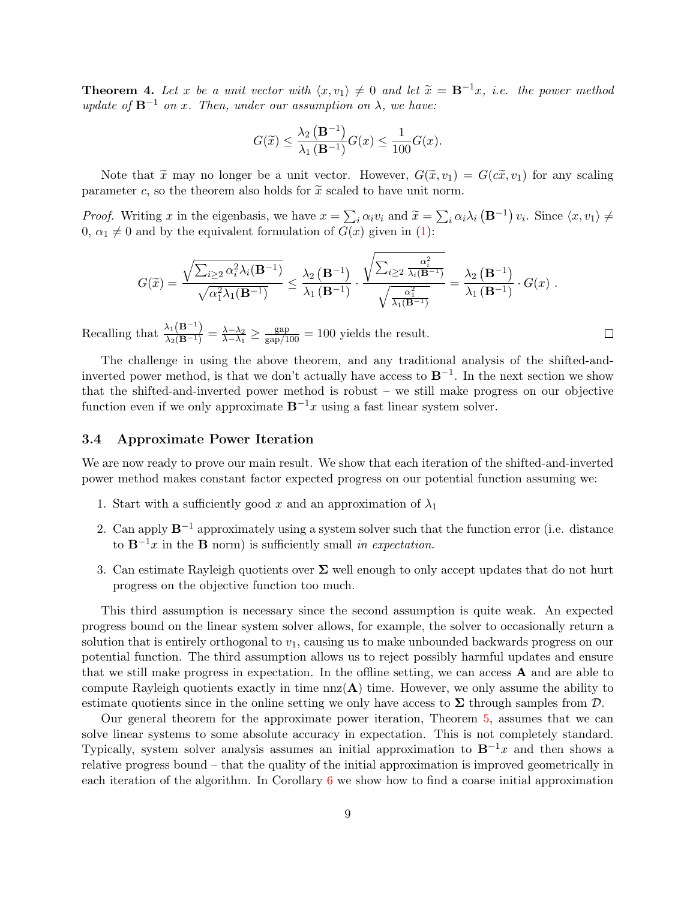<span id="page-9-1"></span>**Theorem 4.** Let x be a unit vector with  $\langle x, v_1 \rangle \neq 0$  and let  $\tilde{x} = \mathbf{B}^{-1}x$ , i.e. the power method update of  $\mathbf{B}^{-1}$  on x. Then, under our assumption on  $\lambda$ , we have:

$$
G(\widetilde{x}) \le \frac{\lambda_2 \left( \mathbf{B}^{-1} \right)}{\lambda_1 \left( \mathbf{B}^{-1} \right)} G(x) \le \frac{1}{100} G(x).
$$

Note that  $\tilde{x}$  may no longer be a unit vector. However,  $G(\tilde{x}, v_1) = G(c\tilde{x}, v_1)$  for any scaling parameter c, so the theorem also holds for  $\tilde{x}$  scaled to have unit norm.

*Proof.* Writing x in the eigenbasis, we have  $x = \sum_i \alpha_i v_i$  and  $\tilde{x} = \sum_i \alpha_i \lambda_i \left( \mathbf{B}^{-1} \right) v_i$ . Since  $\langle x, v_1 \rangle \neq 0$ ,  $\alpha_i \neq 0$  and by the equivalent formulation of  $C(x)$  given in (1).  $0, \alpha_1 \neq 0$  and by the equivalent formulation of  $G(x)$  given in [\(1\)](#page-8-3):

$$
G(\widetilde{x}) = \frac{\sqrt{\sum_{i\geq 2} \alpha_i^2 \lambda_i(\mathbf{B}^{-1})}}{\sqrt{\alpha_1^2 \lambda_1(\mathbf{B}^{-1})}} \leq \frac{\lambda_2(\mathbf{B}^{-1})}{\lambda_1(\mathbf{B}^{-1})} \cdot \frac{\sqrt{\sum_{i\geq 2} \frac{\alpha_i^2}{\lambda_i(\mathbf{B}^{-1})}}}{\sqrt{\frac{\alpha_1^2}{\lambda_1(\mathbf{B}^{-1})}}} = \frac{\lambda_2(\mathbf{B}^{-1})}{\lambda_1(\mathbf{B}^{-1})} \cdot G(x) .
$$

 $\Box$ 

Recalling that  $\frac{\lambda_1(\mathbf{B}^{-1})}{\lambda_2(\mathbf{B}^{-1})} = \frac{\lambda - \lambda_2}{\lambda - \lambda_1}$  $\frac{\lambda-\lambda_2}{\lambda-\lambda_1} \geq \frac{\text{gap}}{\text{gap}/100} = 100$  yields the result.

The challenge in using the above theorem, and any traditional analysis of the shifted-andinverted power method, is that we don't actually have access to  $B^{-1}$ . In the next section we show that the shifted-and-inverted power method is robust – we still make progress on our objective function even if we only approximate  $\mathbf{B}^{-1}x$  using a fast linear system solver.

#### <span id="page-9-0"></span>3.4 Approximate Power Iteration

We are now ready to prove our main result. We show that each iteration of the shifted-and-inverted power method makes constant factor expected progress on our potential function assuming we:

- 1. Start with a sufficiently good x and an approximation of  $\lambda_1$
- 2. Can apply  $\mathbf{B}^{-1}$  approximately using a system solver such that the function error (i.e. distance to  $\mathbf{B}^{-1}x$  in the **B** norm) is sufficiently small in expectation.
- 3. Can estimate Rayleigh quotients over  $\Sigma$  well enough to only accept updates that do not hurt progress on the objective function too much.

This third assumption is necessary since the second assumption is quite weak. An expected progress bound on the linear system solver allows, for example, the solver to occasionally return a solution that is entirely orthogonal to  $v_1$ , causing us to make unbounded backwards progress on our potential function. The third assumption allows us to reject possibly harmful updates and ensure that we still make progress in expectation. In the offline setting, we can access A and are able to compute Rayleigh quotients exactly in time  $nnz(A)$  time. However, we only assume the ability to estimate quotients since in the online setting we only have access to  $\Sigma$  through samples from  $D$ .

Our general theorem for the approximate power iteration, Theorem [5,](#page-10-0) assumes that we can solve linear systems to some absolute accuracy in expectation. This is not completely standard. Typically, system solver analysis assumes an initial approximation to  $B^{-1}x$  and then shows a relative progress bound – that the quality of the initial approximation is improved geometrically in each iteration of the algorithm. In Corollary [6](#page-13-1) we show how to find a coarse initial approximation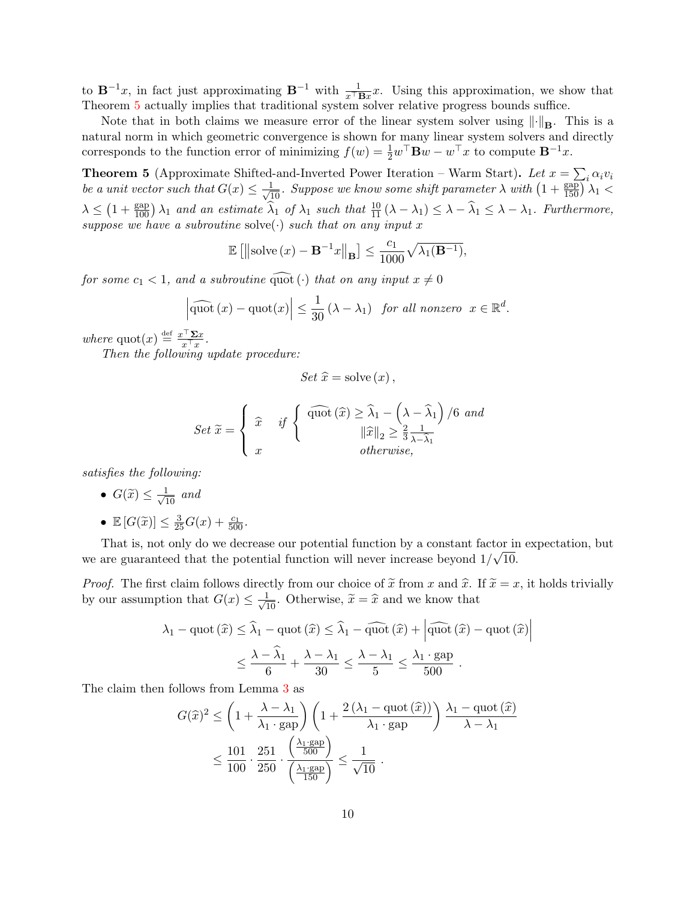to  $\mathbf{B}^{-1}x$ , in fact just approximating  $\mathbf{B}^{-1}$  with  $\frac{1}{x^{\top} \mathbf{B} x}x$ . Using this approximation, we show that Theorem [5](#page-10-0) actually implies that traditional system solver relative progress bounds suffice.

Note that in both claims we measure error of the linear system solver using  $\left\|\cdot\right\|_{\mathbf{B}}$ . This is a natural norm in which geometric convergence is shown for many linear system solvers and directly corresponds to the function error of minimizing  $f(w) = \frac{1}{2}w^{\top} \mathbf{B}w - w^{\top}x$  to compute  $\mathbf{B}^{-1}x$ .

<span id="page-10-0"></span>**Theorem 5** (Approximate Shifted-and-Inverted Power Iteration – Warm Start). Let  $x = \sum_i \alpha_i v_i$ be a unit vector such that  $G(x) \leq \frac{1}{\sqrt{10}}$ . Suppose we know some shift parameter  $\lambda$  with  $\left(1+\frac{\text{gap}}{150}\right)\lambda_1$  $\lambda \leq (1 + \frac{\text{gap}}{100}) \lambda_1$  and an estimate  $\widehat{\lambda}_1$  of  $\lambda_1$  such that  $\frac{10}{11} (\lambda - \lambda_1) \leq \lambda - \widehat{\lambda}_1 \leq \lambda - \lambda_1$ . Furthermore, suppose we have a subroutine solve( $\cdot$ ) such that on any input x

$$
\mathbb{E}\left[\left\|\mathrm{solve}\left(x\right) - \mathbf{B}^{-1}x\right\|_{\mathbf{B}}\right] \le \frac{c_1}{1000} \sqrt{\lambda_1(\mathbf{B}^{-1})},
$$

for some  $c_1 < 1$ , and a subroutine quot ( $\cdot$ ) that on any input  $x \neq 0$ 

$$
\left|\widehat{\mathrm{quot}}\,(x)-\mathrm{quot}(x)\right|\leq\frac{1}{30}\left(\lambda-\lambda_1\right)\,\,\text{for all nonzero}\,\,\,x\in\mathbb{R}^d.
$$

where  $\text{quot}(x) \stackrel{\text{def}}{=} \frac{x^{\top} \Sigma x}{x^{\top} x}$  $\frac{x}{x^{\top}x}$ .

Then the following update procedure:

$$
Set\ \hat{x} = \mathrm{solve}\left(x\right),\
$$

$$
Set\ \widetilde{x} = \begin{cases} \widehat{x} & \text{if } \begin{cases} \widehat{a} & \text{if } \left( \widehat{x} \right) \geq \widehat{\lambda}_1 - \left( \lambda - \widehat{\lambda}_1 \right) / 6 \text{ and } \\ x & \text{otherwise,} \end{cases} \\ x & \text{otherwise,} \end{cases}
$$

satisfies the following:

- $G(\widetilde{x}) \leq \frac{1}{\sqrt{10}}$  and
- $\mathbb{E}[G(\tilde{x})] \leq \frac{3}{25}G(x) + \frac{c_1}{500}.$

That is, not only do we decrease our potential function by a constant factor in expectation, but we are guaranteed that the potential function will never increase beyond  $1/\sqrt{10}$ .

*Proof.* The first claim follows directly from our choice of  $\tilde{x}$  from x and  $\hat{x}$ . If  $\tilde{x} = x$ , it holds trivially by our assumption that  $G(x) \leq \frac{1}{\sqrt{10}}$ . Otherwise,  $\tilde{x} = \hat{x}$  and we know that

$$
\lambda_1 - \text{quot}(\widehat{x}) \le \widehat{\lambda}_1 - \text{quot}(\widehat{x}) \le \widehat{\lambda}_1 - \widehat{\text{quot}}(\widehat{x}) + \left| \widehat{\text{quot}}(\widehat{x}) - \text{quot}(\widehat{x}) \right|
$$

$$
\le \frac{\lambda - \widehat{\lambda}_1}{6} + \frac{\lambda - \lambda_1}{30} \le \frac{\lambda - \lambda_1}{5} \le \frac{\lambda_1 \cdot \text{gap}}{500}.
$$

The claim then follows from Lemma [3](#page-8-2) as

$$
G(\widehat{x})^2 \le \left(1 + \frac{\lambda - \lambda_1}{\lambda_1 \cdot \text{gap}}\right) \left(1 + \frac{2\left(\lambda_1 - \text{quot}(\widehat{x})\right)}{\lambda_1 \cdot \text{gap}}\right) \frac{\lambda_1 - \text{quot}(\widehat{x})}{\lambda - \lambda_1}
$$

$$
\le \frac{101}{100} \cdot \frac{251}{250} \cdot \frac{\left(\frac{\lambda_1 \cdot \text{gap}}{500}\right)}{\left(\frac{\lambda_1 \cdot \text{gap}}{150}\right)} \le \frac{1}{\sqrt{10}}.
$$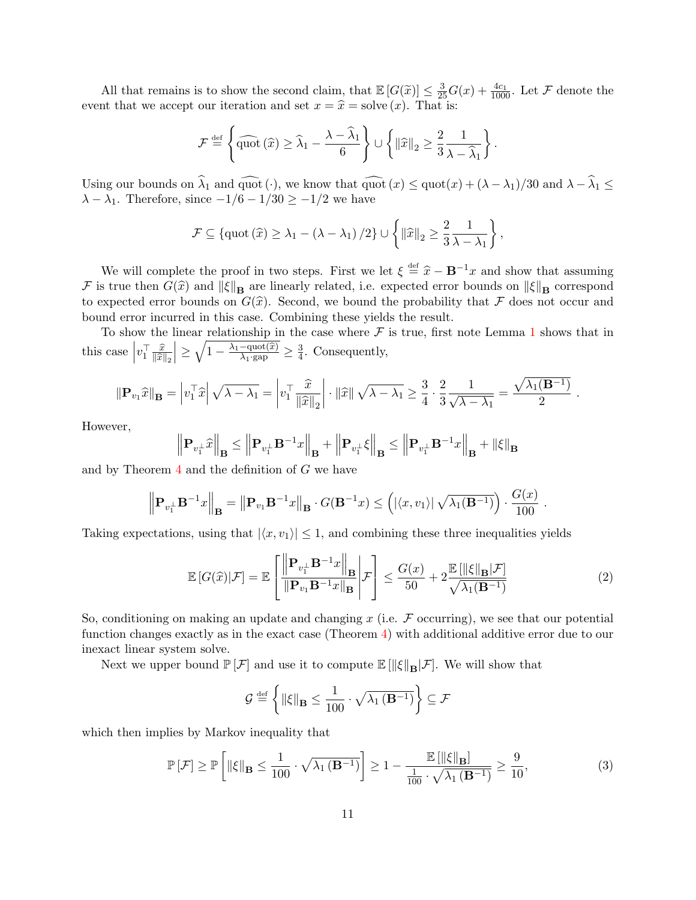All that remains is to show the second claim, that  $\mathbb{E}[G(\tilde{x})] \leq \frac{3}{25}G(x) + \frac{4c_1}{1000}$ . Let F denote the event that we accept our iteration and set  $x = \hat{x} =$  solve  $(x)$ . That is:

$$
\mathcal{F} \stackrel{\text{def}}{=} \left\{ \widehat{\text{quot}}\left(\widehat{x}\right) \ge \widehat{\lambda}_1 - \frac{\lambda - \widehat{\lambda}_1}{6} \right\} \cup \left\{ \|\widehat{x}\|_2 \ge \frac{2}{3} \frac{1}{\lambda - \widehat{\lambda}_1} \right\}.
$$

Using our bounds on  $\widehat{\lambda}_1$  and  $\widehat{\text{quot}} (\cdot)$ , we know that  $\widehat{\text{quot}}(x) \leq \text{quot}(x) + (\lambda - \lambda_1)/30$  and  $\lambda - \widehat{\lambda}_1 \leq$  $\lambda - \lambda_1$ . Therefore, since  $-\frac{1}{6} - \frac{1}{30} \ge -\frac{1}{2}$  we have

$$
\mathcal{F} \subseteq \left\{ \text{quot}\left(\widehat{x}\right) \geq \lambda_1 - \left(\lambda - \lambda_1\right)/2 \right\} \cup \left\{ \|\widehat{x}\|_2 \geq \frac{2}{3} \frac{1}{\lambda - \lambda_1} \right\},\
$$

We will complete the proof in two steps. First we let  $\xi \stackrel{\text{def}}{=} \hat{x} - \mathbf{B}^{-1}x$  and show that assuming<br>a true then  $C(\hat{x})$  and  $||\xi||$  are linearly related i.e. expected error bounds on  $||\xi||$  correspond F is true then  $G(\hat{x})$  and  $\|\xi\|_{\mathbf{B}}$  are linearly related, i.e. expected error bounds on  $\|\xi\|_{\mathbf{B}}$  correspond to expected error bounds on  $G(\hat{x})$ . Second, we bound the probability that F does not occur and bound error incurred in this case. Combining these yields the result.

To show the linear relationship in the case where  $\mathcal F$  is true, first note Lemma [1](#page-7-3) shows that in this case  $\Big|$  $v_1^\top \frac{\widehat{x}}{\|\widehat{x}\|}$  $\left\Vert \widehat{x}\right\Vert _{2}$  $\left| \geq \sqrt{1 - \frac{\lambda_1 - \text{quot}(\widehat{x})}{\lambda_1 \cdot \text{gap}}} \geq \frac{3}{4} \right|$  $\frac{3}{4}$ . Consequently,

$$
\|\mathbf{P}_{v_1}\widehat{x}\|_{\mathbf{B}} = \left|v_1^\top \widehat{x}\right| \sqrt{\lambda - \lambda_1} = \left|v_1^\top \frac{\widehat{x}}{\|\widehat{x}\|_2}\right| \cdot \|\widehat{x}\| \sqrt{\lambda - \lambda_1} \ge \frac{3}{4} \cdot \frac{2}{3} \frac{1}{\sqrt{\lambda - \lambda_1}} = \frac{\sqrt{\lambda_1(\mathbf{B}^{-1})}}{2}.
$$

However,

$$
\left\| \mathbf{P}_{v_{1}^{\perp}} \widehat{x} \right\|_{\mathbf{B}} \le \left\| \mathbf{P}_{v_{1}^{\perp}} \mathbf{B}^{-1} x \right\|_{\mathbf{B}} + \left\| \mathbf{P}_{v_{1}^{\perp}} \xi \right\|_{\mathbf{B}} \le \left\| \mathbf{P}_{v_{1}^{\perp}} \mathbf{B}^{-1} x \right\|_{\mathbf{B}} + \|\xi\|_{\mathbf{B}}
$$

and by Theorem [4](#page-9-1) and the definition of G we have

$$
\left\| \mathbf{P}_{v_1^{\perp}} \mathbf{B}^{-1} x \right\|_{\mathbf{B}} = \left\| \mathbf{P}_{v_1} \mathbf{B}^{-1} x \right\|_{\mathbf{B}} \cdot G(\mathbf{B}^{-1} x) \le \left( |\langle x, v_1 \rangle| \sqrt{\lambda_1(\mathbf{B}^{-1})} \right) \cdot \frac{G(x)}{100} .
$$

Taking expectations, using that  $|\langle x, v_1 \rangle| \leq 1$ , and combining these three inequalities yields

<span id="page-11-1"></span>
$$
\mathbb{E}\left[G(\widehat{x})|\mathcal{F}\right] = \mathbb{E}\left[\frac{\left\|\mathbf{P}_{v_1} \mathbf{B}^{-1} x\right\|_{\mathbf{B}}}{\left\|\mathbf{P}_{v_1} \mathbf{B}^{-1} x\right\|_{\mathbf{B}}}\bigg|\mathcal{F}\right] \le \frac{G(x)}{50} + 2\frac{\mathbb{E}\left[\left\|\xi\right\|_{\mathbf{B}}|\mathcal{F}\right]}{\sqrt{\lambda_1(\mathbf{B}^{-1})}}\tag{2}
$$

So, conditioning on making an update and changing  $x$  (i.e.  $\mathcal F$  occurring), we see that our potential function changes exactly as in the exact case (Theorem [4\)](#page-9-1) with additional additive error due to our inexact linear system solve.

Next we upper bound  $\mathbb{P}[\mathcal{F}]$  and use it to compute  $\mathbb{E}[\|\xi\|_{\mathbf{B}}|\mathcal{F}]$ . We will show that

<span id="page-11-0"></span>
$$
\mathcal{G} \stackrel{\text{\tiny def}}{=} \left\{\left\Vert \xi \right\Vert_{\mathbf{B}} \leq \frac{1}{100} \cdot \sqrt{\lambda_1\left(\mathbf{B}^{-1}\right)} \right\} \subseteq \mathcal{F}
$$

which then implies by Markov inequality that

$$
\mathbb{P}\left[\mathcal{F}\right] \ge \mathbb{P}\left[\left\|\xi\right\|_{\mathbf{B}} \le \frac{1}{100} \cdot \sqrt{\lambda_1 \left(\mathbf{B}^{-1}\right)}\right] \ge 1 - \frac{\mathbb{E}\left[\left\|\xi\right\|_{\mathbf{B}}\right]}{\frac{1}{100} \cdot \sqrt{\lambda_1 \left(\mathbf{B}^{-1}\right)}} \ge \frac{9}{10},\tag{3}
$$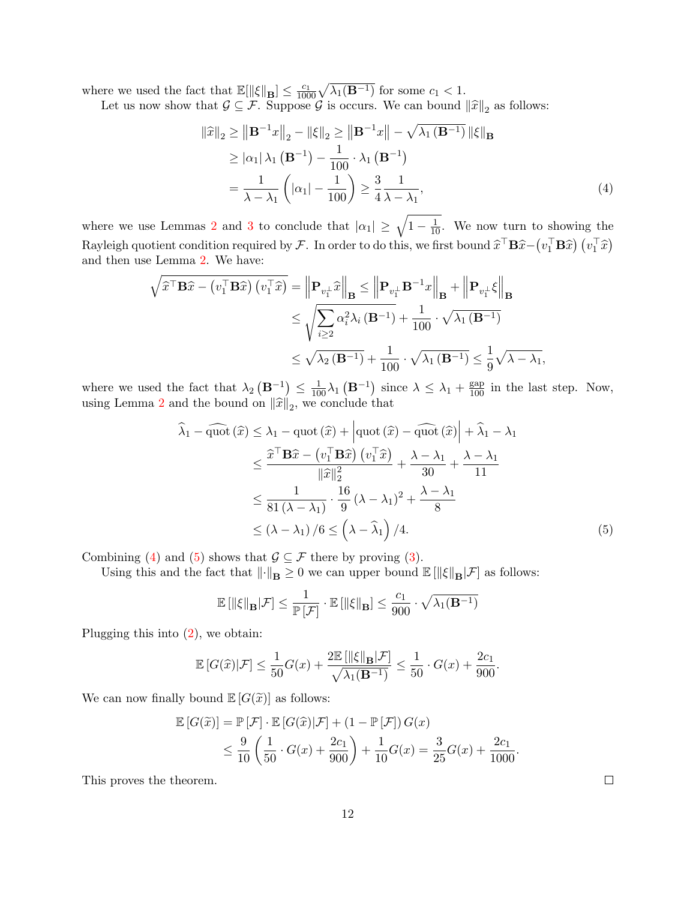where we used the fact that  $\mathbb{E}[\|\xi\|_{\mathbf{B}}] \leq \frac{c_1}{1000} \sqrt{\lambda_1(\mathbf{B}^{-1})}$  for some  $c_1 < 1$ .

Let us now show that  $\mathcal{G} \subseteq \mathcal{F}$ . Suppose  $\mathcal{G}$  is occurs. We can bound  $\|\hat{x}\|_2$  as follows:

<span id="page-12-0"></span>
$$
\|\widehat{x}\|_2 \ge \left\|\mathbf{B}^{-1}x\right\|_2 - \|\xi\|_2 \ge \left\|\mathbf{B}^{-1}x\right\| - \sqrt{\lambda_1 \left(\mathbf{B}^{-1}\right)} \|\xi\|_{\mathbf{B}}
$$
  
\n
$$
\ge |\alpha_1| \lambda_1 \left(\mathbf{B}^{-1}\right) - \frac{1}{100} \cdot \lambda_1 \left(\mathbf{B}^{-1}\right)
$$
  
\n
$$
= \frac{1}{\lambda - \lambda_1} \left( |\alpha_1| - \frac{1}{100} \right) \ge \frac{3}{4} \frac{1}{\lambda - \lambda_1},
$$
 (4)

where we use Lemmas [2](#page-8-1) and [3](#page-8-2) to conclude that  $|\alpha_1| \geq \sqrt{1 - \frac{1}{10}}$ . We now turn to showing the Rayleigh quotient condition required by F. In order to do this, we first bound  $\hat{x}^{\top} \mathbf{B} \hat{x} - (v_1^{\top} \mathbf{B} \hat{x}) (v_1^{\top} \hat{x})$ and then use Lemma [2.](#page-8-1) We have:

$$
\sqrt{\hat{x}^{\top} \mathbf{B} \hat{x} - (v_1^{\top} \mathbf{B} \hat{x}) (v_1^{\top} \hat{x})} = \left\| \mathbf{P}_{v_1^{\perp}} \hat{x} \right\|_{\mathbf{B}} \le \left\| \mathbf{P}_{v_1^{\perp}} \mathbf{B}^{-1} x \right\|_{\mathbf{B}} + \left\| \mathbf{P}_{v_1^{\perp}} \xi \right\|_{\mathbf{B}}
$$
  
\n
$$
\le \sqrt{\sum_{i \ge 2} \alpha_i^2 \lambda_i (\mathbf{B}^{-1})} + \frac{1}{100} \cdot \sqrt{\lambda_1 (\mathbf{B}^{-1})}
$$
  
\n
$$
\le \sqrt{\lambda_2 (\mathbf{B}^{-1})} + \frac{1}{100} \cdot \sqrt{\lambda_1 (\mathbf{B}^{-1})} \le \frac{1}{9} \sqrt{\lambda - \lambda_1},
$$

where we used the fact that  $\lambda_2(\mathbf{B}^{-1}) \leq \frac{1}{100}\lambda_1(\mathbf{B}^{-1})$  since  $\lambda \leq \lambda_1 + \frac{\text{gap}}{100}$  in the last step. Now, using Lemma [2](#page-8-1) and the bound on  $\|\hat{x}\|_2$ , we conclude that

$$
\widehat{\lambda}_{1} - \widehat{\text{quot}}\left(\widehat{x}\right) \leq \lambda_{1} - \text{quot}\left(\widehat{x}\right) + \left|\text{quot}\left(\widehat{x}\right) - \widehat{\text{quot}}\left(\widehat{x}\right)\right| + \widehat{\lambda}_{1} - \lambda_{1}
$$
\n
$$
\leq \frac{\widehat{x}^{\top} \mathbf{B} \widehat{x} - \left(v_{1}^{\top} \mathbf{B} \widehat{x}\right)\left(v_{1}^{\top} \widehat{x}\right)}{\|\widehat{x}\|_{2}^{2}} + \frac{\lambda - \lambda_{1}}{30} + \frac{\lambda - \lambda_{1}}{11}
$$
\n
$$
\leq \frac{1}{81\left(\lambda - \lambda_{1}\right)} \cdot \frac{16}{9} \left(\lambda - \lambda_{1}\right)^{2} + \frac{\lambda - \lambda_{1}}{8}
$$
\n
$$
\leq (\lambda - \lambda_{1}) / 6 \leq \left(\lambda - \widehat{\lambda}_{1}\right) / 4. \tag{5}
$$

Combining [\(4\)](#page-12-0) and [\(5\)](#page-12-1) shows that  $\mathcal{G} \subseteq \mathcal{F}$  there by proving [\(3\)](#page-11-0).

Using this and the fact that  $\|\cdot\|_{\mathbf{B}} \geq 0$  we can upper bound  $\mathbb{E}[\|\xi\|_{\mathbf{B}}|\mathcal{F}]$  as follows:

$$
\mathbb{E} \left[ \|\xi\|_{\mathbf{B}} |\mathcal{F} \right] \le \frac{1}{\mathbb{P} \left[ \mathcal{F} \right]} \cdot \mathbb{E} \left[ \|\xi\|_{\mathbf{B}} \right] \le \frac{c_1}{900} \cdot \sqrt{\lambda_1(\mathbf{B}^{-1})}
$$

Plugging this into [\(2\)](#page-11-1), we obtain:

$$
\mathbb{E}\left[G(\widehat{x})|\mathcal{F}\right]\leq \frac{1}{50}G(x)+\frac{2\mathbb{E}\left[\left\Vert \xi\right\Vert_{\mathbf{B}}|\mathcal{F}\right]}{\sqrt{\lambda_1(\mathbf{B}^{-1})}}\leq \frac{1}{50}\cdot G(x)+\frac{2c_1}{900}
$$

We can now finally bound  $\mathbb{E}[G(\tilde{x})]$  as follows:

$$
\mathbb{E}\left[G(\widetilde{x})\right] = \mathbb{P}\left[\mathcal{F}\right] \cdot \mathbb{E}\left[G(\widehat{x})|\mathcal{F}\right] + \left(1 - \mathbb{P}\left[\mathcal{F}\right]\right)G(x)
$$
\n
$$
\leq \frac{9}{10}\left(\frac{1}{50}\cdot G(x) + \frac{2c_1}{900}\right) + \frac{1}{10}G(x) = \frac{3}{25}G(x) + \frac{2c_1}{1000}.
$$

This proves the theorem.

 $\Box$ 

<span id="page-12-1"></span>.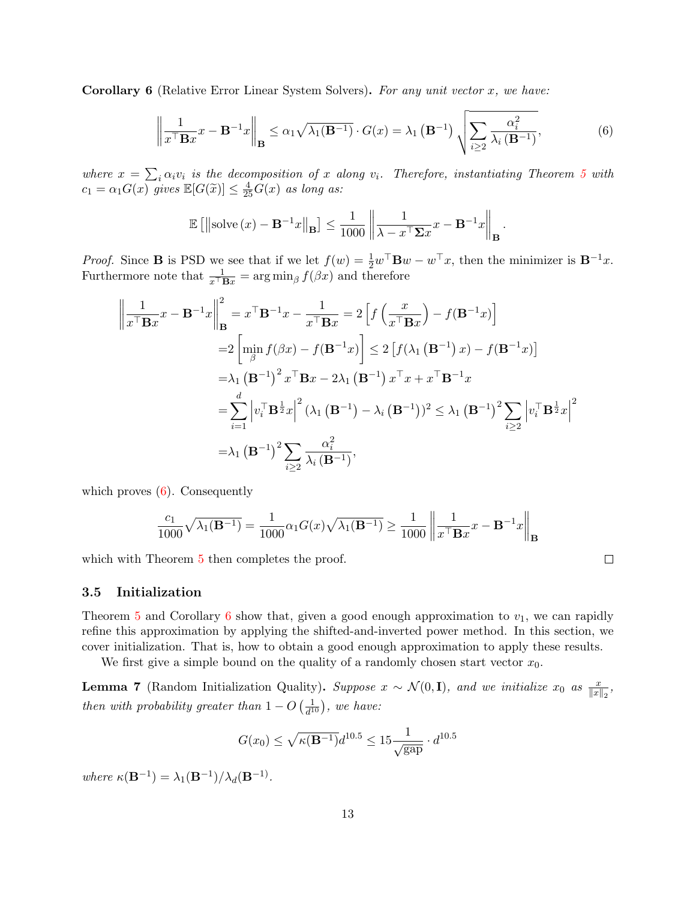<span id="page-13-1"></span>**Corollary 6** (Relative Error Linear System Solvers). For any unit vector x, we have:

<span id="page-13-2"></span>
$$
\left\| \frac{1}{x^{\top} \mathbf{B} x} x - \mathbf{B}^{-1} x \right\|_{\mathbf{B}} \le \alpha_1 \sqrt{\lambda_1(\mathbf{B}^{-1})} \cdot G(x) = \lambda_1(\mathbf{B}^{-1}) \sqrt{\sum_{i \ge 2} \frac{\alpha_i^2}{\lambda_i(\mathbf{B}^{-1})}},\tag{6}
$$

.

where  $x = \sum_i \alpha_i v_i$  is the decomposition of x along  $v_i$ . Therefore, instantiating Theorem [5](#page-10-0) with  $c_1 = \alpha_1 G(x)$  gives  $\mathbb{E}[G(\tilde{x})] \leq \frac{4}{25}G(x)$  as long as:

$$
\mathbb{E}\left[\left\|\text{solve}\left(x\right) - \mathbf{B}^{-1}x\right\|_{\mathbf{B}}\right] \le \frac{1}{1000} \left\|\frac{1}{\lambda - x^{\top} \Sigma x}x - \mathbf{B}^{-1}x\right\|_{\mathbf{B}}
$$

*Proof.* Since **B** is PSD we see that if we let  $f(w) = \frac{1}{2}w^{\top}$ **B** $w - w^{\top}x$ , then the minimizer is **B**<sup>-1</sup>x. Furthermore note that  $\frac{1}{x^{\top}Bx} = \arg \min_{\beta} f(\beta x)$  and therefore

$$
\left\| \frac{1}{x^{\top} \mathbf{B} x} x - \mathbf{B}^{-1} x \right\|_{\mathbf{B}}^{2} = x^{\top} \mathbf{B}^{-1} x - \frac{1}{x^{\top} \mathbf{B} x} = 2 \left[ f \left( \frac{x}{x^{\top} \mathbf{B} x} \right) - f(\mathbf{B}^{-1} x) \right]
$$
  
\n
$$
= 2 \left[ \min_{\beta} f(\beta x) - f(\mathbf{B}^{-1} x) \right] \le 2 \left[ f(\lambda_1 \left( \mathbf{B}^{-1} \right) x) - f(\mathbf{B}^{-1} x) \right]
$$
  
\n
$$
= \lambda_1 \left( \mathbf{B}^{-1} \right)^2 x^{\top} \mathbf{B} x - 2 \lambda_1 \left( \mathbf{B}^{-1} \right) x^{\top} x + x^{\top} \mathbf{B}^{-1} x
$$
  
\n
$$
= \sum_{i=1}^d \left| v_i^{\top} \mathbf{B}^{\frac{1}{2}} x \right|^2 (\lambda_1 \left( \mathbf{B}^{-1} \right) - \lambda_i \left( \mathbf{B}^{-1} \right))^2 \le \lambda_1 \left( \mathbf{B}^{-1} \right)^2 \sum_{i \ge 2} \left| v_i^{\top} \mathbf{B}^{\frac{1}{2}} x \right|^2
$$
  
\n
$$
= \lambda_1 \left( \mathbf{B}^{-1} \right)^2 \sum_{i \ge 2} \frac{\alpha_i^2}{\lambda_i \left( \mathbf{B}^{-1} \right)},
$$

which proves  $(6)$ . Consequently

$$
\frac{c_1}{1000}\sqrt{\lambda_1(\mathbf{B}^{-1})} = \frac{1}{1000}\alpha_1 G(x)\sqrt{\lambda_1(\mathbf{B}^{-1})} \ge \frac{1}{1000} \left\| \frac{1}{x^{\top} \mathbf{B} x} x - \mathbf{B}^{-1} x \right\|_{\mathbf{B}}
$$

which with Theorem [5](#page-10-0) then completes the proof.

#### <span id="page-13-0"></span>3.5 Initialization

Theorem [5](#page-10-0) and Corollary [6](#page-13-1) show that, given a good enough approximation to  $v_1$ , we can rapidly refine this approximation by applying the shifted-and-inverted power method. In this section, we cover initialization. That is, how to obtain a good enough approximation to apply these results.

We first give a simple bound on the quality of a randomly chosen start vector  $x_0$ .

<span id="page-13-3"></span>**Lemma 7** (Random Initialization Quality). Suppose  $x \sim \mathcal{N}(0, I)$ , and we initialize  $x_0$  as  $\frac{x}{\|x\|_2}$ , then with probability greater than  $1 - O\left(\frac{1}{d^2}\right)$  $\frac{1}{d^{10}}$ ), we have:

$$
G(x_0) \le \sqrt{\kappa(\mathbf{B}^{-1})} d^{10.5} \le 15 \frac{1}{\sqrt{\text{gap}}} \cdot d^{10.5}
$$

where  $\kappa(\mathbf{B}^{-1}) = \lambda_1(\mathbf{B}^{-1})/\lambda_d(\mathbf{B}^{-1})$ .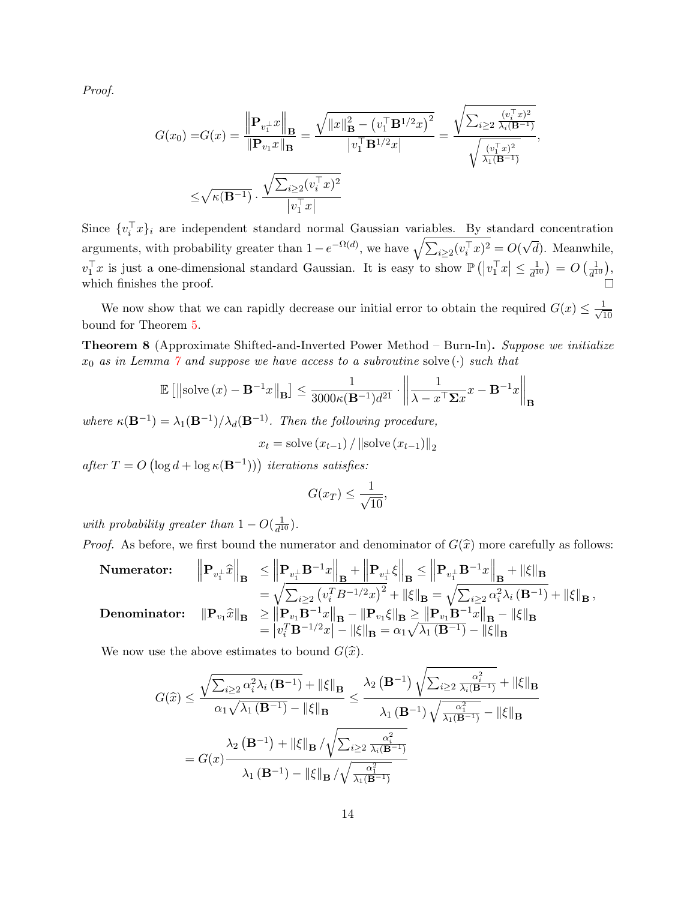Proof.

$$
G(x_0) = G(x) = \frac{\left\| \mathbf{P}_{v_1^{\perp}} x \right\|_{\mathbf{B}}}{\left\| \mathbf{P}_{v_1} x \right\|_{\mathbf{B}}} = \frac{\sqrt{\left\| x \right\|_{\mathbf{B}}^2 - \left( v_1^{\top} \mathbf{B}^{1/2} x \right)^2}}{\left| v_1^{\top} \mathbf{B}^{1/2} x \right|} = \frac{\sqrt{\sum_{i \ge 2} \frac{(v_i^{\top} x)^2}{\lambda_i (\mathbf{B}^{-1})}}}{\sqrt{\frac{(v_1^{\top} x)^2}{\lambda_1 (\mathbf{B}^{-1})}}},
$$

$$
\le \sqrt{\kappa(\mathbf{B}^{-1})} \cdot \frac{\sqrt{\sum_{i \ge 2} (v_i^{\top} x)^2}}{\left| v_1^{\top} x \right|}
$$

Since  $\{v_i^{\top}x\}_i$  are independent standard normal Gaussian variables. By standard concentration arguments, with probability greater than  $1 - e^{-\Omega(d)}$ , we have  $\sqrt{\sum_{i \geq 2} (v_i^{\top} x)^2} = O(d)$ √ d). Meanwhile,  $v_1^{\top}x$  is just a one-dimensional standard Gaussian. It is easy to show  $\mathbb{P}\left(\left|v_1^{\top}x\right|\leq \frac{1}{d^1}\right)$  $\frac{1}{d^{10}}$  =  $O\left(\frac{1}{d^1}\right)$  $\frac{1}{d^{10}}),$ which finishes the proof.

We now show that we can rapidly decrease our initial error to obtain the required  $G(x) \leq \frac{1}{\sqrt{2}}$ 10 bound for Theorem [5.](#page-10-0)

<span id="page-14-0"></span>Theorem 8 (Approximate Shifted-and-Inverted Power Method – Burn-In). Suppose we initialize  $x_0$  as in Lemma  $\gamma$  and suppose we have access to a subroutine solve  $(\cdot)$  such that

$$
\mathbb{E}\left[\left\|\text{solve}\left(x\right) - \mathbf{B}^{-1}x\right\|_{\mathbf{B}}\right] \le \frac{1}{3000\kappa(\mathbf{B}^{-1})d^{21}} \cdot \left\|\frac{1}{\lambda - x^{\top}\Sigma x}x - \mathbf{B}^{-1}x\right\|_{\mathbf{B}}
$$

where  $\kappa(\mathbf{B}^{-1}) = \lambda_1(\mathbf{B}^{-1})/\lambda_d(\mathbf{B}^{-1})$ . Then the following procedure,

$$
x_t = \text{solve}(x_{t-1}) / ||\text{solve}(x_{t-1})||_2
$$

after  $T = O\left(\log d + \log \kappa(\mathbf{B}^{-1})\right)$  iterations satisfies:

$$
G(x_T) \le \frac{1}{\sqrt{10}},
$$

with probability greater than  $1 - O(\frac{1}{d^2})$  $\frac{1}{d^{10}}$ .

*Proof.* As before, we first bound the numerator and denominator of  $G(\hat{x})$  more carefully as follows:

Numerator:

\n
$$
\left\| \mathbf{P}_{v_{\perp}^{\perp}} \hat{x} \right\|_{\mathbf{B}} \leq \left\| \mathbf{P}_{v_{\perp}^{\perp}} \mathbf{B}^{-1} x \right\|_{\mathbf{B}} + \left\| \mathbf{P}_{v_{\perp}^{\perp}} \xi \right\|_{\mathbf{B}} \leq \left\| \mathbf{P}_{v_{\perp}^{\perp}} \mathbf{B}^{-1} x \right\|_{\mathbf{B}} + \left\| \xi \right\|_{\mathbf{B}} \\
= \sqrt{\sum_{i \geq 2} \left( v_i^T B^{-1/2} x \right)^2} + \left\| \xi \right\|_{\mathbf{B}} = \sqrt{\sum_{i \geq 2} \alpha_i^2 \lambda_i \left( \mathbf{B}^{-1} \right)} + \left\| \xi \right\|_{\mathbf{B}},
$$
\nDenominator:

\n
$$
\left\| \mathbf{P}_{v_1} \hat{x} \right\|_{\mathbf{B}} \geq \left\| \mathbf{P}_{v_1} \mathbf{B}^{-1} x \right\|_{\mathbf{B}} - \left\| \mathbf{P}_{v_1} \xi \right\|_{\mathbf{B}} \geq \left\| \mathbf{P}_{v_1} \mathbf{B}^{-1} x \right\|_{\mathbf{B}} - \left\| \xi \right\|_{\mathbf{B}} \\
= \left| v_i^T \mathbf{B}^{-1/2} x \right| - \left\| \xi \right\|_{\mathbf{B}} = \alpha_1 \sqrt{\lambda_1 \left( \mathbf{B}^{-1} \right)} - \left\| \xi \right\|_{\mathbf{B}}\n\end{aligned}
$$

We now use the above estimates to bound  $G(\hat{x})$ .

$$
G(\widehat{x}) \leq \frac{\sqrt{\sum_{i\geq 2} \alpha_i^2 \lambda_i (\mathbf{B}^{-1})} + \|\xi\|_{\mathbf{B}}}{\alpha_1 \sqrt{\lambda_1 (\mathbf{B}^{-1})} - \|\xi\|_{\mathbf{B}}}
$$
  
= 
$$
\frac{\lambda_2 (\mathbf{B}^{-1}) \sqrt{\sum_{i\geq 2} \frac{\alpha_i^2}{\lambda_i (\mathbf{B}^{-1})}} + \|\xi\|_{\mathbf{B}}}{\lambda_1 (\mathbf{B}^{-1}) \sqrt{\frac{\alpha_1^2}{\lambda_1 (\mathbf{B}^{-1})}} - \|\xi\|_{\mathbf{B}}}
$$
  
= 
$$
G(x) \frac{\lambda_2 (\mathbf{B}^{-1}) + \|\xi\|_{\mathbf{B}} / \sqrt{\sum_{i\geq 2} \frac{\alpha_i^2}{\lambda_i (\mathbf{B}^{-1})}}}{\lambda_1 (\mathbf{B}^{-1}) - \|\xi\|_{\mathbf{B}} / \sqrt{\frac{\alpha_1^2}{\lambda_1 (\mathbf{B}^{-1})}}}
$$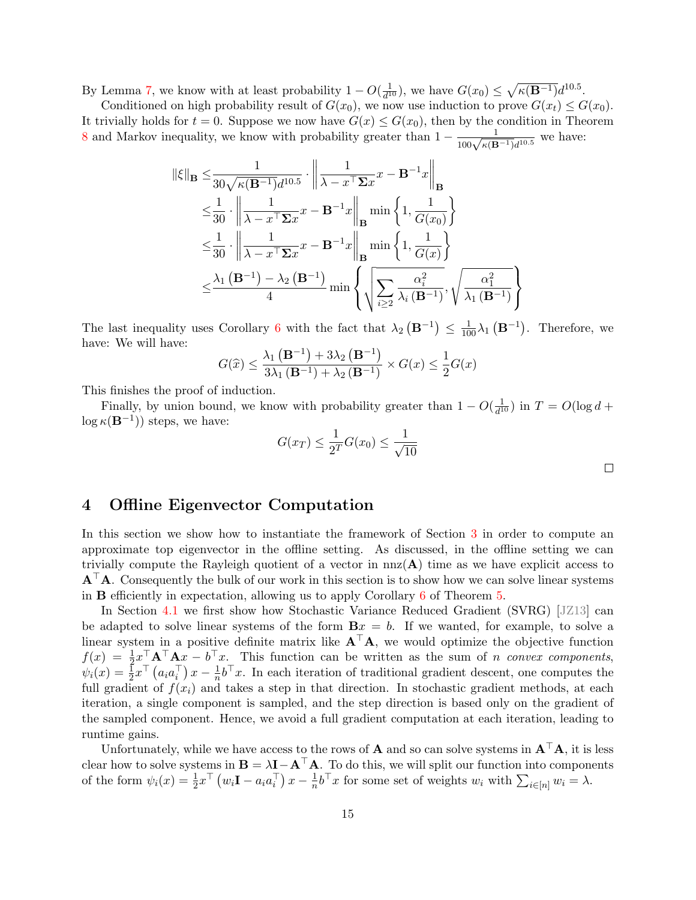By Lemma [7,](#page-13-3) we know with at least probability  $1 - O(\frac{1}{d^2})$  $\frac{1}{d^{10}}$ , we have  $G(x_0) \leq \sqrt{\kappa(B^{-1})}d^{10.5}$ .

Conditioned on high probability result of  $G(x_0)$ , we now use induction to prove  $G(x_t) \leq G(x_0)$ . It trivially holds for  $t = 0$ . Suppose we now have  $G(x) \leq G(x_0)$ , then by the condition in Theorem [8](#page-14-0) and Markov inequality, we know with probability greater than  $1 - \frac{1}{100\sqrt{\kappa(B^{-1})}d^{10.5}}$  we have:

$$
\|\xi\|_{\mathbf{B}} \leq \frac{1}{30\sqrt{\kappa(\mathbf{B}^{-1})}d^{10.5}} \cdot \left\|\frac{1}{\lambda - x^{\top}\Sigma x}x - \mathbf{B}^{-1}x\right\|_{\mathbf{B}}
$$
  
\n
$$
\leq \frac{1}{30} \cdot \left\|\frac{1}{\lambda - x^{\top}\Sigma x}x - \mathbf{B}^{-1}x\right\|_{\mathbf{B}} \min\left\{1, \frac{1}{G(x_0)}\right\}
$$
  
\n
$$
\leq \frac{1}{30} \cdot \left\|\frac{1}{\lambda - x^{\top}\Sigma x}x - \mathbf{B}^{-1}x\right\|_{\mathbf{B}} \min\left\{1, \frac{1}{G(x)}\right\}
$$
  
\n
$$
\leq \frac{\lambda_1(\mathbf{B}^{-1}) - \lambda_2(\mathbf{B}^{-1})}{4} \min\left\{\sqrt{\sum_{i \geq 2} \frac{\alpha_i^2}{\lambda_i(\mathbf{B}^{-1})}}, \sqrt{\frac{\alpha_1^2}{\lambda_1(\mathbf{B}^{-1})}}\right\}
$$

The last inequality uses Corollary [6](#page-13-1) with the fact that  $\lambda_2(\mathbf{B}^{-1}) \leq \frac{1}{100}\lambda_1(\mathbf{B}^{-1})$ . Therefore, we have: We will have:

$$
G(\widehat{x}) \le \frac{\lambda_1(\mathbf{B}^{-1}) + 3\lambda_2(\mathbf{B}^{-1})}{3\lambda_1(\mathbf{B}^{-1}) + \lambda_2(\mathbf{B}^{-1})} \times G(x) \le \frac{1}{2}G(x)
$$

This finishes the proof of induction.

Finally, by union bound, we know with probability greater than  $1 - O(\frac{1}{d^2})$  $\frac{1}{d^{10}}$ ) in  $T = O(\log d +$  $\log \kappa(\mathbf{B}^{-1})$  steps, we have:

$$
G(x_T) \le \frac{1}{2^T} G(x_0) \le \frac{1}{\sqrt{10}}
$$

# <span id="page-15-0"></span>4 Offline Eigenvector Computation

In this section we show how to instantiate the framework of Section [3](#page-7-0) in order to compute an approximate top eigenvector in the offline setting. As discussed, in the offline setting we can trivially compute the Rayleigh quotient of a vector in  $nnz(A)$  time as we have explicit access to  $A^{\dagger}A$ . Consequently the bulk of our work in this section is to show how we can solve linear systems in  $B$  efficiently in expectation, allowing us to apply Corollary  $6$  of Theorem  $5$ .

In Section [4.1](#page-16-0) we first show how Stochastic Variance Reduced Gradient (SVRG) [\[JZ13\]](#page-37-6) can be adapted to solve linear systems of the form  $Bx = b$ . If we wanted, for example, to solve a linear system in a positive definite matrix like  $A^{\top}A$ , we would optimize the objective function  $f(x) = \frac{1}{2}x^{\top} A^{\top} A x - b^{\top} x$ . This function can be written as the sum of *n convex components*,  $\psi_i(x) = \frac{1}{2}x^\top \left( a_i a_i^\top \right) x - \frac{1}{n}$  $\frac{1}{n}b^{\top}x$ . In each iteration of traditional gradient descent, one computes the full gradient of  $f(x_i)$  and takes a step in that direction. In stochastic gradient methods, at each iteration, a single component is sampled, and the step direction is based only on the gradient of the sampled component. Hence, we avoid a full gradient computation at each iteration, leading to runtime gains.

Unfortunately, while we have access to the rows of  $\bf A$  and so can solve systems in  ${\bf A}^{\top}{\bf A}$ , it is less clear how to solve systems in  $\mathbf{B} = \lambda \mathbf{I} - \mathbf{A}^\top \mathbf{A}$ . To do this, we will split our function into components of the form  $\psi_i(x) = \frac{1}{2} x^\top (w_i \mathbf{I} - a_i a_i^\top) x - \frac{1}{n}$  $\frac{1}{n}b^{\top}x$  for some set of weights  $w_i$  with  $\sum_{i\in[n]} w_i = \lambda$ .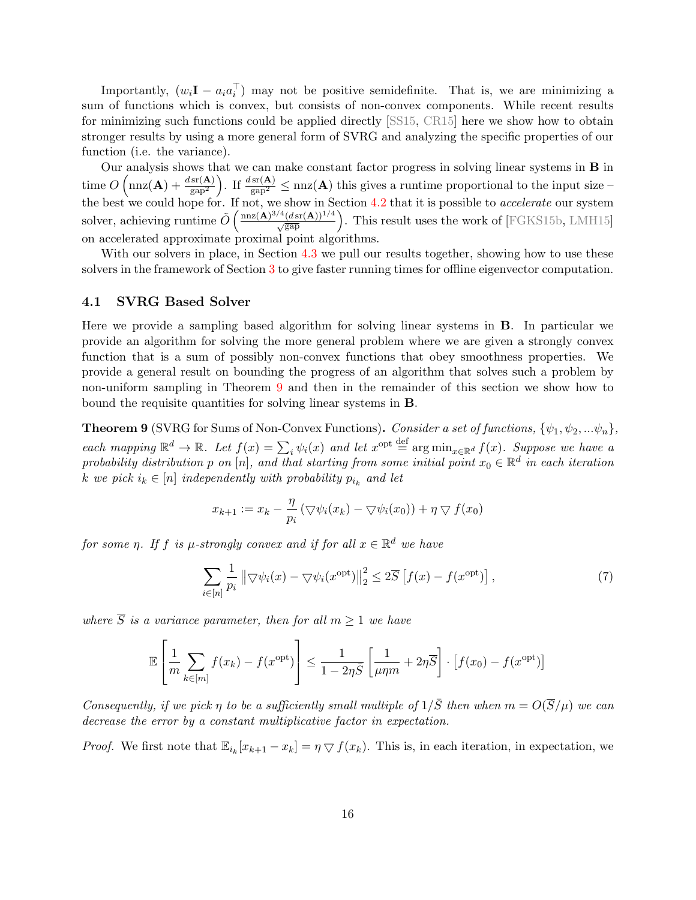Importantly,  $(w_i \mathbf{I} - a_i a_i^{\top})$  may not be positive semidefinite. That is, we are minimizing a sum of functions which is convex, but consists of non-convex components. While recent results for minimizing such functions could be applied directly [\[SS15,](#page-37-7) [CR15\]](#page-36-5) here we show how to obtain stronger results by using a more general form of SVRG and analyzing the specific properties of our function (i.e. the variance).

Our analysis shows that we can make constant factor progress in solving linear systems in B in  $\text{time } O\left(\max(\mathbf{A}) + \frac{d \text{sr}(\mathbf{A})}{\text{gap}^2}\right)$ . If  $\frac{d \text{sr}(\mathbf{A})}{\text{gap}^2} \leq \max(\mathbf{A})$  this gives a runtime proportional to the input size – the best we could hope for. If not, we show in Section [4.2](#page-20-0) that it is possible to *accelerate* our system solver, achieving runtime  $\tilde{O}\left(\frac{\text{nnz}(\mathbf{A})^{3/4}(d\text{sr}(\mathbf{A}))^{1/4}}{\sqrt{\text{gap}}}\right)$ . This result uses the work of [\[FGKS15b,](#page-36-7) [LMH15\]](#page-37-8) on accelerated approximate proximal point algorithms.

With our solvers in place, in Section [4.3](#page-23-2) we pull our results together, showing how to use these solvers in the framework of Section [3](#page-7-0) to give faster running times for offline eigenvector computation.

### <span id="page-16-0"></span>4.1 SVRG Based Solver

Here we provide a sampling based algorithm for solving linear systems in B. In particular we provide an algorithm for solving the more general problem where we are given a strongly convex function that is a sum of possibly non-convex functions that obey smoothness properties. We provide a general result on bounding the progress of an algorithm that solves such a problem by non-uniform sampling in Theorem [9](#page-16-1) and then in the remainder of this section we show how to bound the requisite quantities for solving linear systems in B.

<span id="page-16-1"></span>**Theorem 9** (SVRG for Sums of Non-Convex Functions). Consider a set of functions,  $\{\psi_1, \psi_2, ...\psi_n\}$ , each mapping  $\mathbb{R}^d \to \mathbb{R}$ . Let  $f(x) = \sum_i \psi_i(x)$  and let  $x^{\text{opt}} \stackrel{\text{def}}{=} \arg \min_{x \in \mathbb{R}^d} f(x)$ . Suppose we have a probability distribution p on  $[n]$ , and that starting from some initial point  $x_0 \in \mathbb{R}^d$  in each iteration k we pick  $i_k \in [n]$  independently with probability  $p_{i_k}$  and let

$$
x_{k+1} := x_k - \frac{\eta}{p_i} (\bigtriangledown \psi_i(x_k) - \bigtriangledown \psi_i(x_0)) + \eta \bigtriangledown f(x_0)
$$

for some  $\eta$ . If f is  $\mu$ -strongly convex and if for all  $x \in \mathbb{R}^d$  we have

<span id="page-16-2"></span>
$$
\sum_{i \in [n]} \frac{1}{p_i} \left\| \nabla \psi_i(x) - \nabla \psi_i(x^{\text{opt}}) \right\|_2^2 \le 2\overline{S} \left[ f(x) - f(x^{\text{opt}}) \right],\tag{7}
$$

where  $\overline{S}$  is a variance parameter, then for all  $m > 1$  we have

$$
\mathbb{E}\left[\frac{1}{m}\sum_{k\in[m]}f(x_k) - f(x^{\text{opt}})\right] \le \frac{1}{1 - 2\eta\overline{S}}\left[\frac{1}{\mu\eta m} + 2\eta\overline{S}\right] \cdot \left[f(x_0) - f(x^{\text{opt}})\right]
$$

Consequently, if we pick  $\eta$  to be a sufficiently small multiple of  $1/\overline{S}$  then when  $m = O(\overline{S}/\mu)$  we can decrease the error by a constant multiplicative factor in expectation.

*Proof.* We first note that  $\mathbb{E}_{i_k}[x_{k+1}-x_k] = \eta \nabla f(x_k)$ . This is, in each iteration, in expectation, we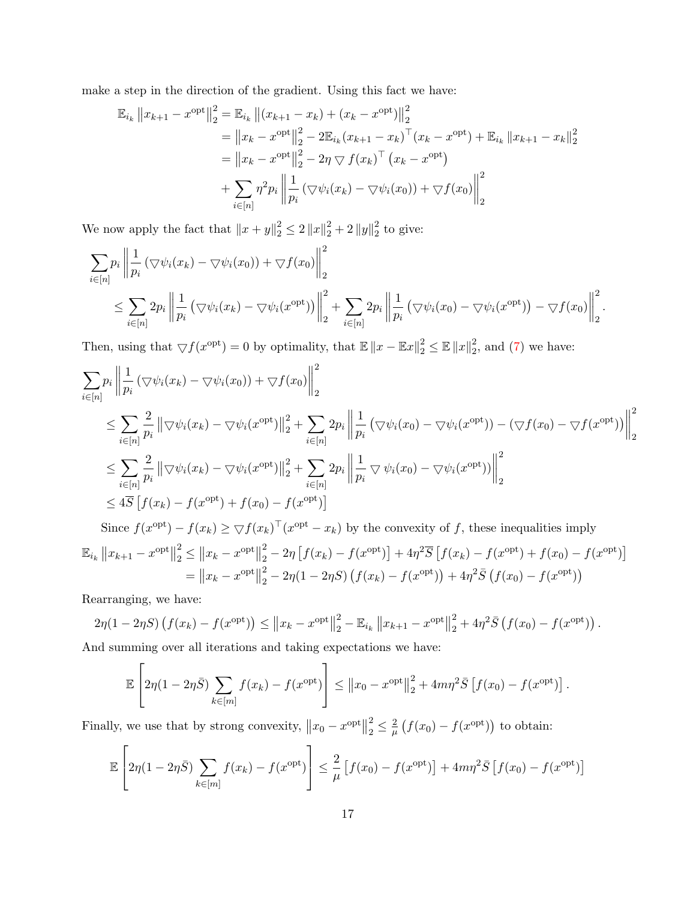make a step in the direction of the gradient. Using this fact we have:

$$
\mathbb{E}_{i_k} ||x_{k+1} - x^{\text{opt}}||_2^2 = \mathbb{E}_{i_k} ||(x_{k+1} - x_k) + (x_k - x^{\text{opt}})||_2^2
$$
  
\n
$$
= ||x_k - x^{\text{opt}}||_2^2 - 2\mathbb{E}_{i_k}(x_{k+1} - x_k)^\top (x_k - x^{\text{opt}}) + \mathbb{E}_{i_k} ||x_{k+1} - x_k||_2^2
$$
  
\n
$$
= ||x_k - x^{\text{opt}}||_2^2 - 2\eta \nabla f(x_k)^\top (x_k - x^{\text{opt}})
$$
  
\n
$$
+ \sum_{i \in [n]} \eta^2 p_i ||\frac{1}{p_i} (\nabla \psi_i(x_k) - \nabla \psi_i(x_0)) + \nabla f(x_0)||_2^2
$$

We now apply the fact that  $||x + y||_2^2 \le 2 ||x||_2^2 + 2 ||y||_2^2$  $\frac{2}{2}$  to give:

$$
\sum_{i \in [n]} p_i \left\| \frac{1}{p_i} \left( \nabla \psi_i(x_k) - \nabla \psi_i(x_0) \right) + \nabla f(x_0) \right\|_2^2
$$
\n
$$
\leq \sum_{i \in [n]} 2p_i \left\| \frac{1}{p_i} \left( \nabla \psi_i(x_k) - \nabla \psi_i(x^{\text{opt}}) \right) \right\|_2^2 + \sum_{i \in [n]} 2p_i \left\| \frac{1}{p_i} \left( \nabla \psi_i(x_0) - \nabla \psi_i(x^{\text{opt}}) \right) - \nabla f(x_0) \right\|_2^2.
$$

Then, using that  $\bigtriangledown f(x^{\text{opt}}) = 0$  by optimality, that  $\mathbb{E} \|x - \mathbb{E}x\|_2^2 \le \mathbb{E} \|x\|_2^2$  $2^2$ , and [\(7\)](#page-16-2) we have:

$$
\sum_{i \in [n]} p_i \left\| \frac{1}{p_i} \left( \nabla \psi_i(x_k) - \nabla \psi_i(x_0) \right) + \nabla f(x_0) \right\|_2^2
$$
\n
$$
\leq \sum_{i \in [n]} \frac{2}{p_i} \left\| \nabla \psi_i(x_k) - \nabla \psi_i(x^{\text{opt}}) \right\|_2^2 + \sum_{i \in [n]} 2p_i \left\| \frac{1}{p_i} \left( \nabla \psi_i(x_0) - \nabla \psi_i(x^{\text{opt}}) \right) - \left( \nabla f(x_0) - \nabla f(x^{\text{opt}}) \right) \right\|_2^2
$$
\n
$$
\leq \sum_{i \in [n]} \frac{2}{p_i} \left\| \nabla \psi_i(x_k) - \nabla \psi_i(x^{\text{opt}}) \right\|_2^2 + \sum_{i \in [n]} 2p_i \left\| \frac{1}{p_i} \nabla \psi_i(x_0) - \nabla \psi_i(x^{\text{opt}}) \right\|_2^2
$$
\n
$$
\leq 4\overline{S} \left[ f(x_k) - f(x^{\text{opt}}) + f(x_0) - f(x^{\text{opt}}) \right]
$$
\nSince  $f(x^{\text{opt}}) - f(x_k) \geq \nabla f(x_k)^\top (x^{\text{opt}} - x_k)$  by the convexity of  $f$ , these inequalities imply

$$
\mathbb{E}_{i_k} \|x_{k+1} - x^{\text{opt}}\|_2^2 \le \|x_k - x^{\text{opt}}\|_2^2 - 2\eta \left[ f(x_k) - f(x^{\text{opt}}) \right] + 4\eta^2 \overline{S} \left[ f(x_k) - f(x^{\text{opt}}) + f(x_0) - f(x^{\text{opt}}) \right]
$$
  
= 
$$
\|x_k - x^{\text{opt}}\|_2^2 - 2\eta (1 - 2\eta S) \left( f(x_k) - f(x^{\text{opt}}) \right) + 4\eta^2 \overline{S} \left( f(x_0) - f(x^{\text{opt}}) \right)
$$

Rearranging, we have:

$$
2\eta(1 - 2\eta S) (f(x_k) - f(x^{\text{opt}})) \le ||x_k - x^{\text{opt}}||_2^2 - \mathbb{E}_{i_k} ||x_{k+1} - x^{\text{opt}}||_2^2 + 4\eta^2 \bar{S} (f(x_0) - f(x^{\text{opt}})).
$$

And summing over all iterations and taking expectations we have:

$$
\mathbb{E}\left[2\eta(1-2\eta\bar{S})\sum_{k\in[m]}f(x_k)-f(x^{\text{opt}})\right] \leq \|x_0-x^{\text{opt}}\|_2^2 + 4m\eta^2\bar{S}\left[f(x_0)-f(x^{\text{opt}})\right].
$$

Finally, we use that by strong convexity,  $||x_0 - x^{\text{opt}}||$ 2  $\frac{2}{2} \leq \frac{2}{\mu}$  $\frac{2}{\mu}\left(f(x_0)-f(x^{\text{opt}})\right)$  to obtain:

$$
\mathbb{E}\left[2\eta(1-2\eta\bar{S})\sum_{k\in[m]}f(x_k)-f(x^{\text{opt}})\right] \leq \frac{2}{\mu}\left[f(x_0)-f(x^{\text{opt}})\right] + 4m\eta^2\bar{S}\left[f(x_0)-f(x^{\text{opt}})\right]
$$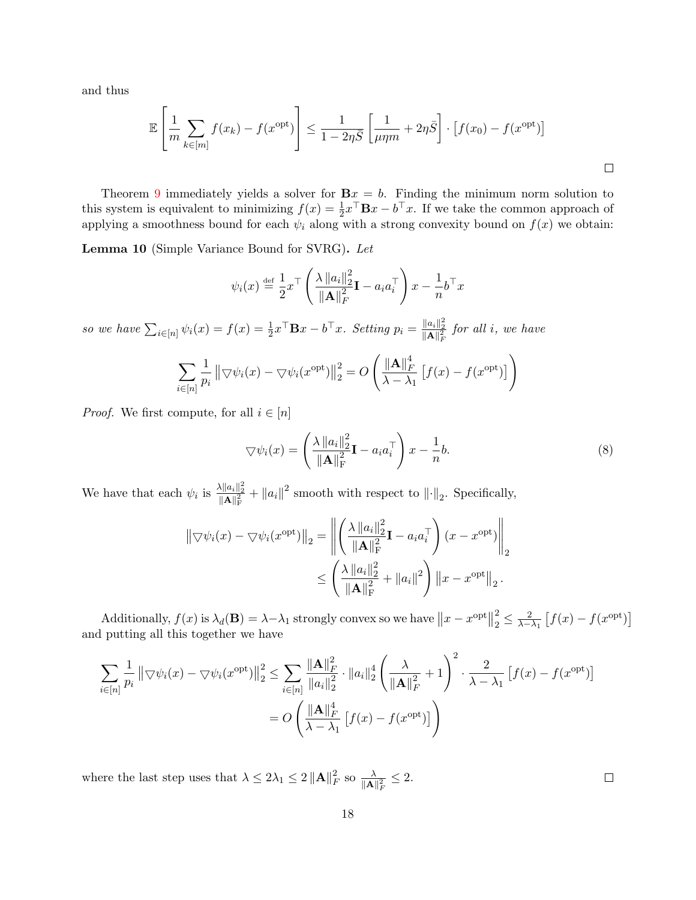and thus

$$
\mathbb{E}\left[\frac{1}{m}\sum_{k\in[m]}f(x_k) - f(x^{\text{opt}})\right] \le \frac{1}{1 - 2\eta\bar{S}}\left[\frac{1}{\mu\eta m} + 2\eta\bar{S}\right] \cdot \left[f(x_0) - f(x^{\text{opt}})\right]
$$

Theorem [9](#page-16-1) immediately yields a solver for  $Bx = b$ . Finding the minimum norm solution to this system is equivalent to minimizing  $f(x) = \frac{1}{2}x^{\top} \mathbf{B}x - b^{\top}x$ . If we take the common approach of applying a smoothness bound for each  $\psi_i$  along with a strong convexity bound on  $f(x)$  we obtain:

<span id="page-18-1"></span>Lemma 10 (Simple Variance Bound for SVRG). Let

$$
\psi_i(x) \stackrel{\text{def}}{=} \frac{1}{2} x^\top \left( \frac{\lambda \|a_i\|_2^2}{\|\mathbf{A}\|_F^2} \mathbf{I} - a_i a_i^\top \right) x - \frac{1}{n} b^\top x
$$

so we have  $\sum_{i\in[n]}\psi_i(x) = f(x) = \frac{1}{2}x^\top \mathbf{B}x - b^\top x$ . Setting  $p_i = \frac{\|a_i\|_2^2}{\|\mathbf{A}\|_F^2}$  for all i, we have

$$
\sum_{i \in [n]} \frac{1}{p_i} \left\| \nabla \psi_i(x) - \nabla \psi_i(x^{\text{opt}}) \right\|_2^2 = O\left( \frac{\left\| \mathbf{A} \right\|_F^4}{\lambda - \lambda_1} \left[ f(x) - f(x^{\text{opt}}) \right] \right)
$$

*Proof.* We first compute, for all  $i \in [n]$ 

$$
\nabla \psi_i(x) = \left(\frac{\lambda \|a_i\|_2^2}{\|\mathbf{A}\|_{\mathrm{F}}^2} \mathbf{I} - a_i a_i^{\top}\right) x - \frac{1}{n} b. \tag{8}
$$

We have that each  $\psi_i$  is  $\frac{\lambda \|a_i\|_2^2}{\|\mathbf{A}\|_{\mathrm{F}}^2} + \|a_i\|^2$  smooth with respect to  $\|\cdot\|_2$ . Specifically,

$$
\|\nabla \psi_i(x) - \nabla \psi_i(x^{\text{opt}})\|_2 = \left\| \left( \frac{\lambda \|a_i\|_2^2}{\|\mathbf{A}\|_{\mathrm{F}}^2} \mathbf{I} - a_i a_i^{\top} \right) (x - x^{\text{opt}}) \right\|_2
$$

$$
\leq \left( \frac{\lambda \|a_i\|_2^2}{\|\mathbf{A}\|_{\mathrm{F}}^2} + \|a_i\|^2 \right) \|x - x^{\text{opt}}\|_2.
$$

Additionally,  $f(x)$  is  $\lambda_d(\mathbf{B}) = \lambda - \lambda_1$  strongly convex so we have  $||x - x^{\text{opt}}||$ 2  $\frac{2}{2} \leq \frac{2}{\lambda - \lambda_1} \left[ f(x) - f(x^{\text{opt}}) \right]$ and putting all this together we have

$$
\sum_{i \in [n]} \frac{1}{p_i} \left\| \nabla \psi_i(x) - \nabla \psi_i(x^{\text{opt}}) \right\|_2^2 \le \sum_{i \in [n]} \frac{\| \mathbf{A} \|^2_F}{\|a_i\|_2^2} \cdot \|a_i\|_2^4 \left( \frac{\lambda}{\| \mathbf{A} \|^2_F} + 1 \right)^2 \cdot \frac{2}{\lambda - \lambda_1} \left[ f(x) - f(x^{\text{opt}}) \right]
$$

$$
= O\left( \frac{\| \mathbf{A} \|^4_F}{\lambda - \lambda_1} \left[ f(x) - f(x^{\text{opt}}) \right] \right)
$$

where the last step uses that  $\lambda \leq 2\lambda_1 \leq 2 \|\mathbf{A}\|_{F}^2$  $E_F^2$  so  $\frac{\lambda}{\|\mathbf{A}\|_F^2} \leq 2$ .

<span id="page-18-0"></span> $\Box$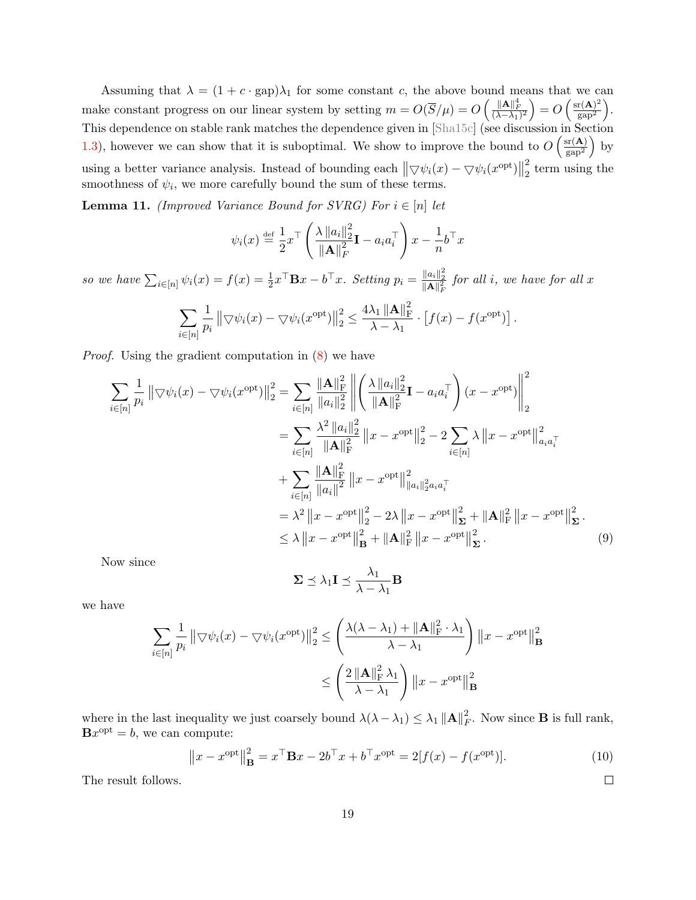Assuming that  $\lambda = (1 + c \cdot \text{gap})\lambda_1$  for some constant c, the above bound means that we can make constant progress on our linear system by setting  $m = O(\overline{S}/\mu) = O\left(\frac{\|A\|_F^4}{(\lambda - \lambda_1)^2}\right) = O\left(\frac{\text{sr}(A)^2}{\text{gap}^2}\right)$  $\frac{\text{r(A)}^2}{\text{gap}^2}$ . This dependence on stable rank matches the dependence given in [\[Sha15c\]](#page-37-0) (see discussion in Section [1.3\)](#page-3-0), however we can show that it is suboptimal. We show to improve the bound to  $O\left(\frac{\text{sr}(A)}{\text{cm}^2}\right)$  $\frac{\text{sr}(\mathbf{A})}{\text{gap}^2}$  by using a better variance analysis. Instead of bounding each  $\|\nabla \psi_i(x) - \nabla \psi_i(x^{\text{opt}})\|$ 2  $\frac{2}{2}$  term using the smoothness of  $\psi_i$ , we more carefully bound the sum of these terms.

<span id="page-19-0"></span>**Lemma 11.** (Improved Variance Bound for SVRG) For  $i \in [n]$  let

$$
\psi_i(x) \stackrel{\text{def}}{=} \frac{1}{2} x^\top \left( \frac{\lambda \|a_i\|_2^2}{\|\mathbf{A}\|_F^2} \mathbf{I} - a_i a_i^\top \right) x - \frac{1}{n} b^\top x
$$

so we have  $\sum_{i\in[n]}\psi_i(x) = f(x) = \frac{1}{2}x^\top \mathbf{B}x - b^\top x$ . Setting  $p_i = \frac{\|a_i\|_2^2}{\|\mathbf{A}\|_F^2}$  for all i, we have for all x

$$
\sum_{i\in[n]}\frac{1}{p_i}\left\|\nabla\psi_i(x)-\nabla\psi_i(x^{\text{opt}})\right\|_2^2\leq\frac{4\lambda_1\left\|\mathbf{A}\right\|_{\mathrm{F}}^2}{\lambda-\lambda_1}\cdot\left[f(x)-f(x^{\text{opt}})\right].
$$

Proof. Using the gradient computation in [\(8\)](#page-18-0) we have

$$
\sum_{i \in [n]} \frac{1}{p_i} \left\| \nabla \psi_i(x) - \nabla \psi_i(x^{\text{opt}}) \right\|_2^2 = \sum_{i \in [n]} \frac{\| \mathbf{A} \|_{\mathrm{F}}^2}{\|a_i\|_2^2} \left\| \left( \frac{\lambda \|a_i\|_2^2}{\| \mathbf{A} \|_{\mathrm{F}}^2} \mathbf{I} - a_i a_i^\top \right) (x - x^{\text{opt}}) \right\|_2^2
$$
  
\n
$$
= \sum_{i \in [n]} \frac{\lambda^2 \|a_i\|_2^2}{\| \mathbf{A} \|_{\mathrm{F}}^2} \left\| x - x^{\text{opt}} \right\|_2^2 - 2 \sum_{i \in [n]} \lambda \left\| x - x^{\text{opt}} \right\|_{a_i a_i^\top}^2
$$
  
\n
$$
+ \sum_{i \in [n]} \frac{\| \mathbf{A} \|_{\mathrm{F}}^2}{\|a_i\|^2} \left\| x - x^{\text{opt}} \right\|_{\|a_i\|_2^2 a_i a_i^\top}^2
$$
  
\n
$$
= \lambda^2 \left\| x - x^{\text{opt}} \right\|_2^2 - 2\lambda \left\| x - x^{\text{opt}} \right\|_{\mathrm{\mathbf{\Sigma}}}^2 + \left\| \mathbf{A} \right\|_{\mathrm{\mathbf{F}}}^2 \left\| x - x^{\text{opt}} \right\|_{\mathrm{\mathbf{\Sigma}}}^2.
$$
  
\n
$$
\leq \lambda \left\| x - x^{\text{opt}} \right\|_{\mathrm{\mathbf{B}}}^2 + \left\| \mathbf{A} \right\|_{\mathrm{\mathbf{F}}}^2 \left\| x - x^{\text{opt}} \right\|_{\mathrm{\mathbf{\Sigma}}}^2.
$$
 (9)

Now since

$$
\mathbf{\Sigma} \preceq \lambda_1 \mathbf{I} \preceq \frac{\lambda_1}{\lambda - \lambda_1} \mathbf{B}
$$

we have

$$
\sum_{i \in [n]} \frac{1}{p_i} \left\| \nabla \psi_i(x) - \nabla \psi_i(x^{\text{opt}}) \right\|_2^2 \le \left( \frac{\lambda(\lambda - \lambda_1) + \|\mathbf{A}\|_{\text{F}}^2 \cdot \lambda_1}{\lambda - \lambda_1} \right) \left\| x - x^{\text{opt}} \right\|_{\text{B}}^2
$$

$$
\le \left( \frac{2 \left\| \mathbf{A} \right\|_{\text{F}}^2 \lambda_1}{\lambda - \lambda_1} \right) \left\| x - x^{\text{opt}} \right\|_{\text{B}}^2
$$

where in the last inequality we just coarsely bound  $\lambda(\lambda - \lambda_1) \leq \lambda_1 ||\mathbf{A}||_F^2$  $\frac{2}{F}$ . Now since **B** is full rank,  $Bx^{\text{opt}} = b$ , we can compute:

$$
\left\|x - x^{\text{opt}}\right\|_{\mathbf{B}}^2 = x^{\top} \mathbf{B} x - 2b^{\top} x + b^{\top} x^{\text{opt}} = 2[f(x) - f(x^{\text{opt}})].\tag{10}
$$

<span id="page-19-2"></span><span id="page-19-1"></span> $\Box$ 

The result follows.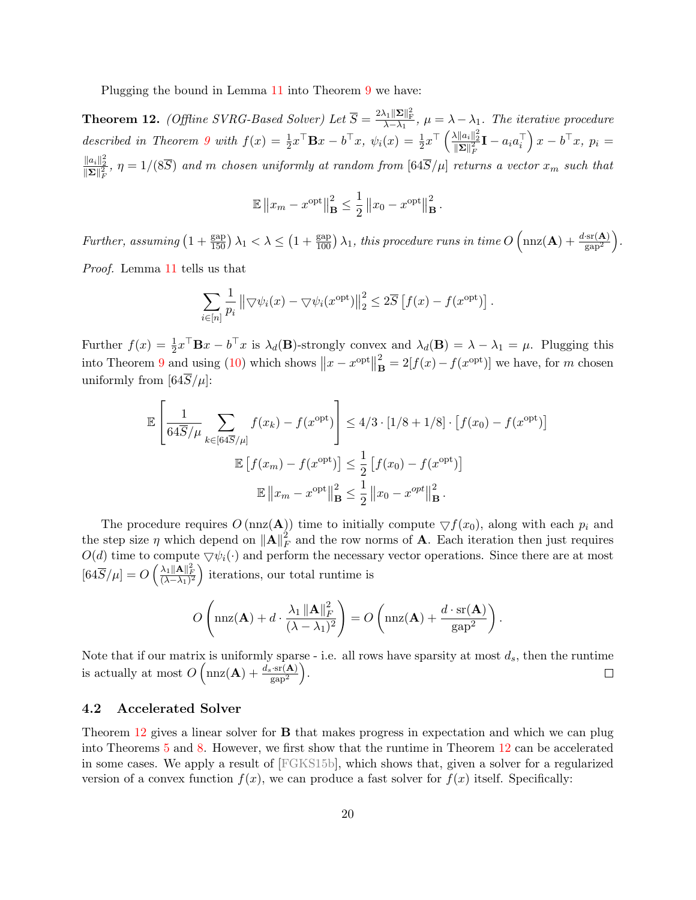Plugging the bound in Lemma [11](#page-19-0) into Theorem [9](#page-16-1) we have:

<span id="page-20-1"></span>**Theorem 12.** (Offline SVRG-Based Solver) Let  $\overline{S} = \frac{2\lambda_1 \|\Sigma\|_{\text{F}}^2}{\lambda - \lambda_1}$ ,  $\mu = \lambda - \lambda_1$ . The iterative procedure described in Theorem [9](#page-16-1) with  $f(x) = \frac{1}{2}x^{\top}\mathbf{B}x - b^{\top}x$ ,  $\psi_i(x) = \frac{1}{2}x^{\top}\left(\frac{\lambda ||a_i||_2^2}{\|\Sigma\|_F^2}\mathbf{I} - a_i a_i^{\top}\right)x - b^{\top}x$ ,  $p_i =$  $\frac{||a_i||_2^2}{||\mathbf{\Sigma}||_F^2}$ ,  $\eta = 1/(8\overline{S})$  and m chosen uniformly at random from  $[64\overline{S}/\mu]$  returns a vector  $x_m$  such that

$$
\mathbb{E} \|x_m - x^{\text{opt}}\|_{\mathbf{B}}^2 \le \frac{1}{2} \|x_0 - x^{\text{opt}}\|_{\mathbf{B}}^2
$$

.

Further, assuming  $\left(1+\frac{\text{gap}}{150}\right)\lambda_1 < \lambda \leq \left(1+\frac{\text{gap}}{100}\right)\lambda_1$ , this procedure runs in time  $O\left(\text{nnz}(\mathbf{A})+\frac{d\cdot\text{sr}(\mathbf{A})}{\text{gap}^2}\right)$ . Proof. Lemma [11](#page-19-0) tells us that

$$
\sum_{i \in [n]} \frac{1}{p_i} ||\nabla \psi_i(x) - \nabla \psi_i(x^{\text{opt}})||_2^2 \leq 2\overline{S} [f(x) - f(x^{\text{opt}})].
$$

Further  $f(x) = \frac{1}{2}x^{\top} \mathbf{B}x - b^{\top}x$  is  $\lambda_d(\mathbf{B})$ -strongly convex and  $\lambda_d(\mathbf{B}) = \lambda - \lambda_1 = \mu$ . Plugging this into Theorem [9](#page-16-1) and using [\(10\)](#page-19-1) which shows  $||x - x^{\text{opt}}||$ 2  $\mathbf{B} = 2[f(x) - f(x^{\text{opt}})]$  we have, for m chosen uniformly from  $[64S/\mu]$ :

$$
\mathbb{E}\left[\frac{1}{64\overline{S}/\mu}\sum_{k\in[64\overline{S}/\mu]}f(x_k) - f(x^{\text{opt}})\right] \le 4/3 \cdot [1/8 + 1/8] \cdot [f(x_0) - f(x^{\text{opt}})]
$$

$$
\mathbb{E}\left[f(x_m) - f(x^{\text{opt}})\right] \le \frac{1}{2}\left[f(x_0) - f(x^{\text{opt}})\right]
$$

$$
\mathbb{E}\left\|x_m - x^{\text{opt}}\right\|_{\mathbf{B}}^2 \le \frac{1}{2}\left\|x_0 - x^{\text{opt}}\right\|_{\mathbf{B}}^2.
$$

The procedure requires  $O(\text{nnz}(\mathbf{A}))$  time to initially compute  $\bigtriangledown f(x_0)$ , along with each  $p_i$  and the step size  $\eta$  which depend on  $\|\mathbf{A}\|_{F}^{2}$  $\frac{2}{F}$  and the row norms of **A**. Each iteration then just requires  $O(d)$  time to compute  $\bigtriangledown \psi_i(\cdot)$  and perform the necessary vector operations. Since there are at most  $[64\overline{S}/\mu] = O\left(\frac{\lambda_1 \|\mathbf{A}\|_F^2}{(\lambda - \lambda_1)^2}\right)$  iterations, our total runtime is

$$
O\left(\max(\mathbf{A})+d\cdot\frac{\lambda_1\|\mathbf{A}\|_F^2}{(\lambda-\lambda_1)^2}\right)=O\left(\max(\mathbf{A})+\frac{d\cdot\text{sr}(\mathbf{A})}{\text{gap}^2}\right).
$$

Note that if our matrix is uniformly sparse - i.e. all rows have sparsity at most  $d_s$ , then the runtime is actually at most  $O\left(\max(\mathbf{A}) + \frac{d_s \cdot \text{sr}(\mathbf{A})}{\text{gap}^2}\right)$ .  $\Box$ 

#### <span id="page-20-0"></span>4.2 Accelerated Solver

Theorem [12](#page-20-1) gives a linear solver for **B** that makes progress in expectation and which we can plug into Theorems [5](#page-10-0) and [8.](#page-14-0) However, we first show that the runtime in Theorem [12](#page-20-1) can be accelerated in some cases. We apply a result of [\[FGKS15b\]](#page-36-7), which shows that, given a solver for a regularized version of a convex function  $f(x)$ , we can produce a fast solver for  $f(x)$  itself. Specifically: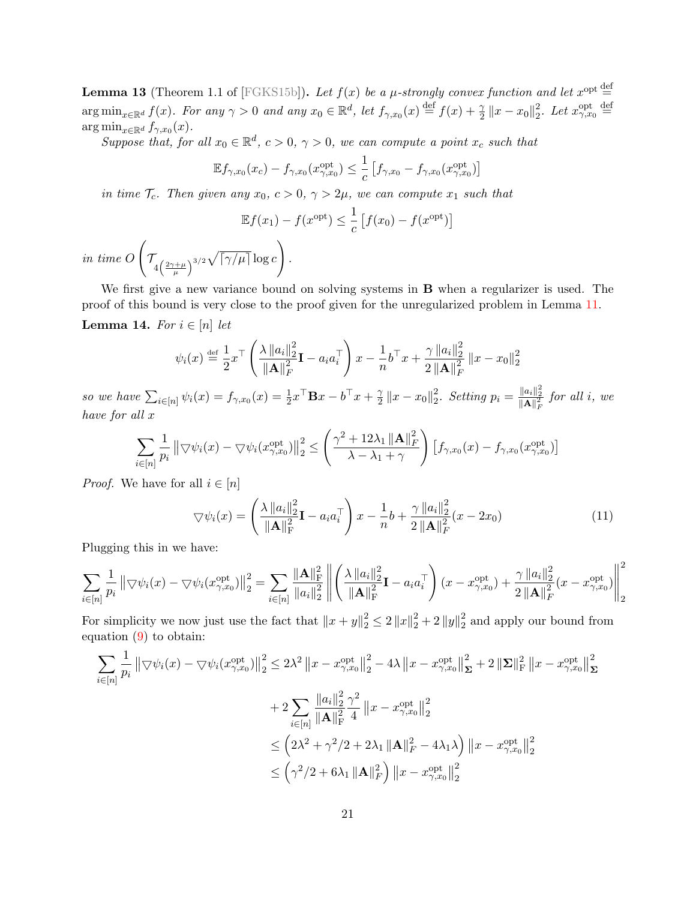<span id="page-21-0"></span>**Lemma 13** (Theorem 1.1 of [\[FGKS15b\]](#page-36-7)). Let  $f(x)$  be a  $\mu$ -strongly convex function and let  $x^{\text{opt}} \stackrel{\text{def}}{=}$  $\arg\min_{x\in\mathbb{R}^d} f(x)$ . For any  $\gamma > 0$  and any  $x_0 \in \mathbb{R}^d$ , let  $f_{\gamma,x_0}(x) \stackrel{\text{def}}{=} f(x) + \frac{\gamma}{2} ||x - x_0||_2^2$ <sup>2</sup>/<sub>2</sub>. Let  $x_{\gamma,x_0}^{\text{opt}} \stackrel{\text{def}}{=}$  $\arg\min_{x\in\mathbb{R}^d} f_{\gamma,x_0}(x)$ .

Suppose that, for all  $x_0 \in \mathbb{R}^d$ ,  $c > 0$ ,  $\gamma > 0$ , we can compute a point  $x_c$  such that

$$
\mathbb{E} f_{\gamma,x_0}(x_c) - f_{\gamma,x_0}(x_{\gamma,x_0}^{\text{opt}}) \leq \frac{1}{c} \left[ f_{\gamma,x_0} - f_{\gamma,x_0}(x_{\gamma,x_0}^{\text{opt}}) \right]
$$

in time  $\mathcal{T}_c$ . Then given any  $x_0, c > 0, \gamma > 2\mu$ , we can compute  $x_1$  such that

$$
\mathbb{E}f(x_1) - f(x^{\text{opt}}) \le \frac{1}{c} \left[ f(x_0) - f(x^{\text{opt}}) \right]
$$

in time O  $\sqrt{ }$  $\int_{-4\left(\frac{2\gamma+\mu}{\mu}\right)^{3/2}} \sqrt{\lceil \gamma/\mu \rceil} \log c$  $\setminus$ .

<span id="page-21-1"></span>We first give a new variance bound on solving systems in **B** when a regularizer is used. The proof of this bound is very close to the proof given for the unregularized problem in Lemma [11.](#page-19-0) Lemma 14. For  $i \in [n]$  let

$$
\psi_i(x) \stackrel{\text{def}}{=} \frac{1}{2} x^\top \left( \frac{\lambda \|a_i\|_2^2}{\|\mathbf{A}\|_F^2} \mathbf{I} - a_i a_i^\top \right) x - \frac{1}{n} b^\top x + \frac{\gamma \|a_i\|_2^2}{2 \|\mathbf{A}\|_F^2} \|x - x_0\|_2^2
$$

so we have  $\sum_{i \in [n]} \psi_i(x) = f_{\gamma, x_0}(x) = \frac{1}{2} x^{\top} \mathbf{B} x - b^{\top} x + \frac{\gamma}{2}$  $\frac{\gamma}{2} \|x - x_0\|_2^2$  $\frac{2}{2}$ . Setting  $p_i = \frac{\|a_i\|_2^2}{\|\mathbf{A}\|_F^2}$  for all i, we have for all x

$$
\sum_{i\in[n]}\frac{1}{p_i} \left\|\nabla\psi_i(x) - \nabla\psi_i(x_{\gamma,x_0}^{\text{opt}})\right\|_2^2 \le \left(\frac{\gamma^2 + 12\lambda_1 \left\|\mathbf{A}\right\|_F^2}{\lambda - \lambda_1 + \gamma}\right) \left[f_{\gamma,x_0}(x) - f_{\gamma,x_0}(x_{\gamma,x_0}^{\text{opt}})\right]
$$

*Proof.* We have for all  $i \in [n]$ 

$$
\nabla \psi_i(x) = \left(\frac{\lambda \|a_i\|_2^2}{\|\mathbf{A}\|_{\mathrm{F}}^2} \mathbf{I} - a_i a_i^{\top}\right) x - \frac{1}{n} b + \frac{\gamma \|a_i\|_2^2}{2 \|\mathbf{A}\|_{\mathrm{F}}^2} (x - 2x_0)
$$
(11)

Plugging this in we have:

$$
\sum_{i \in [n]} \frac{1}{p_i} \left\| \nabla \psi_i(x) - \nabla \psi_i(x_{\gamma, x_0}^{\text{opt}}) \right\|_2^2 = \sum_{i \in [n]} \frac{\| \mathbf{A} \|_{\text{F}}^2}{\|a_i\|_2^2} \left\| \left( \frac{\lambda \|a_i\|_2^2}{\| \mathbf{A} \|_{\text{F}}^2} \mathbf{I} - a_i a_i^\top \right) (x - x_{\gamma, x_0}^{\text{opt}}) + \frac{\gamma \|a_i\|_2^2}{2 \left\| \mathbf{A} \right\|_{\text{F}}^2} (x - x_{\gamma, x_0}^{\text{opt}}) \right\|_2^2
$$

For simplicity we now just use the fact that  $||x + y||_2^2 \le 2 ||x||_2^2 + 2 ||y||_2^2$  $\frac{2}{2}$  and apply our bound from equation [\(9\)](#page-19-2) to obtain:

$$
\sum_{i \in [n]} \frac{1}{p_i} \left\| \nabla \psi_i(x) - \nabla \psi_i(x_{\gamma, x_0}^{\text{opt}}) \right\|_2^2 \le 2\lambda^2 \left\| x - x_{\gamma, x_0}^{\text{opt}} \right\|_2^2 - 4\lambda \left\| x - x_{\gamma, x_0}^{\text{opt}} \right\|_2^2 + 2 \left\| \Sigma \right\|_{\text{F}}^2 \left\| x - x_{\gamma, x_0}^{\text{opt}} \right\|_2^2
$$
  
+ 
$$
2 \sum_{i \in [n]} \frac{\|a_i\|_2^2 \gamma^2}{\| \mathbf{A} \|^2_{\text{F}}^2} \frac{1}{4} \left\| x - x_{\gamma, x_0}^{\text{opt}} \right\|_2^2
$$
  

$$
\le \left( 2\lambda^2 + \gamma^2/2 + 2\lambda_1 \left\| \mathbf{A} \right\|_F^2 - 4\lambda_1 \lambda \right) \left\| x - x_{\gamma, x_0}^{\text{opt}} \right\|_2^2
$$
  

$$
\le \left( \gamma^2/2 + 6\lambda_1 \left\| \mathbf{A} \right\|_F^2 \right) \left\| x - x_{\gamma, x_0}^{\text{opt}} \right\|_2^2
$$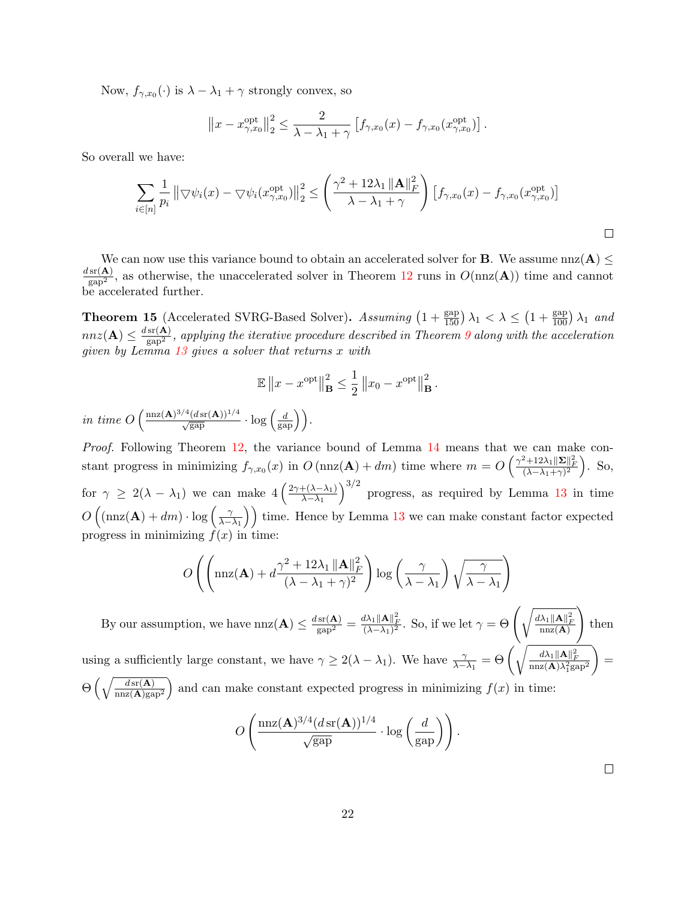Now,  $f_{\gamma,x_0}(\cdot)$  is  $\lambda - \lambda_1 + \gamma$  strongly convex, so

$$
||x - x_{\gamma,x_0}^{\text{opt}}||_2^2 \leq \frac{2}{\lambda - \lambda_1 + \gamma} \left[ f_{\gamma,x_0}(x) - f_{\gamma,x_0}(x_{\gamma,x_0}^{\text{opt}}) \right].
$$

So overall we have:

$$
\sum_{i\in[n]}\frac{1}{p_i}\left\|\nabla\psi_i(x) - \nabla\psi_i(x_{\gamma,x_0}^{\text{opt}})\right\|_2^2 \le \left(\frac{\gamma^2 + 12\lambda_1\left\|\mathbf{A}\right\|_F^2}{\lambda - \lambda_1 + \gamma}\right)\left[f_{\gamma,x_0}(x) - f_{\gamma,x_0}(x_{\gamma,x_0}^{\text{opt}})\right]
$$

We can now use this variance bound to obtain an accelerated solver for **B**. We assume  $nnz(A) \le$  $\frac{d \text{sr}(\mathbf{A})}{\text{gap}^2}$ , as otherwise, the unaccelerated solver in Theorem [12](#page-20-1) runs in  $O(\text{nnz}(\mathbf{A}))$  time and cannot be accelerated further.

<span id="page-22-0"></span>**Theorem 15** (Accelerated SVRG-Based Solver). Assuming  $\left(1+\frac{\text{gap}}{150}\right)\lambda_1 < \lambda \leq \left(1+\frac{\text{gap}}{100}\right)\lambda_1$  and  $nnz(\mathbf{A})\leq \frac{d\,\text{sr}(\mathbf{A})}{\text{gap}^2}$ , applying the iterative procedure described in Theorem [9](#page-16-1) along with the acceleration given by Lemma [13](#page-21-0) gives a solver that returns x with

$$
\mathbb{E} \|x - x^{\text{opt}}\|_{\mathbf{B}}^2 \le \frac{1}{2} \|x_0 - x^{\text{opt}}\|_{\mathbf{B}}^2.
$$

in time  $O\left(\frac{\max(\mathbf{A})^{3/4}(\text{d}\text{sr}(\mathbf{A}))^{1/4}}{\sqrt{\text{gap}}}\cdot \log\left(\frac{d}{\text{gap}}\right)\right)$ .

Proof. Following Theorem [12,](#page-20-1) the variance bound of Lemma [14](#page-21-1) means that we can make constant progress in minimizing  $f_{\gamma,x_0}(x)$  in  $O(\text{nnz}(\mathbf{A})+dm)$  time where  $m = O\left(\frac{\gamma^2+12\lambda_1\|\mathbf{\Sigma}\|_F^2}{(\lambda-\lambda_1+\gamma)^2}\right)$ . So, for  $\gamma \geq 2(\lambda - \lambda_1)$  we can make  $4\left(\frac{2\gamma+(\lambda-\lambda_1)}{\lambda-\lambda_1}\right)$  $_{\lambda-\lambda_1}$  $3^{3/2}$  progress, as required by Lemma [13](#page-21-0) in time  $O\left(\left(\max(\mathbf{A})+dm\right)\cdot\log\left(\frac{\gamma}{\lambda-1}\right)\right)$  $\left(\frac{\gamma}{\lambda-\lambda_1}\right)$  time. Hence by Lemma [13](#page-21-0) we can make constant factor expected progress in minimizing  $f(x)$  in time:

$$
O\left(\left(\max(\mathbf{A}) + d\frac{\gamma^2 + 12\lambda_1 \|\mathbf{A}\|_F^2}{(\lambda - \lambda_1 + \gamma)^2}\right) \log\left(\frac{\gamma}{\lambda - \lambda_1}\right) \sqrt{\frac{\gamma}{\lambda - \lambda_1}}\right)
$$

By our assumption, we have  $nnz(A) \leq \frac{d \operatorname{sr}(A)}{\operatorname{gap}^2} = \frac{d \lambda_1 \|A\|_F^2}{(\lambda - \lambda_1)^2}$ . So, if we let  $\gamma = \Theta\left(\sqrt{\frac{d \lambda_1 \|A\|_F^2}{nnz(A)}}\right)$  $\setminus$ then using a sufficiently large constant, we have  $\gamma \ge 2(\lambda - \lambda_1)$ . We have  $\frac{\gamma}{\lambda - \lambda_1} = \Theta\left(\sqrt{\frac{d\lambda_1 \|\mathbf{A}\|_F^2}{\max(\mathbf{A})\lambda_1^2 \mathrm{gap}^2}}\right)$  $=$  $\Theta\left(\sqrt{\frac{d\sin(A)}{\sin(Z(A))\sin^2}}\right)$  and can make constant expected progress in minimizing  $f(x)$  in time:

$$
O\left(\frac{\max(\mathbf{A})^{3/4} (d\operatorname{sr}(\mathbf{A}))^{1/4}}{\sqrt{\operatorname{gap}}}\cdot\log\left(\frac{d}{\operatorname{gap}}\right)\right).
$$

 $\Box$ 

 $\Box$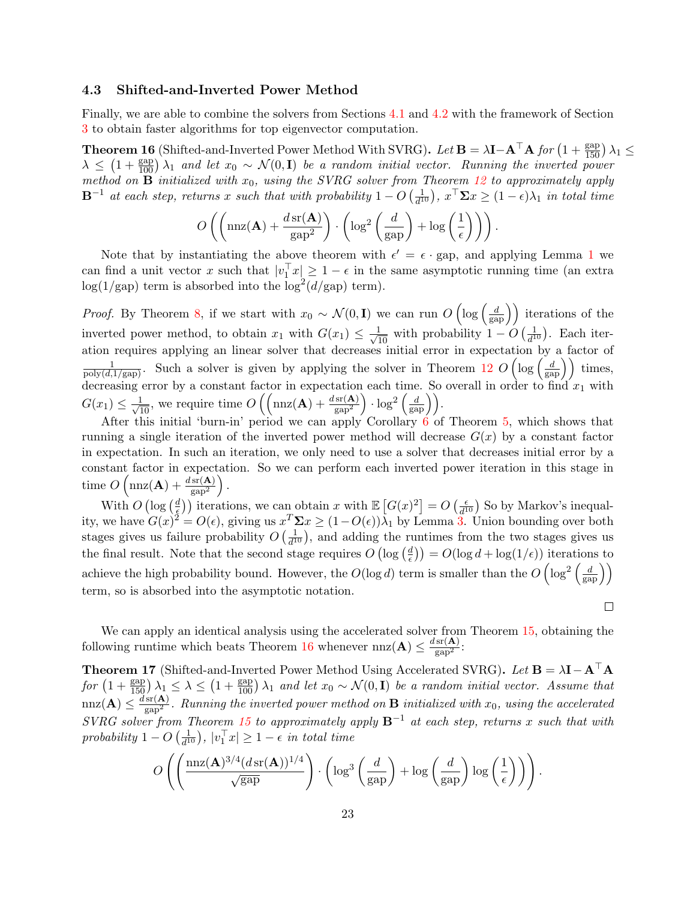### <span id="page-23-2"></span>4.3 Shifted-and-Inverted Power Method

Finally, we are able to combine the solvers from Sections [4.1](#page-16-0) and [4.2](#page-20-0) with the framework of Section [3](#page-7-0) to obtain faster algorithms for top eigenvector computation.

<span id="page-23-0"></span>**Theorem 16** (Shifted-and-Inverted Power Method With SVRG). Let  $\mathbf{B} = \lambda \mathbf{I} - \mathbf{A}^{\top} \mathbf{A}$  for  $\left(1 + \frac{\text{gap}}{150}\right) \lambda_1 \leq$  $\lambda \leq (1 + \frac{\text{gap}}{100}) \lambda_1$  and let  $x_0 \sim \mathcal{N}(0, \mathbf{I})$  be a random initial vector. Running the inverted power method on  $\mathbf{B}$  initialized with  $x_0$ , using the SVRG solver from Theorem [12](#page-20-1) to approximately apply  $\mathbf{B}^{-1}$  at each step, returns x such that with probability  $1 - O\left(\frac{1}{d^2}\right)$  $\frac{1}{d^{10}}$ ,  $x^{\top} \Sigma x \ge (1 - \epsilon)\lambda_1$  in total time

$$
O\left(\left(\mathrm{nnz}(\mathbf{A}) + \frac{d\,\mathrm{sr}(\mathbf{A})}{\mathrm{gap}^2}\right) \cdot \left(\log^2\left(\frac{d}{\mathrm{gap}}\right) + \log\left(\frac{1}{\epsilon}\right)\right)\right).
$$

Note that by instantiating the above theorem with  $\epsilon' = \epsilon \cdot$  gap, and applying Lemma [1](#page-7-3) we can find a unit vector x such that  $|v_1^\top x| \geq 1 - \epsilon$  in the same asymptotic running time (an extra  $log(1/gap)$  term is absorbed into the  $log<sup>2</sup>(d/gap)$  term).

*Proof.* By Theorem [8,](#page-14-0) if we start with  $x_0 \sim \mathcal{N}(0, \mathbf{I})$  we can run  $O\left(\log\left(\frac{d}{\text{gap}}\right)\right)$  iterations of the inverted power method, to obtain  $x_1$  with  $G(x_1) \leq \frac{1}{\sqrt{10}}$  with probability  $1 - O\left(\frac{1}{d^1}\right)$  $\frac{1}{d^{10}}$ ). Each iteration requires applying an linear solver that decreases initial error in expectation by a factor of  $\frac{1}{\text{poly}(d,1/\text{gap})}$ . Such a solver is given by applying the solver in Theorem [12](#page-20-1)  $O\left(\log\left(\frac{d}{\text{gap}}\right)\right)$  times, decreasing error by a constant factor in expectation each time. So overall in order to find  $x_1$  with  $G(x_1) \leq \frac{1}{\sqrt{10}}$ , we require time  $O\left(\left(\max(\mathbf{A}) + \frac{d \operatorname{sr}(\mathbf{A})}{\operatorname{gap}}\right) \cdot \log^2\left(\frac{d}{\operatorname{gap}}\right)\right)$ .

After this initial 'burn-in' period we can apply Corollary [6](#page-13-1) of Theorem [5,](#page-10-0) which shows that running a single iteration of the inverted power method will decrease  $G(x)$  by a constant factor in expectation. In such an iteration, we only need to use a solver that decreases initial error by a constant factor in expectation. So we can perform each inverted power iteration in this stage in time  $O\left(\max(\mathbf{A}) + \frac{d \operatorname{sr}(\mathbf{A})}{\operatorname{gap}^2}\right)$ .

With  $O(\log(\frac{d}{\epsilon}))$  $\left(\frac{d}{\xi}\right)$  iterations, we can obtain x with  $\mathbb{E}\left[G(x)^2\right] = O\left(\frac{\epsilon}{d^1}\right)$  $\frac{\epsilon}{d^{10}}$ ) So by Markov's inequality, we have  $G(x)^2 = O(\epsilon)$ , giving us  $x^T \Sigma x \ge (1 - O(\epsilon))\overline{\lambda}_1$  by Lemma [3.](#page-8-2) Union bounding over both stages gives us failure probability  $O\left(\frac{1}{d^4}\right)$  $\frac{1}{d^{10}}$ , and adding the runtimes from the two stages gives us the final result. Note that the second stage requires  $O(\log(\frac{d}{\epsilon}))$  $\left(\frac{d}{\epsilon}\right)$  =  $O(\log d + \log(1/\epsilon))$  iterations to achieve the high probability bound. However, the  $O(\log d)$  term is smaller than the  $O(\log^2(\frac{d}{\text{gap}}))$ term, so is absorbed into the asymptotic notation.

 $\Box$ 

We can apply an identical analysis using the accelerated solver from Theorem [15,](#page-22-0) obtaining the following runtime which beats Theorem [16](#page-23-0) whenever  $nnz(A) \leq \frac{dsr(A)}{gap^2}$ :

<span id="page-23-1"></span>**Theorem 17** (Shifted-and-Inverted Power Method Using Accelerated SVRG). Let  $\mathbf{B} = \lambda \mathbf{I} - \mathbf{A}^{\top} \mathbf{A}$ for  $(1 + \frac{\text{gap}}{150}) \lambda_1 \leq \lambda \leq (1 + \frac{\text{gap}}{100}) \lambda_1$  and let  $x_0 \sim \mathcal{N}(0, \mathbf{I})$  be a random initial vector. Assume that  $n_{\text{max}}(\mathbf{A}) \leq \frac{d \text{sr}(\mathbf{A})}{\text{gap}^2}$ . Running the inverted power method on **B** initialized with  $x_0$ , using the accelerated  $SVRG$  solver from Theorem [15](#page-22-0) to approximately apply  $\mathbf{B}^{-1}$  at each step, returns x such that with probability  $1 - O\left(\frac{1}{d^1}\right)$  $\left(\frac{1}{d^{10}}\right)$ ,  $|v_1^{\top}x| \geq 1 - \epsilon$  in total time

$$
O\left(\left(\frac{\max(\mathbf{A})^{3/4}(d\operatorname{sr}(\mathbf{A}))^{1/4}}{\sqrt{\operatorname{gap}}}\right) \cdot \left(\log^3\left(\frac{d}{\operatorname{gap}}\right) + \log\left(\frac{d}{\operatorname{gap}}\right)\log\left(\frac{1}{\epsilon}\right)\right)\right).
$$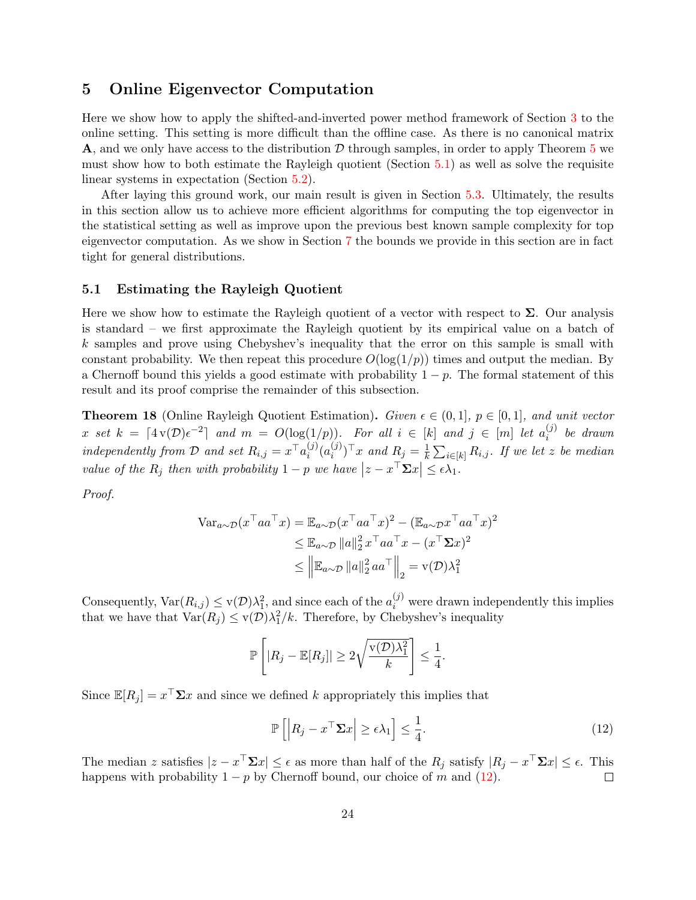# <span id="page-24-0"></span>5 Online Eigenvector Computation

Here we show how to apply the shifted-and-inverted power method framework of Section [3](#page-7-0) to the online setting. This setting is more difficult than the offline case. As there is no canonical matrix A, and we only have access to the distribution  $D$  through samples, in order to apply Theorem [5](#page-10-0) we must show how to both estimate the Rayleigh quotient (Section [5.1\)](#page-24-1) as well as solve the requisite linear systems in expectation (Section [5.2\)](#page-25-0).

After laying this ground work, our main result is given in Section [5.3.](#page-28-2) Ultimately, the results in this section allow us to achieve more efficient algorithms for computing the top eigenvector in the statistical setting as well as improve upon the previous best known sample complexity for top eigenvector computation. As we show in Section [7](#page-32-0) the bounds we provide in this section are in fact tight for general distributions.

#### <span id="page-24-1"></span>5.1 Estimating the Rayleigh Quotient

Here we show how to estimate the Rayleigh quotient of a vector with respect to  $\Sigma$ . Our analysis is standard – we first approximate the Rayleigh quotient by its empirical value on a batch of k samples and prove using Chebyshev's inequality that the error on this sample is small with constant probability. We then repeat this procedure  $O(\log(1/p))$  times and output the median. By a Chernoff bound this yields a good estimate with probability  $1 - p$ . The formal statement of this result and its proof comprise the remainder of this subsection.

<span id="page-24-3"></span>**Theorem 18** (Online Rayleigh Quotient Estimation). Given  $\epsilon \in (0,1]$ ,  $p \in [0,1]$ , and unit vector x set  $k = \lceil 4v(\mathcal{D})\epsilon^{-2}\rceil$  and  $m = O(\log(1/p))$ . For all  $i \in [k]$  and  $j \in [m]$  let  $a_i^{(j)}$  $i^{(J)}$  be drawn independently from D and set  $R_{i,j} = x^{\top} a_i^{(j)}$  $_{i}^{(j)}(a_{i}^{(j)}% )_{i}^{(j)}(a_{j}^{(j)}+a_{j}^{(j)}(a_{j}^{(j)}))_{i}^{(j)}(a_{j}^{(j)}+a_{j}^{(j)}(a_{j}^{(j)}))_{i}^{(j)}(a_{j}^{(j)}+a_{j}^{(j)}(a_{j}^{(j)}))_{i}^{(j)}(a_{j}^{(j)}+a_{j}^{(j)}(a_{j}^{(j)}))_{i}^{(j)}(a_{j}^{(j)}+a_{j}^{(j)}(a_{j}^{(j)}))_{i}^{(j)}(a_{j}^{(j)}+a_{j}^{(j)}(a$  $\binom{(j)}{i}^\top x$  and  $R_j = \frac{1}{k}$  $\frac{1}{k}\sum_{i\in [k]}R_{i,j}.$  If we let z be median value of the  $R_j$  then with probability  $1 - p$  we have  $|z - x^{\top} \Sigma x| \leq \epsilon \lambda_1$ .

Proof.

$$
\begin{aligned} \n\text{Var}_{a \sim \mathcal{D}}(x^{\top} a a^{\top} x) &= \mathbb{E}_{a \sim \mathcal{D}}(x^{\top} a a^{\top} x)^{2} - (\mathbb{E}_{a \sim \mathcal{D}} x^{\top} a a^{\top} x)^{2} \\ \n&\leq \mathbb{E}_{a \sim \mathcal{D}} \|a\|_{2}^{2} x^{\top} a a^{\top} x - (x^{\top} \Sigma x)^{2} \\ \n&\leq \left\| \mathbb{E}_{a \sim \mathcal{D}} \|a\|_{2}^{2} a a^{\top} \right\|_{2} = \text{v}(\mathcal{D}) \lambda_{1}^{2} \n\end{aligned}
$$

Consequently,  $\text{Var}(R_{i,j}) \leq \text{v}(\mathcal{D})\lambda_1^2$ , and since each of the  $a_i^{(j)}$  were drawn independently this implies that we have that  $\text{Var}(R_j) \leq \text{v}(\mathcal{D})\lambda_1^2/k$ . Therefore, by Chebyshev's inequality

$$
\mathbb{P}\left[|R_j - \mathbb{E}[R_j]| \geq 2\sqrt{\frac{\mathbf{v}(\mathcal{D})\lambda_1^2}{k}}\right] \leq \frac{1}{4}.
$$

Since  $\mathbb{E}[R_j] = x^\top \Sigma x$  and since we defined k appropriately this implies that

<span id="page-24-2"></span>
$$
\mathbb{P}\left[\left|R_j - x^{\top} \Sigma x\right| \ge \epsilon \lambda_1\right] \le \frac{1}{4}.\tag{12}
$$

The median z satisfies  $|z - x^{\top} \Sigma x| \leq \epsilon$  as more than half of the  $R_j$  satisfy  $|R_j - x^{\top} \Sigma x| \leq \epsilon$ . This happens with probability  $1 - p$  by Chernoff bound, our choice of m and [\(12\)](#page-24-2).  $\Box$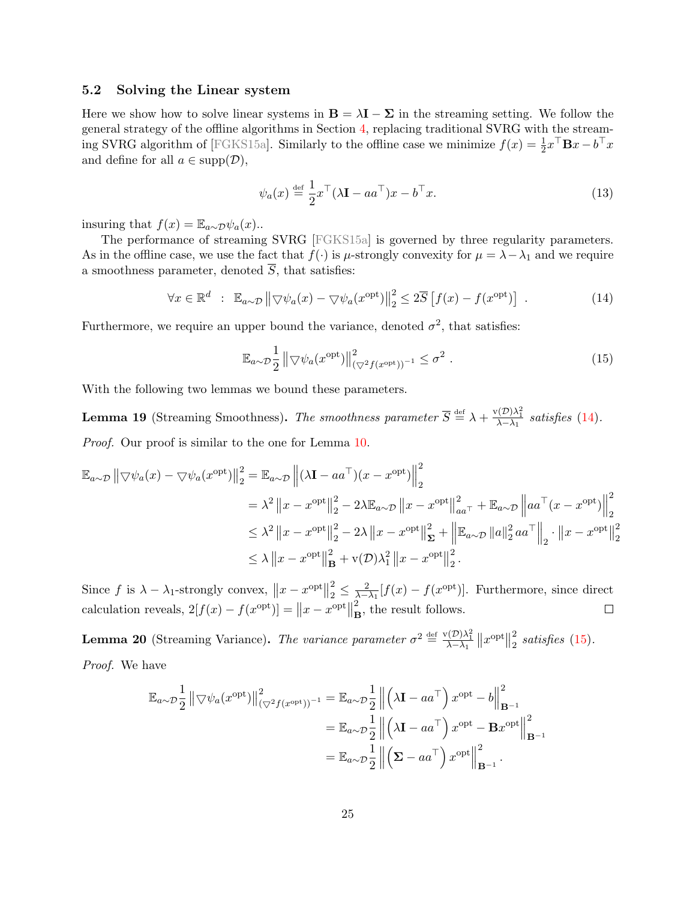### <span id="page-25-0"></span>5.2 Solving the Linear system

Here we show how to solve linear systems in  $\mathbf{B} = \lambda \mathbf{I} - \Sigma$  in the streaming setting. We follow the general strategy of the offline algorithms in Section [4,](#page-15-0) replacing traditional SVRG with the stream-ing SVRG algorithm of [\[FGKS15a\]](#page-36-8). Similarly to the offline case we minimize  $f(x) = \frac{1}{2}x^{\top}Bx - b^{\top}x$ and define for all  $a \in \text{supp}(\mathcal{D}),$ 

<span id="page-25-3"></span>
$$
\psi_a(x) \stackrel{\text{def}}{=} \frac{1}{2} x^\top (\lambda \mathbf{I} - a a^\top) x - b^\top x. \tag{13}
$$

insuring that  $f(x) = \mathbb{E}_{a \sim \mathcal{D}} \psi_a(x)$ ..

The performance of streaming SVRG [\[FGKS15a\]](#page-36-8) is governed by three regularity parameters. As in the offline case, we use the fact that  $f(\cdot)$  is  $\mu$ -strongly convexity for  $\mu = \lambda - \lambda_1$  and we require a smoothness parameter, denoted  $\overline{S}$ , that satisfies:

<span id="page-25-1"></span>
$$
\forall x \in \mathbb{R}^d : \mathbb{E}_{a \sim \mathcal{D}} \left\| \nabla \psi_a(x) - \nabla \psi_a(x^{\text{opt}}) \right\|_2^2 \leq 2\overline{S} \left[ f(x) - f(x^{\text{opt}}) \right] . \tag{14}
$$

Furthermore, we require an upper bound the variance, denoted  $\sigma^2$ , that satisfies:

<span id="page-25-2"></span>
$$
\mathbb{E}_{a \sim \mathcal{D}} \frac{1}{2} \left\| \nabla \psi_a(x^{\text{opt}}) \right\|_{(\nabla^2 f(x^{\text{opt}}))^{-1}}^2 \leq \sigma^2 . \tag{15}
$$

With the following two lemmas we bound these parameters.

**Lemma 19** (Streaming Smoothness). The smoothness parameter  $\overline{S} \stackrel{\text{def}}{=} \lambda + \frac{v(D)\lambda_1^2}{\lambda - \lambda_1}$  satisfies [\(14\)](#page-25-1). Proof. Our proof is similar to the one for Lemma [10.](#page-18-1)

$$
\mathbb{E}_{a\sim\mathcal{D}} \left\| \nabla \psi_a(x) - \nabla \psi_a(x^{\text{opt}}) \right\|_2^2 = \mathbb{E}_{a\sim\mathcal{D}} \left\| (\lambda \mathbf{I} - aa^\top)(x - x^{\text{opt}}) \right\|_2^2
$$
  
\n
$$
= \lambda^2 \left\| x - x^{\text{opt}} \right\|_2^2 - 2\lambda \mathbb{E}_{a\sim\mathcal{D}} \left\| x - x^{\text{opt}} \right\|_{aa^\top}^2 + \mathbb{E}_{a\sim\mathcal{D}} \left\| aa^\top (x - x^{\text{opt}}) \right\|_2^2
$$
  
\n
$$
\leq \lambda^2 \left\| x - x^{\text{opt}} \right\|_2^2 - 2\lambda \left\| x - x^{\text{opt}} \right\|_2^2 + \left\| \mathbb{E}_{a\sim\mathcal{D}} \left\| a \right\|_2^2 aa^\top \right\|_2 \cdot \left\| x - x^{\text{opt}} \right\|_2^2
$$
  
\n
$$
\leq \lambda \left\| x - x^{\text{opt}} \right\|_B^2 + \mathbf{v}(\mathcal{D})\lambda_1^2 \left\| x - x^{\text{opt}} \right\|_2^2.
$$

Since  $f$  is  $\lambda - \lambda_1$ -strongly convex,  $||x - x^{\text{opt}}||$ 2  $\frac{2}{2} \leq \frac{2}{\lambda - \lambda_1} [f(x) - f(x^{\text{opt}})].$  Furthermore, since direct calculation reveals,  $2[f(x) - f(x^{\text{opt}})] = ||x - x^{\text{opt}}||$ 2  $\mathbf{B}$ , the result follows.

**Lemma 20** (Streaming Variance). The variance parameter  $\sigma^2 \stackrel{\text{def}}{=} \frac{\mathbf{v}(\mathcal{D})\lambda_1^2}{\lambda - \lambda_1} ||x^{\text{opt}}||$ 2  $\frac{2}{2}$  satisfies [\(15\)](#page-25-2). Proof. We have

$$
\mathbb{E}_{a \sim \mathcal{D}} \frac{1}{2} ||\nabla \psi_a(x^{\text{opt}})||_{(\nabla^2 f(x^{\text{opt}}))^{-1}}^2 = \mathbb{E}_{a \sim \mathcal{D}} \frac{1}{2} ||\left(\lambda \mathbf{I} - aa^\top\right) x^{\text{opt}} - b||_{\mathbf{B}^{-1}}^2
$$

$$
= \mathbb{E}_{a \sim \mathcal{D}} \frac{1}{2} ||\left(\lambda \mathbf{I} - aa^\top\right) x^{\text{opt}} - \mathbf{B} x^{\text{opt}}||_{\mathbf{B}^{-1}}^2
$$

$$
= \mathbb{E}_{a \sim \mathcal{D}} \frac{1}{2} ||\left(\boldsymbol{\Sigma} - aa^\top\right) x^{\text{opt}}||_{\mathbf{B}^{-1}}^2.
$$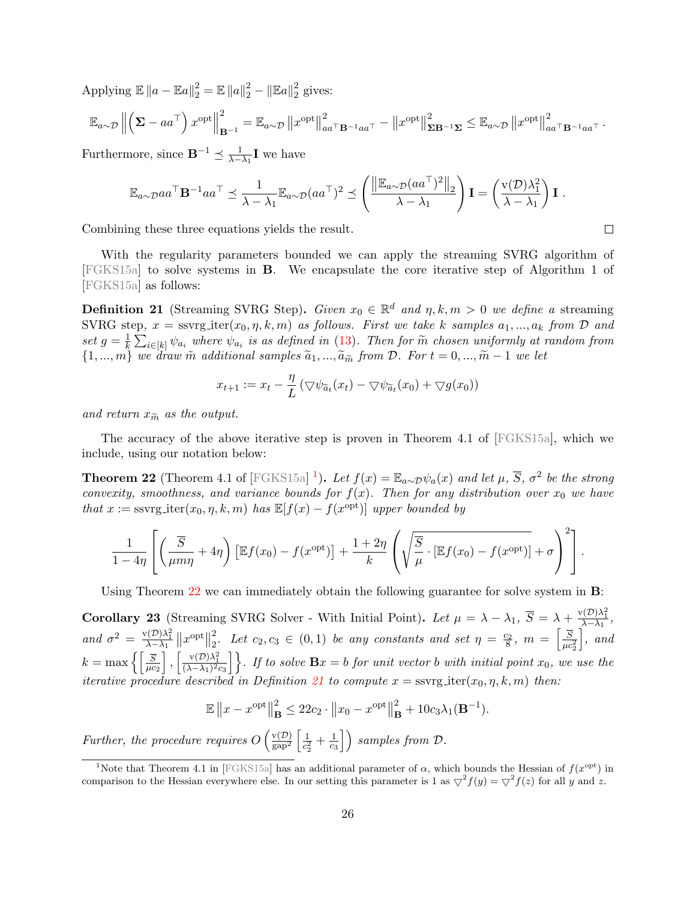Applying  $\mathbb{E} \|a - \mathbb{E}a\|_2^2 = \mathbb{E} \|a\|_2^2 - \|\mathbb{E}a\|_2^2$  $\frac{2}{2}$  gives:

$$
\mathbb{E}_{a\sim\mathcal{D}}\left\|\left(\boldsymbol{\Sigma}-aa^{\top}\right)x^{\text{opt}}\right\|_{\mathbf{B}^{-1}}^{2}=\mathbb{E}_{a\sim\mathcal{D}}\left\|x^{\text{opt}}\right\|_{aa^{\top} \mathbf{B}^{-1}aa^{\top}}^{2}-\left\|x^{\text{opt}}\right\|_{\mathbf{\Sigma}\mathbf{B}^{-1}\mathbf{\Sigma}}^{2}\leq\mathbb{E}_{a\sim\mathcal{D}}\left\|x^{\text{opt}}\right\|_{aa^{\top} \mathbf{B}^{-1}aa^{\top}}^{2}.
$$

Furthermore, since  $\mathbf{B}^{-1} \preceq \frac{1}{\lambda - \lambda_1} \mathbf{I}$  we have

$$
\mathbb{E}_{a\sim \mathcal{D}}aa^{\top} \mathbf{B}^{-1}aa^{\top} \preceq \frac{1}{\lambda - \lambda_1} \mathbb{E}_{a\sim \mathcal{D}}(aa^{\top})^2 \preceq \left(\frac{\left\|\mathbb{E}_{a\sim \mathcal{D}}(aa^{\top})^2\right\|_2}{\lambda - \lambda_1}\right) \mathbf{I} = \left(\frac{v(\mathcal{D})\lambda_1^2}{\lambda - \lambda_1}\right) \mathbf{I}.
$$

Combining these three equations yields the result.

With the regularity parameters bounded we can apply the streaming SVRG algorithm of [\[FGKS15a\]](#page-36-8) to solve systems in B. We encapsulate the core iterative step of Algorithm 1 of [\[FGKS15a\]](#page-36-8) as follows:

<span id="page-26-2"></span>**Definition 21** (Streaming SVRG Step). Given  $x_0 \in \mathbb{R}^d$  and  $\eta, k, m > 0$  we define a streaming SVRG step,  $x =$  ssvrg iter $(x_0, \eta, k, m)$  as follows. First we take k samples  $a_1, ..., a_k$  from  $\mathcal D$  and set  $g=\frac{1}{k}$  $\frac{1}{k} \sum_{i \in [k]} \psi_{a_i}$  where  $\psi_{a_i}$  is as defined in [\(13\)](#page-25-3). Then for  $\widetilde{m}$  chosen uniformly at random from<br>and degree  $\widetilde{m}$  additional semples  $\widetilde{a}$  of  $\widetilde{m}$  and  $\widetilde{m}$  and  $\widetilde{m}$  and  $\widetilde{m}$  an  $\{1, ..., m\}$  we draw m̃ additional samples  $\tilde{a}_1, ..., \tilde{a}_{\tilde{m}}$  from D. For  $t = 0, ..., \tilde{m} - 1$  we let

$$
x_{t+1} := x_t - \frac{\eta}{L} \left( \bigtriangledown \psi_{\widetilde{a}_t}(x_t) - \bigtriangledown \psi_{\widetilde{a}_t}(x_0) + \bigtriangledown g(x_0) \right)
$$

and return  $x_{\widetilde{m}}$  as the output.

The accuracy of the above iterative step is proven in Theorem 4.1 of [\[FGKS15a\]](#page-36-8), which we include, using our notation below:

<span id="page-26-1"></span>**Theorem 22** (Theorem 4.1 of [\[FGKS15a\]](#page-36-8)<sup>[1](#page-26-0)</sup>). Let  $f(x) = \mathbb{E}_{a \sim \mathcal{D}} \psi_a(x)$  and let  $\mu$ ,  $\overline{S}$ ,  $\sigma^2$  be the strong convexity, smoothness, and variance bounds for  $f(x)$ . Then for any distribution over  $x_0$  we have that  $x :=$  ssvrg\_iter $(x_0, \eta, k, m)$  has  $\mathbb{E}[f(x) - f(x^{\text{opt}})]$  upper bounded by

$$
\frac{1}{1-4\eta} \left[ \left( \frac{\overline{S}}{\mu m \eta} + 4\eta \right) \left[ \mathbb{E} f(x_0) - f(x^{\text{opt}}) \right] + \frac{1+2\eta}{k} \left( \sqrt{\frac{\overline{S}}{\mu} \cdot \left[ \mathbb{E} f(x_0) - f(x^{\text{opt}}) \right]} + \sigma \right)^2 \right].
$$

Using Theorem [22](#page-26-1) we can immediately obtain the following guarantee for solve system in **B**:

<span id="page-26-3"></span>**Corollary 23** (Streaming SVRG Solver - With Initial Point). Let  $\mu = \lambda - \lambda_1$ ,  $\overline{S} = \lambda + \frac{v(D)\lambda_1^2}{\lambda - \lambda_1}$ , and  $\sigma^2 = \frac{v(D)\lambda_1^2}{\lambda - \lambda_1} ||x^{\text{opt}}||$ 2  $\frac{2}{2}$ . Let  $c_2, c_3 \in (0,1)$  be any constants and set  $\eta = \frac{c_2}{8}$ ,  $m = \left[\frac{\overline{S}}{\mu c_2^2}\right]$  $\big\}$ , and  $k = \max\left\{\left\lceil \frac{\overline{S}}{\mu c_2}\right\rceil$  $\left[\,\frac{v(D)\lambda_1^2}{(\lambda-\lambda_1)^2c_3}\right]$ . If to solve  $\mathbf{B}x = b$  for unit vector b with initial point  $x_0$ , we use the iterative procedure described in Definition [21](#page-26-2) to compute  $x =$  ssvrg\_iter $(x_0, \eta, k, m)$  then:

$$
\mathbb{E} \|x - x^{\text{opt}}\|_{\mathbf{B}}^2 \le 22c_2 \cdot \|x_0 - x^{\text{opt}}\|_{\mathbf{B}}^2 + 10c_3 \lambda_1(\mathbf{B}^{-1}).
$$

Further, the procedure requires  $O\left(\frac{v(D)}{m\sigma^2}\right)$  $\frac{\mathrm{v}(\mathcal{D})}{\mathrm{gap}^2} \left[ \frac{1}{c^2} \right]$  $\frac{1}{c_2^2} + \frac{1}{c_3}$  $\left(\frac{1}{c_3}\right)$  samples from  $\mathcal{D}$ .  $\Box$ 

<span id="page-26-0"></span><sup>&</sup>lt;sup>1</sup>Note that Theorem 4.1 in [\[FGKS15a\]](#page-36-8) has an additional parameter of  $\alpha$ , which bounds the Hessian of  $f(x^{\text{opt}})$  in comparison to the Hessian everywhere else. In our setting this parameter is 1 as  $\overline{\vee}^2 f(y) = \overline{\vee}^2 f(z)$  for all y and z.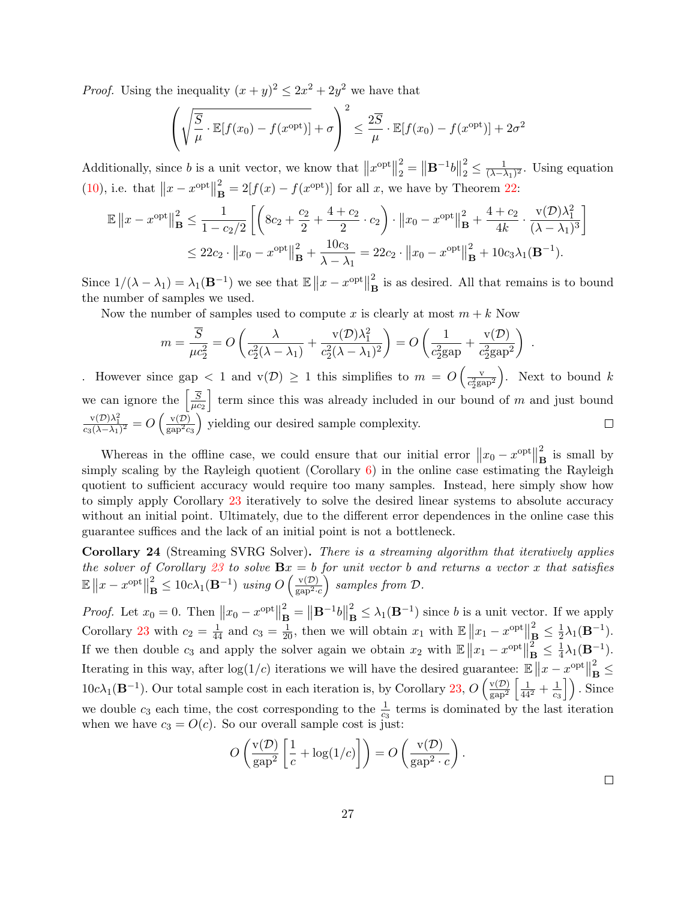*Proof.* Using the inequality  $(x+y)^2 \leq 2x^2 + 2y^2$  we have that

$$
\left(\sqrt{\frac{\overline{S}}{\mu}} \cdot \mathbb{E}[f(x_0) - f(x^{\text{opt}})] + \sigma\right)^2 \le \frac{2\overline{S}}{\mu} \cdot \mathbb{E}[f(x_0) - f(x^{\text{opt}})] + 2\sigma^2
$$

Additionally, since b is a unit vector, we know that  $||x^{\text{opt}}||$ 2  $\binom{2}{2} = \left\| \mathbf{B}^{-1}b \right\|$ 2  $\frac{2}{2} \leq \frac{1}{(\lambda - \lambda)}$  $\frac{1}{(\lambda-\lambda_1)^2}$ . Using equation [\(10\)](#page-19-1), i.e. that  $||x - x^{\text{opt}}||$ 2  $\mathbf{B}^2 = 2[f(x) - f(x^{\text{opt}})]$  for all x, we have by Theorem [22:](#page-26-1)

$$
\mathbb{E} \|x - x^{\text{opt}}\|_{\mathbf{B}}^2 \le \frac{1}{1 - c_2/2} \left[ \left( 8c_2 + \frac{c_2}{2} + \frac{4 + c_2}{2} \cdot c_2 \right) \cdot \|x_0 - x^{\text{opt}}\|_{\mathbf{B}}^2 + \frac{4 + c_2}{4k} \cdot \frac{\mathbf{v}(\mathcal{D})\lambda_1^2}{(\lambda - \lambda_1)^3} \right] \le 22c_2 \cdot \|x_0 - x^{\text{opt}}\|_{\mathbf{B}}^2 + \frac{10c_3}{\lambda - \lambda_1} = 22c_2 \cdot \|x_0 - x^{\text{opt}}\|_{\mathbf{B}}^2 + 10c_3 \lambda_1(\mathbf{B}^{-1}).
$$

Since  $1/(\lambda - \lambda_1) = \lambda_1(\mathbf{B}^{-1})$  we see that  $\mathbb{E} \|x - x^{\text{opt}}\|$ 2  $\mathbf{B}$  is as desired. All that remains is to bound the number of samples we used.

Now the number of samples used to compute x is clearly at most  $m + k$  Now

$$
m = \frac{\overline{S}}{\mu c_2^2} = O\left(\frac{\lambda}{c_2^2(\lambda - \lambda_1)} + \frac{v(\mathcal{D})\lambda_1^2}{c_2^2(\lambda - \lambda_1)^2}\right) = O\left(\frac{1}{c_2^2\text{gap}} + \frac{v(\mathcal{D})}{c_2^2\text{gap}^2}\right) .
$$

. However since gap  $\langle 1 \text{ and } v(\mathcal{D}) \rangle \geq 1$  this simplifies to  $m = O\left(\frac{v}{c^2}\right)$ ). Next to bound  $k$  $\overline{c_2^2 \text{gap}^2}$ we can ignore the  $\left[\frac{\overline{S}}{ac}\right]$ term since this was already included in our bound of  $m$  and just bound  $\overline{\mu c_2}$  $\frac{\mathrm{v}(\mathcal{D})\lambda_1^2}{c_3(\lambda-\lambda_1)^2}=O\left(\frac{\mathrm{v}(\mathcal{D})}{\mathrm{gap}^2c}\right)$  yielding our desired sample complexity.  $\Box$  $_{\rm gap}$ <sup>2</sup> $_{c_3}$ 

Whereas in the offline case, we could ensure that our initial error  $||x_0 - x^{\text{opt}}||$ 2  $\mathbf{B}$  is small by simply scaling by the Rayleigh quotient (Corollary  $6$ ) in the online case estimating the Rayleigh quotient to sufficient accuracy would require too many samples. Instead, here simply show how to simply apply Corollary [23](#page-26-3) iteratively to solve the desired linear systems to absolute accuracy without an initial point. Ultimately, due to the different error dependences in the online case this guarantee suffices and the lack of an initial point is not a bottleneck.

<span id="page-27-0"></span>Corollary 24 (Streaming SVRG Solver). There is a streaming algorithm that iteratively applies the solver of Corollary [23](#page-26-3) to solve  $\mathbf{B}x = b$  for unit vector b and returns a vector x that satisfies  $\mathbb{E} \| x - x^{\text{opt}} \|$ 2  $\frac{2}{\mathbf{B}} \leq 10c\lambda_1(\mathbf{B}^{-1})$  using  $O\left(\frac{\mathrm{v}(\mathcal{D})}{\mathrm{gap}^2}\right)$  $\frac{v(\mathcal{D})}{\text{gap}^2 \cdot c}$  samples from  $\mathcal{D}$ .

*Proof.* Let  $x_0 = 0$ . Then  $||x_0 - x^{\text{opt}}||$ 2  $\mathbf{B} = \|\mathbf{B}^{-1}b\|$ 2  $\mathbf{B}_{\mathbf{B}}^2 \leq \lambda_1(\mathbf{B}^{-1})$  since b is a unit vector. If we apply Corollary [23](#page-26-3) with  $c_2 = \frac{1}{44}$  and  $c_3 = \frac{1}{20}$ , then we will obtain  $x_1$  with  $\mathbb{E} \left\| x_1 - x^{\text{opt}} \right\|$ 2  $\frac{2}{\mathbf{B}} \leq \frac{1}{2}$  $\frac{1}{2}\lambda_1(\mathbf{B}^{-1}).$ If we then double  $c_3$  and apply the solver again we obtain  $x_2$  with  $\mathbb{E} \|x_1 - x^{\text{opt}}\|$  $\bar{2}$  $\frac{2}{\mathbf{B}} \leq \frac{1}{4}$  $\frac{1}{4}\lambda_1(\mathbf{B}^{-1}).$ Iterating in this way, after  $\log(1/c)$  iterations we will have the desired guarantee:  $\mathbb{E} \|x - x^{\text{opt}}\|$ 2  $_{\rm B}^{^{2}}$   $\leq$  $10c\lambda_1(\mathbf{B}^{-1})$ . Our total sample cost in each iteration is, by Corollary [23,](#page-26-3)  $O\left(\frac{v(D)}{g_{\text{an}}^2}\right)$  $\frac{v(\mathcal{D})}{\text{gap}^2} \left[ \frac{1}{44^2} + \frac{1}{c_3} \right]$  $\left\lfloor \frac{1}{c_3} \right\rfloor$ ). Since we double  $c_3$  each time, the cost corresponding to the  $\frac{1}{c_3}$  terms is dominated by the last iteration when we have  $c_3 = O(c)$ . So our overall sample cost is just:

$$
O\left(\frac{\mathsf{v}(\mathcal{D})}{\mathsf{gap}^2} \left[\frac{1}{c} + \log(1/c)\right]\right) = O\left(\frac{\mathsf{v}(\mathcal{D})}{\mathsf{gap}^2 \cdot c}\right).
$$

 $\Box$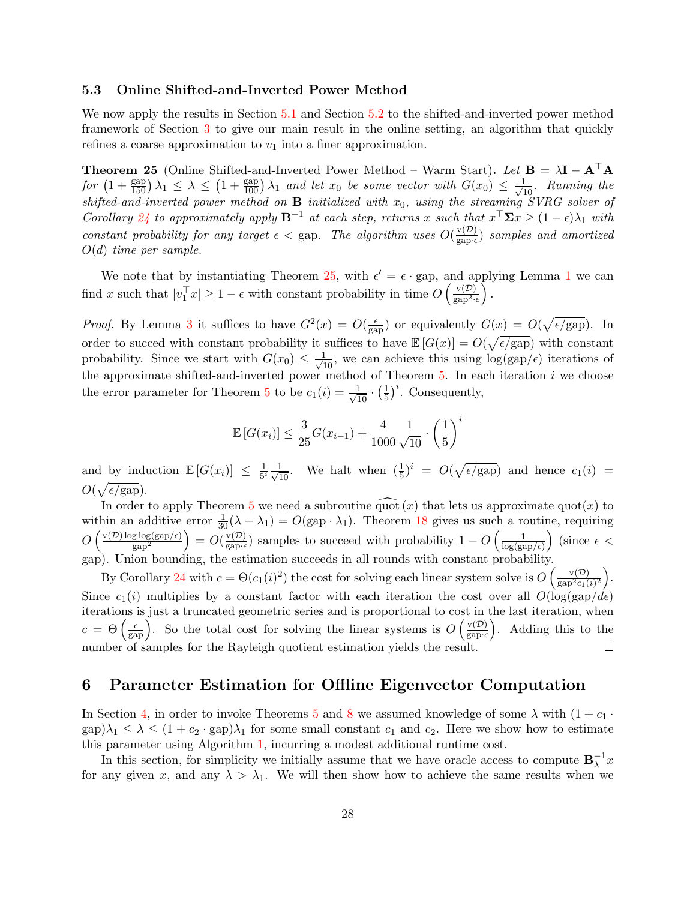### <span id="page-28-2"></span>5.3 Online Shifted-and-Inverted Power Method

We now apply the results in Section [5.1](#page-24-1) and Section [5.2](#page-25-0) to the shifted-and-inverted power method framework of Section [3](#page-7-0) to give our main result in the online setting, an algorithm that quickly refines a coarse approximation to  $v_1$  into a finer approximation.

<span id="page-28-1"></span>**Theorem 25** (Online Shifted-and-Inverted Power Method – Warm Start). Let  $\mathbf{B} = \lambda \mathbf{I} - \mathbf{A}^{\top} \mathbf{A}$  $for\,\left(1+\frac{\text{gap}}{150}\right)\lambda_1 \leq \lambda \leq \left(1+\frac{\text{gap}}{100}\right)\lambda_1$  and let  $x_0$  be some vector with  $G(x_0) \leq \frac{1}{\sqrt{10}}$ . Running the shifted-and-inverted power method on  $B$  initialized with  $x_0$ , using the streaming SVRG solver of Corollary [24](#page-27-0) to approximately apply  $\mathbf{B}^{-1}$  at each step, returns x such that  $x^{\top} \mathbf{\Sigma} x \geq (1 - \epsilon)\lambda_1$  with constant probability for any target  $\epsilon <$  gap. The algorithm uses  $O(\frac{v(D)}{g_{\text{max}}})$  $\frac{\mathbf{v}(D)}{\text{gap-}\epsilon}$ ) samples and amortized  $O(d)$  time per sample.

We note that by instantiating Theorem [25,](#page-28-1) with  $\epsilon' = \epsilon \cdot$  gap, and applying Lemma [1](#page-7-3) we can find x such that  $|v_1^\top x| \geq 1 - \epsilon$  with constant probability in time  $O\left(\frac{v(\mathcal{D})}{\text{gap}^2}\right)$  $\frac{\mathbf{v}(\mathcal{D})}{\text{gap}^2 \cdot \epsilon}$ ).

*Proof.* By Lemma [3](#page-8-2) it suffices to have  $G^2(x) = O(\frac{\epsilon}{\sigma^2})$  $\frac{\epsilon}{\text{gap}}$ ) or equivalently  $G(x) = O(\sqrt{\epsilon/\text{gap}})$ . In order to succed with constant probability it suffices to have  $\mathbb{E}[G(x)] = O(\sqrt{\epsilon/\text{gap}})$  with constant probability. Since we start with  $G(x_0) \leq \frac{1}{\sqrt{10}}$ , we can achieve this using  $\log(\text{gap}/\epsilon)$  iterations of the approximate shifted-and-inverted power method of Theorem  $5$ . In each iteration  $i$  we choose the error parameter for Theorem [5](#page-10-0) to be  $c_1(i) = \frac{1}{\sqrt{10}} \cdot \left(\frac{1}{5}\right)$  $\frac{1}{5}$ <sup>i</sup>. Consequently,

$$
\mathbb{E}\left[G(x_i)\right] \le \frac{3}{25}G(x_{i-1}) + \frac{4}{1000} \frac{1}{\sqrt{10}} \cdot \left(\frac{1}{5}\right)^i
$$

and by induction  $\mathbb{E}[G(x_i)] \leq \frac{1}{5i}$  $\frac{1}{5^i} \frac{1}{\sqrt{10}}$ . We halt when  $(\frac{1}{5})^i = O(\sqrt{\epsilon/\text{gap}})$  and hence  $c_1(i)$  =  $O(\sqrt{\epsilon/\text{gap}})$ .

In order to apply Theorem [5](#page-10-0) we need a subroutine  $\widehat{\text{quot}}(x)$  that lets us approximate  $\text{quot}(x)$  to within an additive error  $\frac{1}{30}(\lambda - \lambda_1) = O(\text{gap} \cdot \lambda_1)$ . Theorem [18](#page-24-3) gives us such a routine, requiring  $O\left(\frac{\nu(\mathcal{D})\log\log(\text{gap}/\epsilon)}{\text{can}^2}\right)$  $\frac{\text{g log}(\text{gap}/\epsilon)}{\text{gap}^2}$  =  $O(\frac{\text{v}(\mathcal{D})}{\text{gap} \cdot \epsilon})$  $\frac{v(D)}{gap \cdot \epsilon}$  samples to succeed with probability  $1 - O\left(\frac{1}{\log(g\epsilon)}\right)$  $\frac{1}{\log(\text{gap}/\epsilon)}$  (since  $\epsilon$  < gap). Union bounding, the estimation succeeds in all rounds with constant probability.

By Corollary [24](#page-27-0) with  $c = \Theta(c_1(i)^2)$  the cost for solving each linear system solve is  $O\left(\frac{v(D)}{sa^2c_1}\right)$  $\frac{\mathrm{v}(\mathcal{D})}{\mathrm{gap}^2 c_1(i)^2}$ . Since  $c_1(i)$  multiplies by a constant factor with each iteration the cost over all  $O(\log(\text{gap}/d\epsilon))$ iterations is just a truncated geometric series and is proportional to cost in the last iteration, when  $c = \Theta\left(\frac{\epsilon}{\text{gap}}\right)$ . So the total cost for solving the linear systems is  $O\left(\frac{v(D)}{\text{gap-}\epsilon}\right)$  $\frac{v(D)}{gap \cdot \epsilon}$ . Adding this to the number of samples for the Rayleigh quotient estimation yields the result.  $\Box$ 

# <span id="page-28-0"></span>6 Parameter Estimation for Offline Eigenvector Computation

In Section [4,](#page-15-0) in order to invoke Theorems [5](#page-10-0) and [8](#page-14-0) we assumed knowledge of some  $\lambda$  with  $(1 + c_1 \cdot$  $\text{gap}|\lambda_1 \leq \lambda \leq (1+c_2 \cdot \text{gap})\lambda_1$  for some small constant  $c_1$  and  $c_2$ . Here we show how to estimate this parameter using Algorithm [1,](#page-29-0) incurring a modest additional runtime cost.

In this section, for simplicity we initially assume that we have oracle access to compute  $\mathbf{B}_{\lambda}^{-1}$  $\overline{\lambda}^{\perp}x$ for any given x, and any  $\lambda > \lambda_1$ . We will then show how to achieve the same results when we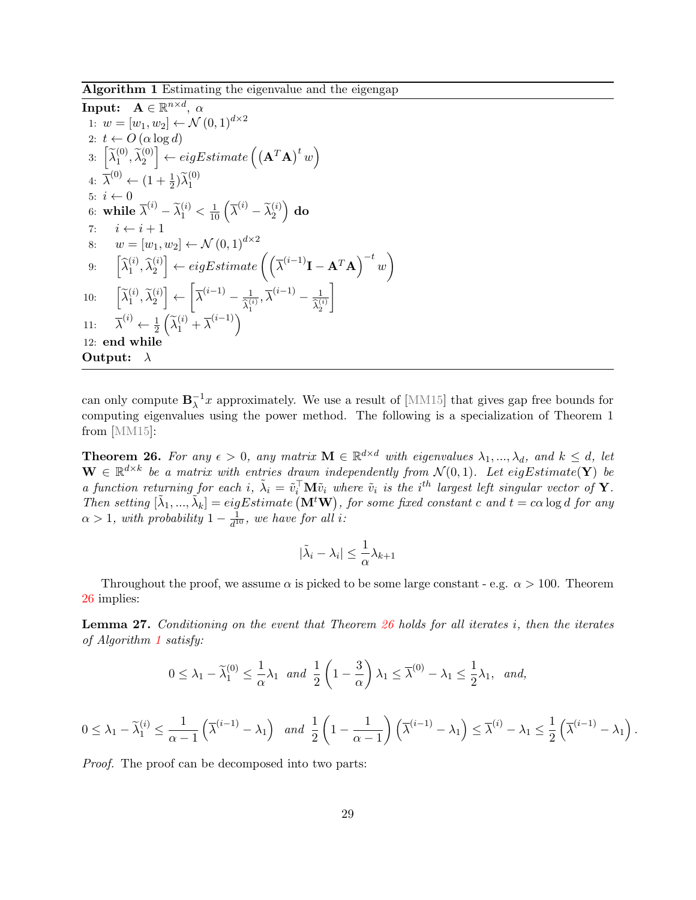Algorithm 1 Estimating the eigenvalue and the eigengap

Input: 
$$
\mathbf{A} \in \mathbb{R}^{n \times d}
$$
,  $\alpha$   
\n1:  $w = [w_1, w_2] \leftarrow \mathcal{N}(0, 1)^{d \times 2}$   
\n2:  $t \leftarrow O(\alpha \log d)$   
\n3:  $\left[\tilde{\lambda}_1^{(0)}, \tilde{\lambda}_2^{(0)}\right] \leftarrow eigEstimate\left((\mathbf{A}^T \mathbf{A})^t w\right)$   
\n4:  $\bar{\lambda}^{(0)} \leftarrow (1 + \frac{1}{2})\tilde{\lambda}_1^{(0)}$   
\n5:  $i \leftarrow 0$   
\n6: while  $\bar{\lambda}^{(i)} - \tilde{\lambda}_1^{(i)} < \frac{1}{10} \left(\bar{\lambda}^{(i)} - \tilde{\lambda}_2^{(i)}\right) \text{ do}$   
\n7:  $i \leftarrow i + 1$   
\n8:  $w = [w_1, w_2] \leftarrow \mathcal{N}(0, 1)^{d \times 2}$   
\n9:  $\left[\hat{\lambda}_1^{(i)}, \hat{\lambda}_2^{(i)}\right] \leftarrow eigEstimate\left(\left(\bar{\lambda}^{(i-1)}\mathbf{I} - \mathbf{A}^T \mathbf{A}\right)^{-t} w\right)$   
\n10:  $\left[\tilde{\lambda}_1^{(i)}, \tilde{\lambda}_2^{(i)}\right] \leftarrow \left[\bar{\lambda}^{(i-1)} - \frac{1}{\tilde{\lambda}_1^{(i)}}, \bar{\lambda}^{(i-1)} - \frac{1}{\tilde{\lambda}_2^{(i)}}\right]$   
\n11:  $\bar{\lambda}^{(i)} \leftarrow \frac{1}{2} \left(\tilde{\lambda}_1^{(i)} + \bar{\lambda}^{(i-1)}\right)$   
\n12: **end while**  
\nOutput:  $\lambda$ 

<span id="page-29-0"></span>can only compute  $\mathbf{B}_{\lambda}^{-1}$  $_{\lambda}^{-1}x$  approximately. We use a result of [\[MM15\]](#page-37-14) that gives gap free bounds for computing eigenvalues using the power method. The following is a specialization of Theorem 1 from [\[MM15\]](#page-37-14):

<span id="page-29-1"></span>**Theorem 26.** For any  $\epsilon > 0$ , any matrix  $\mathbf{M} \in \mathbb{R}^{d \times d}$  with eigenvalues  $\lambda_1, ..., \lambda_d$ , and  $k \leq d$ , let  $\mathbf{W} \in \mathbb{R}^{d \times k}$  be a matrix with entries drawn independently from  $\mathcal{N}(0,1)$ . Let eigEstimate(Y) be a function returning for each i,  $\tilde{\lambda}_i = \tilde{v}_i^{\top} \mathbf{M} \tilde{v}_i$  where  $\tilde{v}_i$  is the i<sup>th</sup> largest left singular vector of **Y**. Then setting  $[\tilde{\lambda}_1, ..., \tilde{\lambda}_k] = eigEstimate(\mathbf{M}^t \mathbf{W}),$  for some fixed constant c and  $t = c\alpha \log d$  for any  $\alpha > 1$ , with probability  $1 - \frac{1}{d^2}$  $\frac{1}{d^{10}}$ , we have for all i:

$$
|\tilde{\lambda}_i - \lambda_i| \le \frac{1}{\alpha} \lambda_{k+1}
$$

Throughout the proof, we assume  $\alpha$  is picked to be some large constant - e.g.  $\alpha > 100$ . Theorem [26](#page-29-1) implies:

<span id="page-29-2"></span>**Lemma 27.** Conditioning on the event that Theorem  $26$  holds for all iterates i, then the iterates of Algorithm [1](#page-29-0) satisfy:

$$
0 \le \lambda_1 - \widetilde{\lambda}_1^{(0)} \le \frac{1}{\alpha} \lambda_1 \quad \text{and} \quad \frac{1}{2} \left( 1 - \frac{3}{\alpha} \right) \lambda_1 \le \overline{\lambda}^{(0)} - \lambda_1 \le \frac{1}{2} \lambda_1, \quad \text{and,}
$$

$$
0 \leq \lambda_1 - \widetilde{\lambda}_1^{(i)} \leq \frac{1}{\alpha - 1} \left( \overline{\lambda}^{(i-1)} - \lambda_1 \right) \quad \text{and} \quad \frac{1}{2} \left( 1 - \frac{1}{\alpha - 1} \right) \left( \overline{\lambda}^{(i-1)} - \lambda_1 \right) \leq \overline{\lambda}^{(i)} - \lambda_1 \leq \frac{1}{2} \left( \overline{\lambda}^{(i-1)} - \lambda_1 \right)
$$

.

*Proof.* The proof can be decomposed into two parts: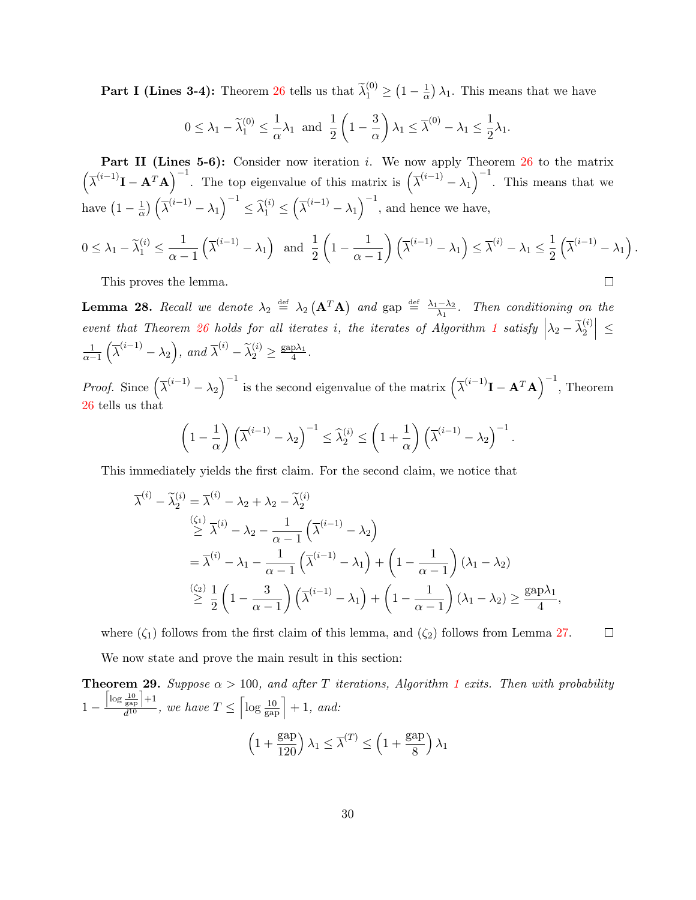**Part I (Lines 3-4):** Theorem [26](#page-29-1) tells us that  $\widetilde{\lambda}_1^{(0)} \geq \left(1 - \frac{1}{\alpha}\right)$  $\frac{1}{\alpha}$ )  $\lambda_1$ . This means that we have

$$
0 \le \lambda_1 - \tilde{\lambda}_1^{(0)} \le \frac{1}{\alpha} \lambda_1
$$
 and  $\frac{1}{2} \left( 1 - \frac{3}{\alpha} \right) \lambda_1 \le \overline{\lambda}^{(0)} - \lambda_1 \le \frac{1}{2} \lambda_1$ .

**Part II (Lines 5-6):** Consider now iteration i. We now apply Theorem  $26$  to the matrix  $\left(\overline{\lambda}^{(i-1)}\mathbf{I}-\mathbf{A}^T\mathbf{A}\right)^{-1}$ . The top eigenvalue of this matrix is  $\left(\overline{\lambda}^{(i-1)}-\lambda_1\right)^{-1}$ . This means that we have  $\left(1-\frac{1}{\alpha}\right)$  $\frac{1}{\alpha}$ )  $\left(\overline{\lambda}^{(i-1)} - \lambda_1\right)^{-1} \leq \widehat{\lambda}_1^{(i)} \leq \left(\overline{\lambda}^{(i-1)} - \lambda_1\right)^{-1}$ , and hence we have,

$$
0 \le \lambda_1 - \widetilde{\lambda}_1^{(i)} \le \frac{1}{\alpha - 1} \left( \overline{\lambda}^{(i-1)} - \lambda_1 \right) \text{ and } \frac{1}{2} \left( 1 - \frac{1}{\alpha - 1} \right) \left( \overline{\lambda}^{(i-1)} - \lambda_1 \right) \le \overline{\lambda}^{(i)} - \lambda_1 \le \frac{1}{2} \left( \overline{\lambda}^{(i-1)} - \lambda_1 \right).
$$
  
This proves the lemma.

This proves the lemma.

<span id="page-30-0"></span>**Lemma 28.** Recall we denote  $\lambda_2 \stackrel{\text{def}}{=} \lambda_2 (\mathbf{A}^T \mathbf{A})$  and  $\text{gap} \stackrel{\text{def}}{=} \frac{\lambda_1 - \lambda_2}{\lambda_1}$  $\frac{-\lambda_2}{\lambda_1}$ . Then conditioning on the event that Theorem [26](#page-29-1) holds for all iterates i, the iterates of Algorithm [1](#page-29-0) satisfy  $\left|\lambda_2 - \widetilde{\lambda}_2^{(i)}\right| \leq$  $\frac{1}{\alpha-1}\left(\overline{\lambda}^{(i-1)}-\lambda_2\right)$ , and  $\overline{\lambda}^{(i)}-\widetilde{\lambda}_2^{(i)}\geq \frac{\text{gap}\lambda_1}{4}$  $\frac{\mathrm{p}\lambda_1}{4}$ .

*Proof.* Since  $(\bar{\lambda}^{(i-1)} - \lambda_2)^{-1}$  is the second eigenvalue of the matrix  $(\bar{\lambda}^{(i-1)}I - A^T A)^{-1}$ , Theorem [26](#page-29-1) tells us that

$$
\left(1 - \frac{1}{\alpha}\right) \left(\overline{\lambda}^{(i-1)} - \lambda_2\right)^{-1} \leq \widehat{\lambda}_2^{(i)} \leq \left(1 + \frac{1}{\alpha}\right) \left(\overline{\lambda}^{(i-1)} - \lambda_2\right)^{-1}.
$$

This immediately yields the first claim. For the second claim, we notice that

$$
\bar{\lambda}^{(i)} - \tilde{\lambda}_2^{(i)} = \bar{\lambda}^{(i)} - \lambda_2 + \lambda_2 - \tilde{\lambda}_2^{(i)}
$$
\n
$$
\stackrel{(\zeta_1)}{\geq} \bar{\lambda}^{(i)} - \lambda_2 - \frac{1}{\alpha - 1} \left( \bar{\lambda}^{(i-1)} - \lambda_2 \right)
$$
\n
$$
= \bar{\lambda}^{(i)} - \lambda_1 - \frac{1}{\alpha - 1} \left( \bar{\lambda}^{(i-1)} - \lambda_1 \right) + \left( 1 - \frac{1}{\alpha - 1} \right) (\lambda_1 - \lambda_2)
$$
\n
$$
\stackrel{(\zeta_2)}{\geq} \frac{1}{2} \left( 1 - \frac{3}{\alpha - 1} \right) \left( \bar{\lambda}^{(i-1)} - \lambda_1 \right) + \left( 1 - \frac{1}{\alpha - 1} \right) (\lambda_1 - \lambda_2) \geq \frac{\text{gap}\lambda_1}{4},
$$

where  $(\zeta_1)$  follows from the first claim of this lemma, and  $(\zeta_2)$  follows from Lemma [27.](#page-29-2)  $\Box$ 

We now state and prove the main result in this section:

<span id="page-30-1"></span>**Theorem 29.** Suppose  $\alpha > 100$  $\alpha > 100$  $\alpha > 100$ , and after T iterations, Algorithm 1 exits. Then with probability 1 −  $\left\lceil \log \frac{10}{\text{gap}} \right\rceil + 1$  $\frac{\frac{1}{\exp}\left|+1\right|}{d^{10}},$  we have  $T \leq \left[\log \frac{10}{\exp}\right] + 1$ , and:  $\left(1+\frac{\text{gap}}{100}\right)$ 120  $\lambda_1 \leq \overline{\lambda}^{(T)} \leq \left(1 + \frac{\text{gap}}{\text{e}}\right)$ 8  $\big)$   $\lambda_1$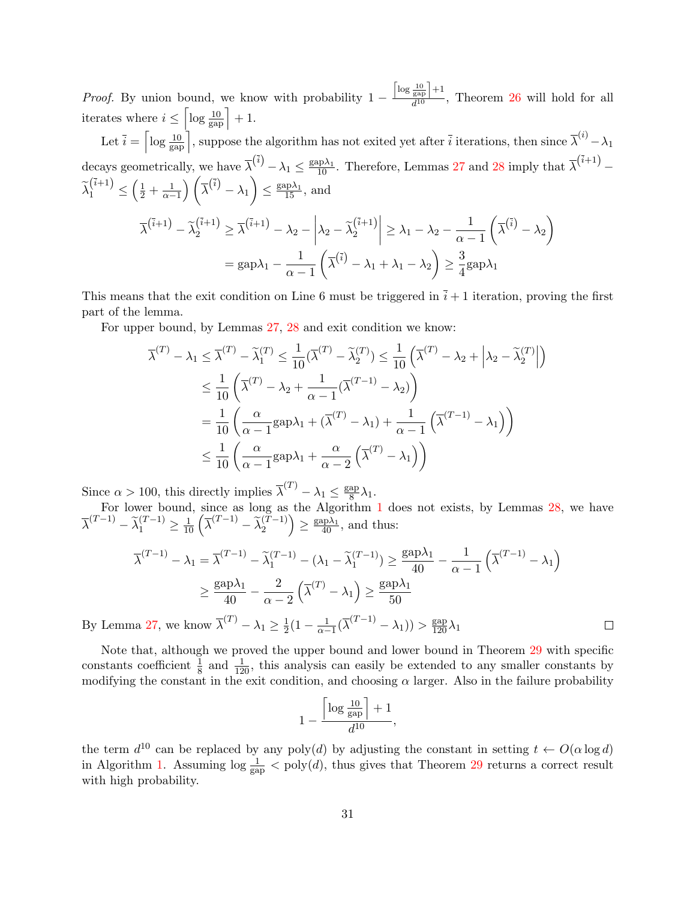*Proof.* By union bound, we know with probability  $1 \left\lceil \log \frac{10}{\text{gap}} \right\rceil + 1$  $\frac{\text{gap}}{d^{10}}$ , Theorem [26](#page-29-1) will hold for all iterates where  $i \leq \left\lceil \log \frac{10}{\text{gap}} \right\rceil + 1$ .

Let  $\bar{i} = \left\lceil \log \frac{10}{\text{gap}} \right\rceil$ , suppose the algorithm has not exited yet after  $\bar{i}$  iterations, then since  $\bar{\lambda}^{(i)} - \lambda_1$ decays geometrically, we have  $\overline{\lambda}^{(\overline{i})} - \lambda_1 \le \frac{\text{gap} \lambda_1}{10}$ . Therefore, Lemmas [27](#page-29-2) and [28](#page-30-0) imply that  $\overline{\lambda}^{(\overline{i}+1)}$  –  $\widetilde{\lambda}_1^{(\overline{i}+1)} \leq \left(\frac{1}{2} + \frac{1}{\alpha-1}\right) \left(\overline{\lambda}^{(\overline{i})} - \lambda_1\right) \leq \frac{\text{gap}\lambda_1}{15}$ , and  $\overline{\lambda}^{(\overline{i}+1)} - \widetilde{\lambda}_2^{(\overline{i}+1)} \geq \overline{\lambda}^{(\overline{i}+1)} - \lambda_2 - \bigg\vert \lambda_2 - \widetilde{\lambda}_2^{(\overline{i}+1)} \bigg\vert$ 2  $\begin{array}{c} \hline \end{array}$  $\geq \lambda_1 - \lambda_2 - \frac{1}{\lambda_1}$  $\alpha - 1$  $\left(\overline{\lambda}^{(\overline{i})} - \lambda_2\right)$ 

$$
= \text{gap} \lambda_1 - \frac{1}{\alpha-1}\left(\overline{\lambda}^{(\overline{i})} - \lambda_1 + \lambda_1 - \lambda_2\right) \ge \frac{3}{4}\text{gap} \lambda_1
$$

This means that the exit condition on Line 6 must be triggered in  $\overline{i} + 1$  iteration, proving the first part of the lemma.

For upper bound, by Lemmas [27,](#page-29-2) [28](#page-30-0) and exit condition we know:

$$
\overline{\lambda}^{(T)} - \lambda_1 \leq \overline{\lambda}^{(T)} - \widetilde{\lambda}_1^{(T)} \leq \frac{1}{10} (\overline{\lambda}^{(T)} - \widetilde{\lambda}_2^{(T)}) \leq \frac{1}{10} (\overline{\lambda}^{(T)} - \lambda_2 + \lambda_2 - \widetilde{\lambda}_2^{(T)})
$$
\n
$$
\leq \frac{1}{10} \left( \overline{\lambda}^{(T)} - \lambda_2 + \frac{1}{\alpha - 1} (\overline{\lambda}^{(T-1)} - \lambda_2) \right)
$$
\n
$$
= \frac{1}{10} \left( \frac{\alpha}{\alpha - 1} \text{gap} \lambda_1 + (\overline{\lambda}^{(T)} - \lambda_1) + \frac{1}{\alpha - 1} (\overline{\lambda}^{(T-1)} - \lambda_1) \right)
$$
\n
$$
\leq \frac{1}{10} \left( \frac{\alpha}{\alpha - 1} \text{gap} \lambda_1 + \frac{\alpha}{\alpha - 2} (\overline{\lambda}^{(T)} - \lambda_1) \right)
$$

Since  $\alpha > 100$ , this directly implies  $\overline{\lambda}^{(T)} - \lambda_1 \leq \frac{\text{gap}}{8}$  $\frac{\text{ap}}{8} \lambda_1$ .

For lower bound, since as long as the Algorithm [1](#page-29-0) does not exists, by Lemmas [28,](#page-30-0) we have  $\overline{\lambda}^{(T-1)} - \widetilde{\lambda}_1^{(T-1)} \ge \frac{1}{10} \left( \overline{\lambda}^{(T-1)} - \widetilde{\lambda}_2^{(T-1)} \right) \ge \frac{\text{gap}\lambda_1}{40}, \text{ and thus:}$ 

$$
\overline{\lambda}^{(T-1)} - \lambda_1 = \overline{\lambda}^{(T-1)} - \widetilde{\lambda}_1^{(T-1)} - (\lambda_1 - \widetilde{\lambda}_1^{(T-1)}) \ge \frac{\text{gap}\lambda_1}{40} - \frac{1}{\alpha - 1} \left( \overline{\lambda}^{(T-1)} - \lambda_1 \right)
$$
  

$$
\ge \frac{\text{gap}\lambda_1}{40} - \frac{2}{\alpha - 2} \left( \overline{\lambda}^{(T)} - \lambda_1 \right) \ge \frac{\text{gap}\lambda_1}{50}
$$
  
a 27, we know  $\overline{\lambda}^{(T)} - \lambda_1 > \frac{1}{2} (1 - \frac{1}{\alpha - 1} (\overline{\lambda}^{(T-1)} - \lambda_1)) > \frac{\text{gap}}{100} \lambda_1$ 

By Lemma [27,](#page-29-2) we know  $\overline{\lambda}^{(T)} - \lambda_1 \ge \frac{1}{2}$  $\frac{1}{2}(1 - \frac{1}{\alpha - 1}(\overline{\lambda}^{(T-1)} - \lambda_1)) > \frac{\text{gap}}{120}\lambda_1$ 

Note that, although we proved the upper bound and lower bound in Theorem [29](#page-30-1) with specific constants coefficient  $\frac{1}{8}$  and  $\frac{1}{120}$ , this analysis can easily be extended to any smaller constants by modifying the constant in the exit condition, and choosing  $\alpha$  larger. Also in the failure probability

$$
1 - \frac{\left\lceil \log \frac{10}{\text{gap}} \right\rceil + 1}{d^{10}},
$$

the term  $d^{10}$  can be replaced by any poly(d) by adjusting the constant in setting  $t \leftarrow O(\alpha \log d)$ in Algorithm [1.](#page-29-0) Assuming  $\log \frac{1}{\text{gap}} < \text{poly}(d)$ , thus gives that Theorem [29](#page-30-1) returns a correct result with high probability.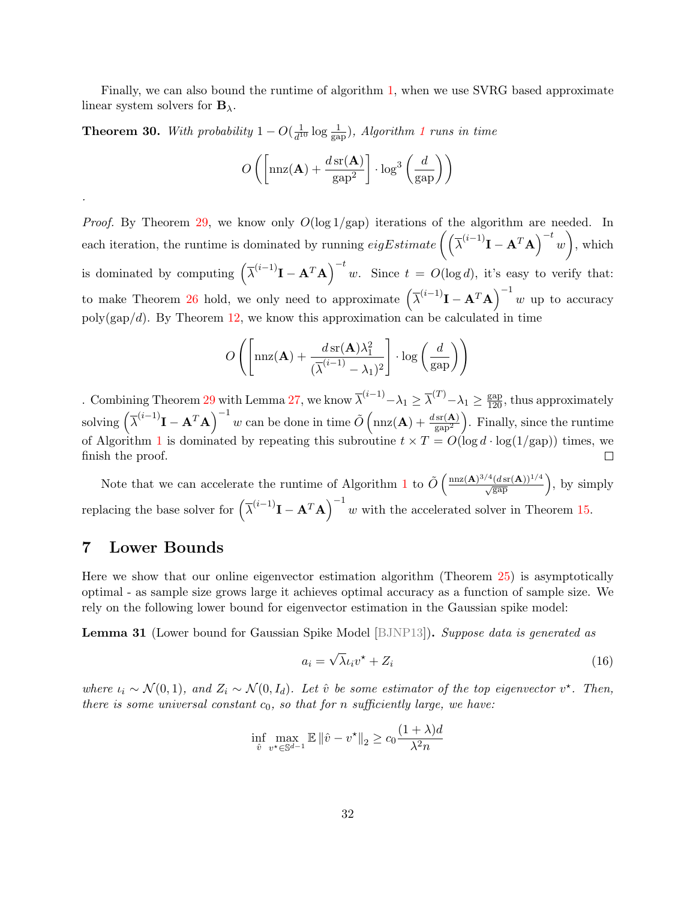Finally, we can also bound the runtime of algorithm [1,](#page-29-0) when we use SVRG based approximate linear system solvers for  $B_{\lambda}$ .

**Theorem 30.** With probability  $1 - O(\frac{1}{d^2})$  $\frac{1}{d^{10}}\log \frac{1}{\text{gap}}$  $\frac{1}{d^{10}}\log \frac{1}{\text{gap}}$  $\frac{1}{d^{10}}\log \frac{1}{\text{gap}}$ ), Algorithm 1 runs in time

$$
O\left(\left[\max(\mathbf{A}) + \frac{d\operatorname{sr}(\mathbf{A})}{\operatorname{gap}^2}\right] \cdot \log^3\left(\frac{d}{\operatorname{gap}}\right)\right)
$$

*Proof.* By Theorem [29,](#page-30-1) we know only  $O(\log 1/gap)$  iterations of the algorithm are needed. In each iteration, the runtime is dominated by running  $eigEstimate\left(\left(\overline{\lambda}^{(i-1)}\mathbf{I} - \mathbf{A}^T\mathbf{A}\right)^{-t}w\right)$ , which is dominated by computing  $(\bar{\lambda}^{(i-1)}I - A^T A)^{-t} w$ . Since  $t = O(\log d)$ , it's easy to verify that: to make Theorem [26](#page-29-1) hold, we only need to approximate  $(\bar{\lambda}^{(i-1)}I - A^T A)^{-1} w$  up to accuracy  $poly(gap/d)$ . By Theorem [12,](#page-20-1) we know this approximation can be calculated in time

$$
O\left(\left[\max(\mathbf{A}) + \frac{d \operatorname{sr}(\mathbf{A}) \lambda_1^2}{(\overline{\lambda}^{(i-1)} - \lambda_1)^2}\right] \cdot \log\left(\frac{d}{\operatorname{gap}}\right)\right)
$$

. Combining Theorem [29](#page-30-1) with Lemma [27,](#page-29-2) we know  $\overline{\lambda}^{(i-1)} - \lambda_1 \geq \overline{\lambda}^{(T)} - \lambda_1 \geq \frac{\text{gap}}{120}$ , thus approximately solving  $(\bar{\lambda}^{(i-1)}I - A^T A)^{-1} w$  can be done in time  $\tilde{O}(\text{nnz}(A) + \frac{d \text{sr}(A)}{\text{gap}^2})$ . Finally, since the runtime of Algorithm [1](#page-29-0) is dominated by repeating this subroutine  $t \times T = O(\log d \cdot \log(1/\text{gap}))$  times, we finish the proof.  $\Box$ 

Note that we can accelerate the runtime of Algorithm [1](#page-29-0) to  $\tilde{O}\left(\frac{\text{nnz}(\mathbf{A})^{3/4}(d\text{sr}(\mathbf{A}))^{1/4}}{\sqrt{\text{gap}}}\right)$ , by simply replacing the base solver for  $(\bar{\lambda}^{(i-1)}I - A^T A)^{-1}$  w with the accelerated solver in Theorem [15.](#page-22-0)

# <span id="page-32-0"></span>7 Lower Bounds

.

Here we show that our online eigenvector estimation algorithm (Theorem [25\)](#page-28-1) is asymptotically optimal - as sample size grows large it achieves optimal accuracy as a function of sample size. We rely on the following lower bound for eigenvector estimation in the Gaussian spike model:

<span id="page-32-2"></span>**Lemma 31** (Lower bound for Gaussian Spike Model [\[BJNP13\]](#page-36-12)). Suppose data is generated as

<span id="page-32-1"></span>
$$
a_i = \sqrt{\lambda} \iota_i v^\star + Z_i \tag{16}
$$

where  $\iota_i \sim \mathcal{N}(0,1)$ , and  $Z_i \sim \mathcal{N}(0,I_d)$ . Let  $\hat{v}$  be some estimator of the top eigenvector  $v^*$ . Then, there is some universal constant  $c_0$ , so that for n sufficiently large, we have:

$$
\inf_{\hat{v}} \max_{v^* \in \mathbb{S}^{d-1}} \mathbb{E} \left\| \hat{v} - v^* \right\|_2 \ge c_0 \frac{(1+\lambda)d}{\lambda^2 n}
$$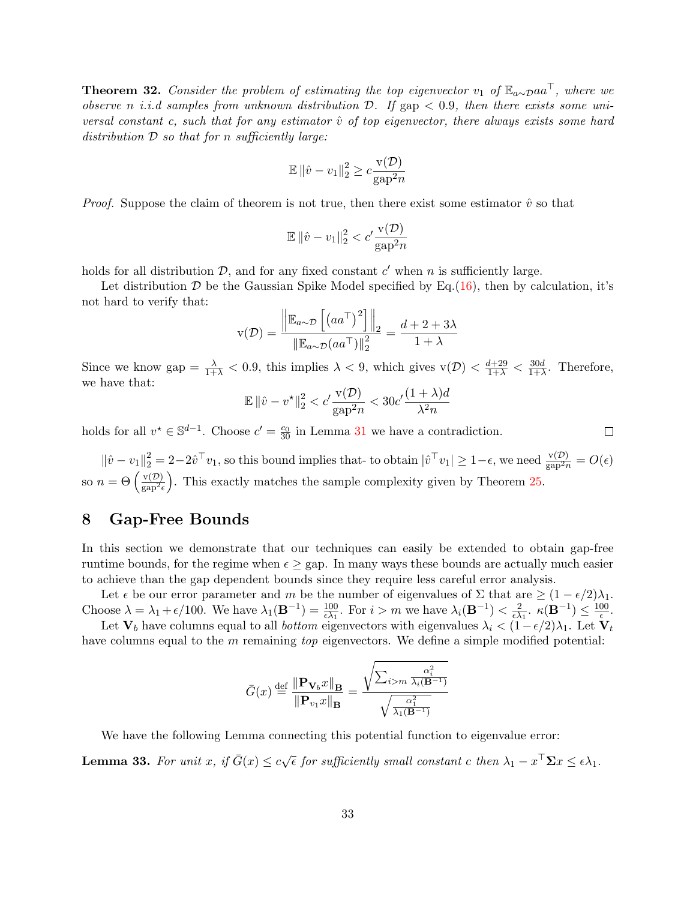**Theorem 32.** Consider the problem of estimating the top eigenvector v<sub>1</sub> of  $\mathbb{E}_{a\sim p}$ aa<sup> $\top$ </sup>, where we observe n *i.i.d samples from unknown distribution*  $D$ . If gap  $< 0.9$ , then there exists some universal constant c, such that for any estimator  $\hat{v}$  of top eigenvector, there always exists some hard distribution  $D$  so that for n sufficiently large:

$$
\mathbb{E} \left\| \hat{v} - v_1 \right\|_2^2 \ge c \frac{\mathbf{v}(\mathcal{D})}{\mathbf{gap}^2 n}
$$

*Proof.* Suppose the claim of theorem is not true, then there exist some estimator  $\hat{v}$  so that

$$
\mathbb{E} \left\| \hat{v} - v_1 \right\|_2^2 < c' \frac{\mathbf{v}(\mathcal{D})}{\mathbf{gap}^2 n}
$$

holds for all distribution  $D$ , and for any fixed constant  $c'$  when n is sufficiently large.

Let distribution  $D$  be the Gaussian Spike Model specified by Eq.[\(16\)](#page-32-1), then by calculation, it's not hard to verify that:

$$
\mathbf{v}(\mathcal{D}) = \frac{\left\| \mathbb{E}_{a \sim \mathcal{D}} \left[ \left( a a^{\top} \right)^{2} \right] \right\|_{2}}{\left\| \mathbb{E}_{a \sim \mathcal{D}} \left( a a^{\top} \right) \right\|_{2}^{2}} = \frac{d + 2 + 3\lambda}{1 + \lambda}
$$

Since we know gap  $=\frac{\lambda}{1+\lambda} < 0.9$ , this implies  $\lambda < 9$ , which gives  $v(\mathcal{D}) < \frac{d+29}{1+\lambda} < \frac{30d}{1+\lambda}$  $\frac{30d}{1+\lambda}$ . Therefore, we have that:

$$
\mathbb{E} \left\| \hat{v} - v^{\star} \right\|_{2}^{2} < c' \frac{\mathbf{v}(\mathcal{D})}{\mathbf{gap}^{2} n} < 30c' \frac{(1+\lambda)d}{\lambda^{2} n}
$$

holds for all  $v^* \in \mathbb{S}^{d-1}$ . Choose  $c' = \frac{c_0}{30}$  in Lemma [31](#page-32-2) we have a contradiction.

 $\|\hat{v} - v_1\|_2^2 = 2 - 2\hat{v}^\top v_1$ , so this bound implies that- to obtain  $|\hat{v}^\top v_1| \geq 1 - \epsilon$ , we need  $\frac{v(\mathcal{D})}{\text{gap}^2 n} = O(\epsilon)$ so  $n = \Theta\left(\frac{\text{v}(\mathcal{D})}{\text{vgn}^2}\right)$  $\frac{v(D)}{gap^2\epsilon}$ . This exactly matches the sample complexity given by Theorem [25.](#page-28-1)

# <span id="page-33-0"></span>8 Gap-Free Bounds

In this section we demonstrate that our techniques can easily be extended to obtain gap-free runtime bounds, for the regime when  $\epsilon >$  gap. In many ways these bounds are actually much easier to achieve than the gap dependent bounds since they require less careful error analysis.

Let  $\epsilon$  be our error parameter and m be the number of eigenvalues of  $\Sigma$  that are  $\geq (1 - \epsilon/2)\lambda_1$ . Choose  $\lambda = \lambda_1 + \epsilon/100$ . We have  $\lambda_1(\mathbf{B}^{-1}) = \frac{100}{\epsilon \lambda_1}$ . For  $i > m$  we have  $\lambda_i(\mathbf{B}^{-1}) < \frac{2}{\epsilon \lambda_1}$  $\frac{2}{\epsilon \lambda_1}$ .  $\kappa(\mathbf{B}^{-1}) \leq \frac{100}{\epsilon}$  $\frac{00}{\epsilon}$ .

Let  $V_b$  have columns equal to all *bottom* eigenvectors with eigenvalues  $\lambda_i < (1 - \epsilon/2)\lambda_1$ . Let  $V_t$ have columns equal to the m remaining top eigenvectors. We define a simple modified potential:

$$
\bar{G}(x) \stackrel{\text{def}}{=} \frac{\|\mathbf{P}_{\mathbf{V}_b}x\|_{\mathbf{B}}}{\|\mathbf{P}_{v_1}x\|_{\mathbf{B}}} = \frac{\sqrt{\sum_{i>m} \frac{\alpha_i^2}{\lambda_i(\mathbf{B}^{-1})}}}{\sqrt{\frac{\alpha_1^2}{\lambda_1(\mathbf{B}^{-1})}}}
$$

We have the following Lemma connecting this potential function to eigenvalue error:

**Lemma 33.** For unit x, if  $\bar{G}(x) \leq c\sqrt{\epsilon}$  for sufficiently small constant c then  $\lambda_1 - x^{\top} \Sigma x \leq \epsilon \lambda_1$ .

 $\Box$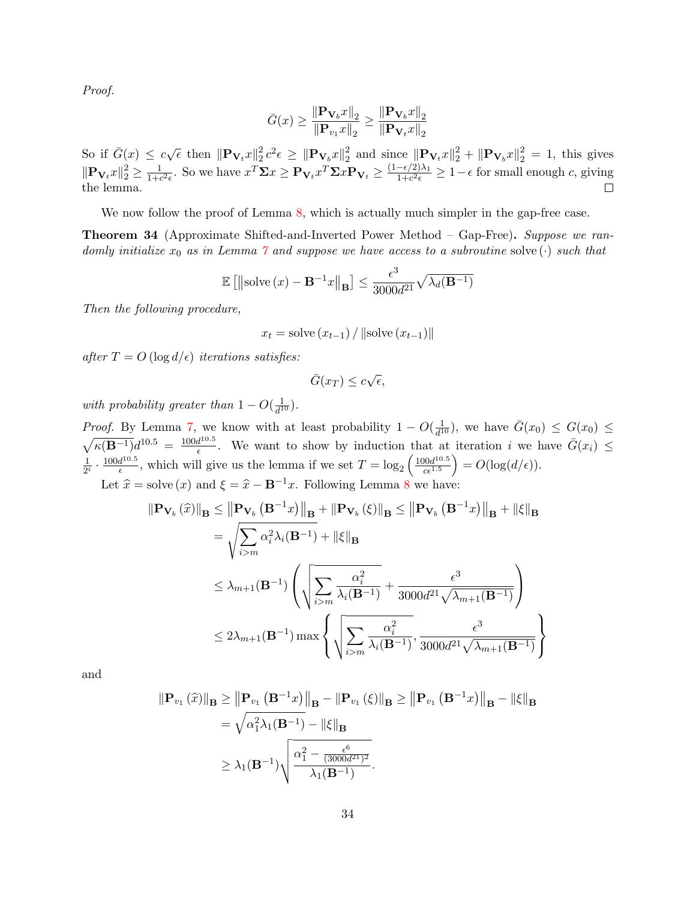Proof.

$$
\bar{G}(x) \ge \frac{\|\mathbf{P}_{\mathbf{V}_b}x\|_2}{\|\mathbf{P}_{v_1}x\|_2} \ge \frac{\|\mathbf{P}_{\mathbf{V}_b}x\|_2}{\|\mathbf{P}_{\mathbf{V}_t}x\|_2}
$$

So if  $\bar{G}(x) \leq c\sqrt{\epsilon}$  then  $\|\mathbf{P}_{\mathbf{V}_t}x\|_2^2$  $\frac{2}{2}c^2\epsilon \,\geq\, \|\mathbf P_{\mathbf V_b}x\|_2^2$  $\frac{2}{2}$  and since  $\|\mathbf{P}_{\mathbf{V}_t}x\|_2^2 + \|\mathbf{P}_{\mathbf{V}_b}x\|_2^2 = 1$ , this gives  $\|\mathbf{P}_{\mathbf{V}_t}x\|_2^2 \geq \frac{1}{1+\epsilon}$  $\frac{1}{1+c^2\epsilon}$ . So we have  $x^T \Sigma x \ge \mathbf{P}_{\mathbf{V}_t} x^T \Sigma x \mathbf{P}_{\mathbf{V}_t} \ge \frac{(1-\epsilon/2)\lambda_1}{1+c^2\epsilon}$  $\frac{-\epsilon/2}{\lambda_1+c^2\epsilon} \geq 1-\epsilon$  for small enough c, giving the lemma.

We now follow the proof of Lemma [8,](#page-14-0) which is actually much simpler in the gap-free case.

<span id="page-34-0"></span>Theorem 34 (Approximate Shifted-and-Inverted Power Method – Gap-Free). Suppose we randomly initialize  $x_0$  as in Lemma [7](#page-13-3) and suppose we have access to a subroutine solve ( $\cdot$ ) such that

$$
\mathbb{E}\left[\left\|\mathrm{solve}\left(x\right) - \mathbf{B}^{-1}x\right\|_{\mathbf{B}}\right] \le \frac{\epsilon^3}{3000d^{21}}\sqrt{\lambda_d(\mathbf{B}^{-1})}
$$

Then the following procedure,

$$
x_t = \text{solve}(x_{t-1}) / ||\text{solve}(x_{t-1})||
$$

after  $T = O(\log d/\epsilon)$  iterations satisfies:

$$
\bar{G}(x_T) \le c\sqrt{\epsilon},
$$

with probability greater than  $1 - O(\frac{1}{d^2})$  $\frac{1}{d^{10}})$ .

*Proof.* By Lemma [7,](#page-13-3) we know with at least probability  $1 - O(\frac{1}{d^2})$  $\frac{1}{d^{10}}$ , we have  $\bar{G}(x_0) \leq G(x_0) \leq$  $\sqrt{\kappa(B^{-1})}d^{10.5} = \frac{100d^{10.5}}{6}$  $\frac{d^{10.5}}{\epsilon}$ . We want to show by induction that at iteration i we have  $\bar{G}(x_i) \leq$ 1  $\frac{1}{2^i} \cdot \frac{100d^{10.5}}{\epsilon}$  $\frac{d^{10.5}}{\epsilon}$ , which will give us the lemma if we set  $T = \log_2 \left( \frac{100d^{10.5}}{c \epsilon^{1.5}} \right)$  $\left( \frac{100d^{10.5}}{c\epsilon^{1.5}} \right) = O(\log(d/\epsilon)).$ Let  $\hat{x} =$  solve  $(x)$  and  $\xi = \hat{x} - \mathbf{B}^{-1}x$ . Following Lemma [8](#page-14-0) we have:

$$
\begin{aligned}\n\|\mathbf{P}_{\mathbf{V}_{b}}\left(\widehat{x}\right)\|_{\mathbf{B}} &\leq \left\|\mathbf{P}_{\mathbf{V}_{b}}\left(\mathbf{B}^{-1}x\right)\right\|_{\mathbf{B}} + \left\|\mathbf{P}_{\mathbf{V}_{b}}\left(\xi\right)\right\|_{\mathbf{B}} &\leq \left\|\mathbf{P}_{\mathbf{V}_{b}}\left(\mathbf{B}^{-1}x\right)\right\|_{\mathbf{B}} + \left\|\xi\right\|_{\mathbf{B}} \\
&= \sqrt{\sum_{i>m} \alpha_{i}^{2} \lambda_{i}(\mathbf{B}^{-1})} + \left\|\xi\right\|_{\mathbf{B}} \\
&\leq \lambda_{m+1}(\mathbf{B}^{-1}) \left(\sqrt{\sum_{i>m} \frac{\alpha_{i}^{2}}{\lambda_{i}(\mathbf{B}^{-1})} + \frac{\epsilon^{3}}{3000d^{21}\sqrt{\lambda_{m+1}(\mathbf{B}^{-1})}}}\right) \\
&\leq 2\lambda_{m+1}(\mathbf{B}^{-1}) \max \left\{\sqrt{\sum_{i>m} \frac{\alpha_{i}^{2}}{\lambda_{i}(\mathbf{B}^{-1})} + \frac{\epsilon^{3}}{3000d^{21}\sqrt{\lambda_{m+1}(\mathbf{B}^{-1})}}}\right\}\n\end{aligned}
$$

and

$$
\|\mathbf{P}_{v_1}(\widehat{x})\|_{\mathbf{B}} \ge \left\|\mathbf{P}_{v_1}(\mathbf{B}^{-1}x)\right\|_{\mathbf{B}} - \left\|\mathbf{P}_{v_1}(\xi)\right\|_{\mathbf{B}} \ge \left\|\mathbf{P}_{v_1}(\mathbf{B}^{-1}x)\right\|_{\mathbf{B}} - \left\|\xi\right\|_{\mathbf{B}}
$$

$$
= \sqrt{\alpha_1^2 \lambda_1(\mathbf{B}^{-1})} - \left\|\xi\right\|_{\mathbf{B}}
$$

$$
\ge \lambda_1(\mathbf{B}^{-1}) \sqrt{\frac{\alpha_1^2 - \frac{\epsilon^6}{(3000d^{21})^2}}{\lambda_1(\mathbf{B}^{-1})}}.
$$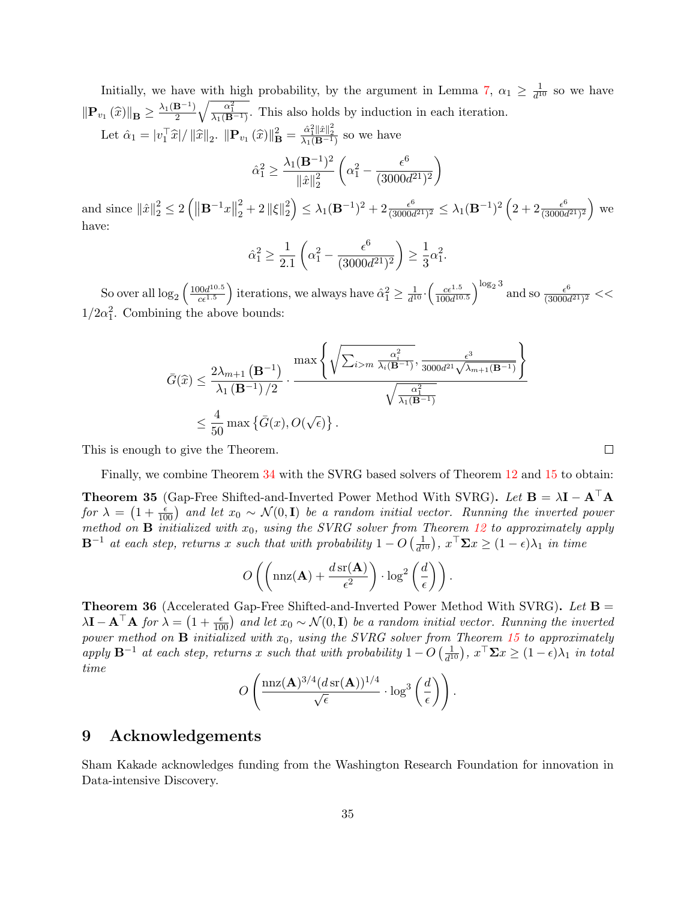Initially, we have with high probability, by the argument in Lemma [7,](#page-13-3)  $\alpha_1 \geq \frac{1}{d^1}$  $\frac{1}{d^{10}}$  so we have  $\|\mathbf{P}_{v_1}(\widehat{x})\|_{\mathbf{B}} \geq \frac{\lambda_1(\mathbf{B}^{-1})}{2}$ 2  $\sqrt{\frac{\alpha_1^2}{\lambda_1(B^{-1})}}$ . This also holds by induction in each iteration. Let  $\hat{\alpha}_1 = |v_1^\top \hat{x}| / ||\hat{x}||_2$ .  $||\mathbf{P}_{v_1}(\hat{x})||^2_{\mathbf{B}} = \frac{\hat{\alpha}_1^2 ||\hat{x}||^2_2}{\lambda_1(\mathbf{B}^{-1})}$  so we have

$$
\hat{\alpha}_1^2 \geq \frac{\lambda_1(\mathbf{B}^{-1})^2}{\|\hat{x}\|_2^2}\left(\alpha_1^2 - \frac{\epsilon^6}{(3000d^{21})^2}\right)
$$

and since  $\|\hat{x}\|_2^2 \le 2(|\mathbf{B}^{-1}x||)$ 2  $\frac{2}{2}+2\left\Vert \xi \right\Vert _{2}^{2}$  $\left( \frac{2}{2} \right) \leq \lambda_1 (\mathbf{B}^{-1})^2 + 2 \frac{\epsilon^6}{(3000 \epsilon^6)}$  $\frac{\epsilon^6}{(3000d^{21})^2} \le \lambda_1 (\mathbf{B}^{-1})^2 \left( 2 + 2 \frac{\epsilon^6}{(3000d^{21})^2} \right)$  $\frac{\epsilon^6}{(3000d^{21})^2}$  we have:

$$
\hat{\alpha}_1^2 \ge \frac{1}{2.1} \left( \alpha_1^2 - \frac{\epsilon^6}{(3000d^{21})^2} \right) \ge \frac{1}{3} \alpha_1^2.
$$

So over all  $\log_2\left(\frac{100d^{10.5}}{c\epsilon^{1.5}}\right)$  $\frac{100d^{10.5}}{c\epsilon^{1.5}}$  iterations, we always have  $\hat{\alpha}_1^2 \geq \frac{1}{d^1}$  $\frac{1}{d^{10}} \cdot \left( \frac{c\epsilon^{1.5}}{100d^{10}} \right)$  $\frac{c\epsilon^{1.5}}{100d^{10.5}}\Big)^{\log_2 3}$  and so  $\frac{\epsilon^6}{(3000d^3)}$  $\frac{\epsilon^6}{(3000d^{21})^2} <<$  $1/2\alpha_1^2$ . Combining the above bounds:

$$
\bar{G}(\widehat{x}) \leq \frac{2\lambda_{m+1}(\mathbf{B}^{-1})}{\lambda_1(\mathbf{B}^{-1})/2} \cdot \frac{\max\left\{\sqrt{\sum_{i>m} \frac{\alpha_i^2}{\lambda_i(\mathbf{B}^{-1})}}, \frac{\epsilon^3}{3000d^{21}\sqrt{\lambda_{m+1}(\mathbf{B}^{-1})}}\right\}}{\sqrt{\frac{\alpha_1^2}{\lambda_1(\mathbf{B}^{-1})}}}
$$
  
\$\leq \frac{4}{50} \max \left\{\bar{G}(x), O(\sqrt{\epsilon})\right\}.

This is enough to give the Theorem.

Finally, we combine Theorem [34](#page-34-0) with the SVRG based solvers of Theorem [12](#page-20-1) and [15](#page-22-0) to obtain:

<span id="page-35-0"></span>**Theorem 35** (Gap-Free Shifted-and-Inverted Power Method With SVRG). Let  $B = \lambda I - A^{\dagger} A$ for  $\lambda = (1 + \frac{\epsilon}{100})$  and let  $x_0 \sim \mathcal{N}(0, \mathbf{I})$  be a random initial vector. Running the inverted power method on **B** initialized with  $x_0$ , using the SVRG solver from Theorem [12](#page-20-1) to approximately apply  $\mathbf{B}^{-1}$  at each step, returns x such that with probability  $1 - O\left(\frac{1}{d^2}\right)$  $\frac{1}{d^{10}}$ ,  $x^{\top} \Sigma x \geq (1 - \epsilon)\lambda_1$  in time

$$
O\left(\left(\max(\mathbf{A}) + \frac{d \operatorname{sr}(\mathbf{A})}{\epsilon^2}\right) \cdot \log^2\left(\frac{d}{\epsilon}\right)\right).
$$

<span id="page-35-1"></span>**Theorem 36** (Accelerated Gap-Free Shifted-and-Inverted Power Method With SVRG). Let  $\mathbf{B} =$  $\lambda \mathbf{I} - \mathbf{A}^\top \mathbf{A}$  for  $\lambda = \left(1 + \frac{\epsilon}{100}\right)$  and let  $x_0 \sim \mathcal{N}(0, \mathbf{I})$  be a random initial vector. Running the inverted power method on  $\mathbf{B}$  initialized with  $x_0$ , using the SVRG solver from Theorem [15](#page-22-0) to approximately apply  $\mathbf{B}^{-1}$  at each step, returns x such that with probability  $1 - O\left(\frac{1}{d^2}\right)$  $\frac{1}{d^{10}}$ ),  $x^{\top} \Sigma x \geq (1 - \epsilon)\lambda_1$  in total time

$$
O\left(\frac{\operatorname{nnz}(\mathbf{A})^{3/4} (d\operatorname{sr}(\mathbf{A}))^{1/4}}{\sqrt{\epsilon}} \cdot \log^3\left(\frac{d}{\epsilon}\right)\right).
$$

## 9 Acknowledgements

Sham Kakade acknowledges funding from the Washington Research Foundation for innovation in Data-intensive Discovery.

 $\Box$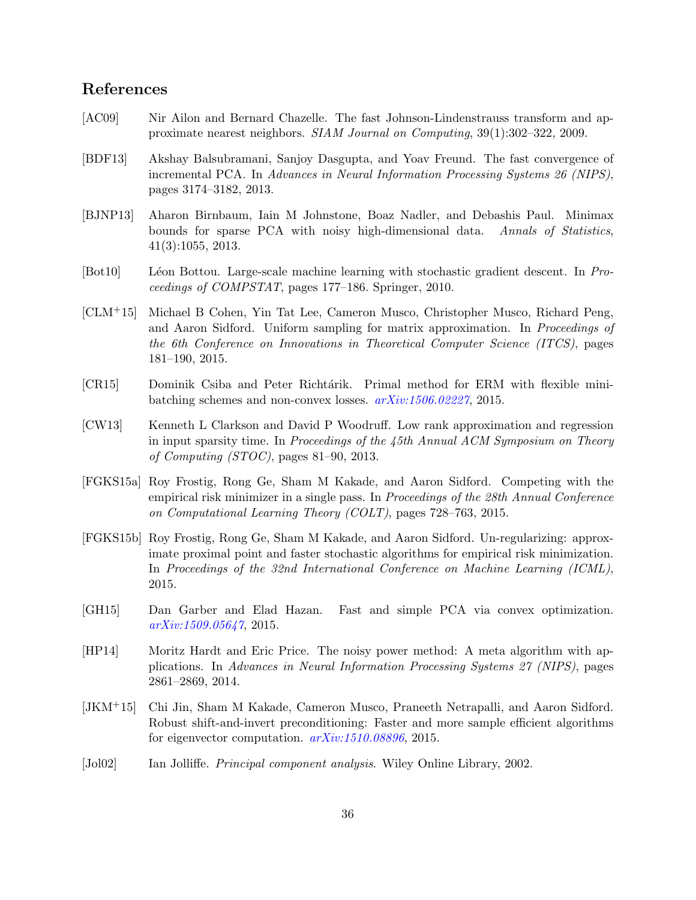# References

- <span id="page-36-0"></span>[AC09] Nir Ailon and Bernard Chazelle. The fast Johnson-Lindenstrauss transform and approximate nearest neighbors. SIAM Journal on Computing, 39(1):302–322, 2009.
- <span id="page-36-11"></span>[BDF13] Akshay Balsubramani, Sanjoy Dasgupta, and Yoav Freund. The fast convergence of incremental PCA. In Advances in Neural Information Processing Systems 26 (NIPS), pages 3174–3182, 2013.
- <span id="page-36-12"></span>[BJNP13] Aharon Birnbaum, Iain M Johnstone, Boaz Nadler, and Debashis Paul. Minimax bounds for sparse PCA with noisy high-dimensional data. Annals of Statistics, 41(3):1055, 2013.
- <span id="page-36-10"></span>[Bot10] Léon Bottou. Large-scale machine learning with stochastic gradient descent. In Proceedings of COMPSTAT, pages 177–186. Springer, 2010.
- <span id="page-36-9"></span>[CLM+15] Michael B Cohen, Yin Tat Lee, Cameron Musco, Christopher Musco, Richard Peng, and Aaron Sidford. Uniform sampling for matrix approximation. In *Proceedings of* the 6th Conference on Innovations in Theoretical Computer Science (ITCS), pages 181–190, 2015.
- <span id="page-36-5"></span>[CR15] Dominik Csiba and Peter Richtárik. Primal method for ERM with flexible minibatching schemes and non-convex losses. [arXiv:1506.02227](http://arxiv.org/abs/1506.02227), 2015.
- <span id="page-36-1"></span>[CW13] Kenneth L Clarkson and David P Woodruff. Low rank approximation and regression in input sparsity time. In Proceedings of the 45th Annual ACM Symposium on Theory of Computing (STOC), pages 81–90, 2013.
- <span id="page-36-8"></span>[FGKS15a] Roy Frostig, Rong Ge, Sham M Kakade, and Aaron Sidford. Competing with the empirical risk minimizer in a single pass. In Proceedings of the 28th Annual Conference on Computational Learning Theory (COLT), pages 728–763, 2015.
- <span id="page-36-7"></span>[FGKS15b] Roy Frostig, Rong Ge, Sham M Kakade, and Aaron Sidford. Un-regularizing: approximate proximal point and faster stochastic algorithms for empirical risk minimization. In Proceedings of the 32nd International Conference on Machine Learning (ICML), 2015.
- <span id="page-36-2"></span>[GH15] Dan Garber and Elad Hazan. Fast and simple PCA via convex optimization. [arXiv:1509.05647](http://arxiv.org/abs/1509.05647), 2015.
- <span id="page-36-6"></span>[HP14] Moritz Hardt and Eric Price. The noisy power method: A meta algorithm with applications. In Advances in Neural Information Processing Systems 27 (NIPS), pages 2861–2869, 2014.
- <span id="page-36-3"></span>[JKM+15] Chi Jin, Sham M Kakade, Cameron Musco, Praneeth Netrapalli, and Aaron Sidford. Robust shift-and-invert preconditioning: Faster and more sample efficient algorithms for eigenvector computation.  $arXiv:1510.08896$ , 2015.
- <span id="page-36-4"></span>[Jol02] Ian Jolliffe. Principal component analysis. Wiley Online Library, 2002.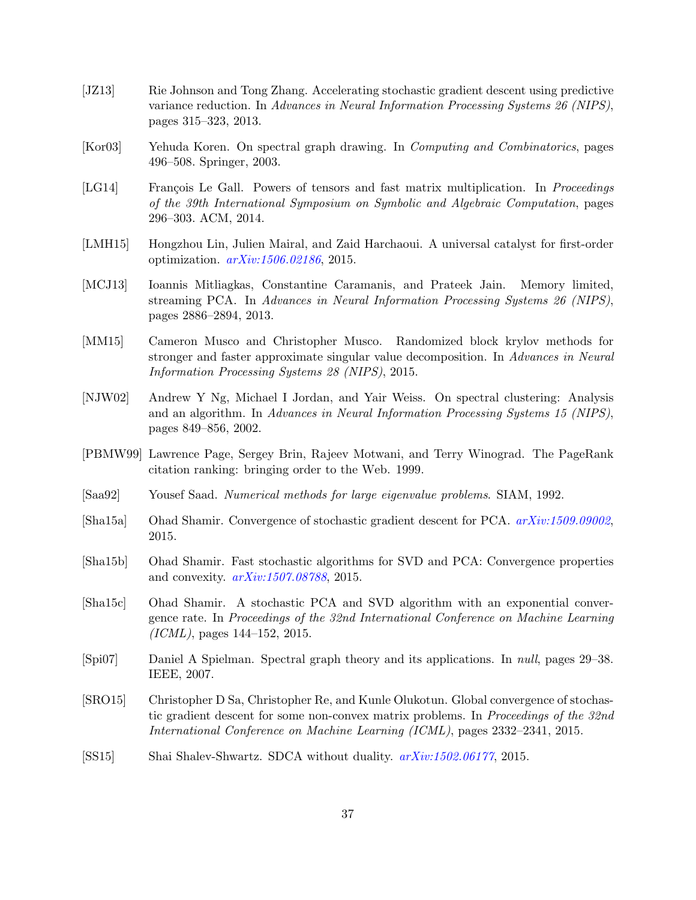- <span id="page-37-6"></span>[JZ13] Rie Johnson and Tong Zhang. Accelerating stochastic gradient descent using predictive variance reduction. In Advances in Neural Information Processing Systems 26 (NIPS), pages 315–323, 2013.
- <span id="page-37-3"></span>[Kor03] Yehuda Koren. On spectral graph drawing. In Computing and Combinatorics, pages 496–508. Springer, 2003.
- <span id="page-37-9"></span>[LG14] François Le Gall. Powers of tensors and fast matrix multiplication. In Proceedings of the 39th International Symposium on Symbolic and Algebraic Computation, pages 296–303. ACM, 2014.
- <span id="page-37-8"></span>[LMH15] Hongzhou Lin, Julien Mairal, and Zaid Harchaoui. A universal catalyst for first-order optimization. [arXiv:1506.02186](http://arxiv.org/abs/1506.02186), 2015.
- <span id="page-37-12"></span>[MCJ13] Ioannis Mitliagkas, Constantine Caramanis, and Prateek Jain. Memory limited, streaming PCA. In Advances in Neural Information Processing Systems 26 (NIPS), pages 2886–2894, 2013.
- <span id="page-37-14"></span>[MM15] Cameron Musco and Christopher Musco. Randomized block krylov methods for stronger and faster approximate singular value decomposition. In Advances in Neural Information Processing Systems 28 (NIPS), 2015.
- <span id="page-37-1"></span>[NJW02] Andrew Y Ng, Michael I Jordan, and Yair Weiss. On spectral clustering: Analysis and an algorithm. In Advances in Neural Information Processing Systems 15 (NIPS), pages 849–856, 2002.
- <span id="page-37-2"></span>[PBMW99] Lawrence Page, Sergey Brin, Rajeev Motwani, and Terry Winograd. The PageRank citation ranking: bringing order to the Web. 1999.
- <span id="page-37-5"></span>[Saa92] Yousef Saad. Numerical methods for large eigenvalue problems. SIAM, 1992.
- <span id="page-37-11"></span>[Sha15a] Ohad Shamir. Convergence of stochastic gradient descent for PCA. [arXiv:1509.09002](http://arxiv.org/abs/1509.09002), 2015.
- <span id="page-37-10"></span>[Sha15b] Ohad Shamir. Fast stochastic algorithms for SVD and PCA: Convergence properties and convexity. [arXiv:1507.08788](http://arxiv.org/abs/1507.08788), 2015.
- <span id="page-37-0"></span>[Sha15c] Ohad Shamir. A stochastic PCA and SVD algorithm with an exponential convergence rate. In Proceedings of the 32nd International Conference on Machine Learning  $(ICML)$ , pages 144–152, 2015.
- <span id="page-37-4"></span>[Spi07] Daniel A Spielman. Spectral graph theory and its applications. In null, pages 29–38. IEEE, 2007.
- <span id="page-37-13"></span>[SRO15] Christopher D Sa, Christopher Re, and Kunle Olukotun. Global convergence of stochastic gradient descent for some non-convex matrix problems. In Proceedings of the 32nd International Conference on Machine Learning (ICML), pages 2332–2341, 2015.
- <span id="page-37-7"></span>[SS15] Shai Shalev-Shwartz. SDCA without duality. [arXiv:1502.06177](http://arxiv.org/abs/1502.06177), 2015.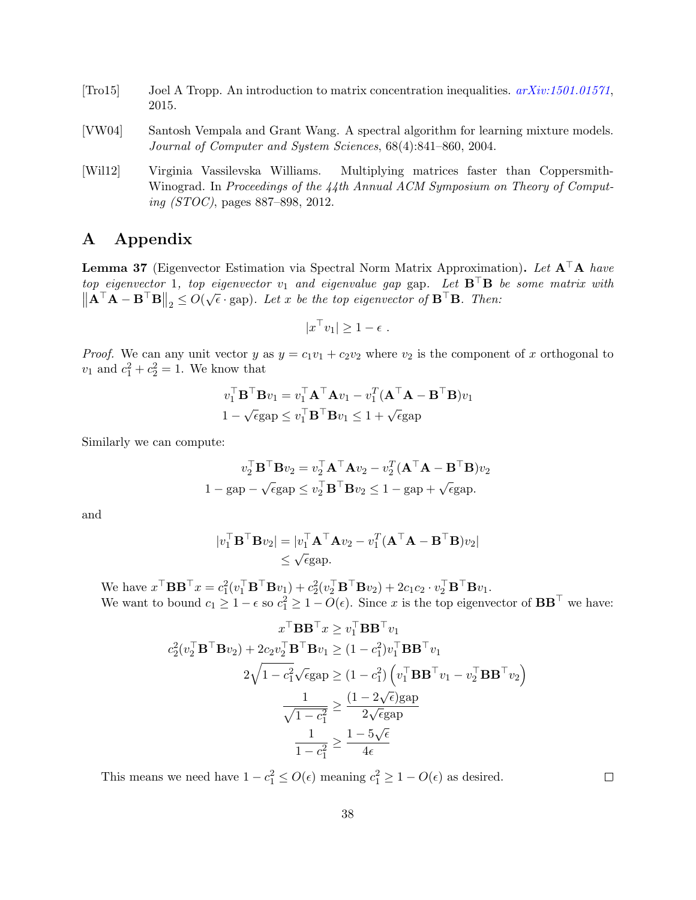- <span id="page-38-2"></span>[Tro15] Joel A Tropp. An introduction to matrix concentration inequalities. [arXiv:1501.01571](http://arxiv.org/abs/1501.01571), 2015.
- <span id="page-38-0"></span>[VW04] Santosh Vempala and Grant Wang. A spectral algorithm for learning mixture models. Journal of Computer and System Sciences, 68(4):841–860, 2004.
- <span id="page-38-1"></span>[Wil12] Virginia Vassilevska Williams. Multiplying matrices faster than Coppersmith-Winograd. In Proceedings of the 44th Annual ACM Symposium on Theory of Computing (STOC), pages 887–898, 2012.

# A Appendix

<span id="page-38-3"></span>**Lemma 37** (Eigenvector Estimation via Spectral Norm Matrix Approximation). Let  $A^{\top}A$  have top eigenvector 1, top eigenvector  $v_1$  and eigenvalue gap gap. Let  $B^{\top}B$  be some matrix with  $\|\mathbf{A}^{\top}\mathbf{A} - \mathbf{B}^{\top}\mathbf{B}\|_2 \leq O(\sqrt{\epsilon} \cdot \text{gap})$ . Let x be the top eigenvector of  $\mathbf{B}^{\top}\mathbf{B}$ . Then:

$$
|x^{\top}v_1| \geq 1 - \epsilon.
$$

*Proof.* We can any unit vector y as  $y = c_1v_1 + c_2v_2$  where  $v_2$  is the component of x orthogonal to  $v_1$  and  $c_1^2 + c_2^2 = 1$ . We know that

$$
v_1^{\top} \mathbf{B}^{\top} \mathbf{B} v_1 = v_1^{\top} \mathbf{A}^{\top} \mathbf{A} v_1 - v_1^T (\mathbf{A}^{\top} \mathbf{A} - \mathbf{B}^{\top} \mathbf{B}) v_1
$$

$$
1 - \sqrt{\epsilon} \text{gap} \le v_1^{\top} \mathbf{B}^{\top} \mathbf{B} v_1 \le 1 + \sqrt{\epsilon} \text{gap}
$$

Similarly we can compute:

$$
v_2^{\top} \mathbf{B}^{\top} \mathbf{B} v_2 = v_2^{\top} \mathbf{A}^{\top} \mathbf{A} v_2 - v_2^T (\mathbf{A}^{\top} \mathbf{A} - \mathbf{B}^{\top} \mathbf{B}) v_2
$$
  
1 - gap -  $\sqrt{\epsilon}$ gap  $\leq v_2^{\top} \mathbf{B}^{\top} \mathbf{B} v_2 \leq 1$  - gap +  $\sqrt{\epsilon}$ gap.

and

$$
|v_1^\top \mathbf{B}^\top \mathbf{B} v_2| = |v_1^\top \mathbf{A}^\top \mathbf{A} v_2 - v_1^\top (\mathbf{A}^\top \mathbf{A} - \mathbf{B}^\top \mathbf{B}) v_2|
$$
  
\$\leq\$  $\sqrt{\epsilon}$  gap.

We have  $x^\top \mathbf{B} \mathbf{B}^\top x = c_1^2 (v_1^\top \mathbf{B}^\top \mathbf{B} v_1) + c_2^2 (v_2^\top \mathbf{B}^\top \mathbf{B} v_2) + 2c_1 c_2 \cdot v_2^\top \mathbf{B}^\top \mathbf{B} v_1$ . We want to bound  $c_1 \geq 1 - \epsilon$  so  $c_1^2 \geq 1 - O(\epsilon)$ . Since x is the top eigenvector of  $BB^{\top}$  we have:

$$
x^{\top} \mathbf{B} \mathbf{B}^{\top} x \ge v_1^{\top} \mathbf{B} \mathbf{B}^{\top} v_1
$$

$$
c_2^2 (v_2^{\top} \mathbf{B}^{\top} \mathbf{B} v_2) + 2c_2 v_2^{\top} \mathbf{B}^{\top} \mathbf{B} v_1 \ge (1 - c_1^2) v_1^{\top} \mathbf{B} \mathbf{B}^{\top} v_1
$$

$$
2\sqrt{1 - c_1^2} \sqrt{\epsilon} \text{gap} \ge (1 - c_1^2) \left( v_1^{\top} \mathbf{B} \mathbf{B}^{\top} v_1 - v_2^{\top} \mathbf{B} \mathbf{B}^{\top} v_2 \right)
$$

$$
\frac{1}{\sqrt{1 - c_1^2}} \ge \frac{(1 - 2\sqrt{\epsilon}) \text{gap}}{2\sqrt{\epsilon} \text{gap}}
$$

$$
\frac{1}{1 - c_1^2} \ge \frac{1 - 5\sqrt{\epsilon}}{4\epsilon}
$$

This means we need have  $1 - c_1^2 \le O(\epsilon)$  meaning  $c_1^2 \ge 1 - O(\epsilon)$  as desired.

 $\Box$